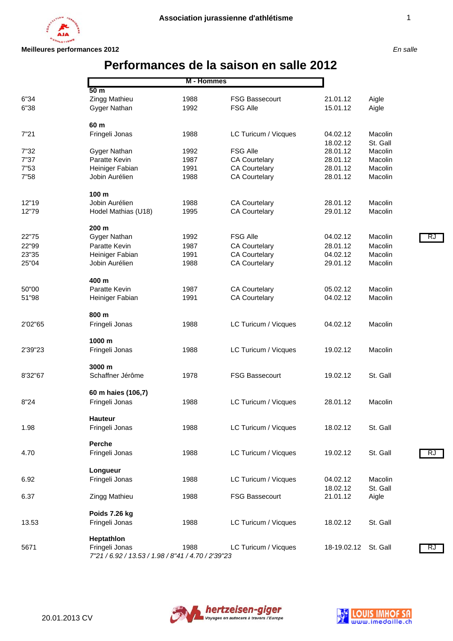

# **Performances de la saison en salle 2012**

|         | 50 <sub>m</sub>                                                      | M - Hommes |                       |             |          |    |
|---------|----------------------------------------------------------------------|------------|-----------------------|-------------|----------|----|
| 6"34    | Zingg Mathieu                                                        | 1988       | <b>FSG Bassecourt</b> | 21.01.12    | Aigle    |    |
| 6"38    | Gyger Nathan                                                         | 1992       | <b>FSG Alle</b>       | 15.01.12    | Aigle    |    |
|         | 60 m                                                                 |            |                       |             |          |    |
| 7"21    | Fringeli Jonas                                                       | 1988       | LC Turicum / Vicques  | 04.02.12    | Macolin  |    |
|         |                                                                      |            |                       | 18.02.12    | St. Gall |    |
| 7"32    | Gyger Nathan                                                         | 1992       | <b>FSG Alle</b>       | 28.01.12    | Macolin  |    |
| 7"37    | Paratte Kevin                                                        | 1987       | <b>CA Courtelary</b>  | 28.01.12    | Macolin  |    |
| 7"53    | Heiniger Fabian                                                      | 1991       | <b>CA Courtelary</b>  | 28.01.12    | Macolin  |    |
| 7"58    | Jobin Aurélien                                                       | 1988       | <b>CA Courtelary</b>  | 28.01.12    | Macolin  |    |
|         | 100 m                                                                |            |                       |             |          |    |
| 12"19   | Jobin Aurélien                                                       | 1988       | <b>CA Courtelary</b>  | 28.01.12    | Macolin  |    |
| 12"79   | Hodel Mathias (U18)                                                  | 1995       | <b>CA Courtelary</b>  | 29.01.12    | Macolin  |    |
|         | 200 m                                                                |            |                       |             |          |    |
| 22"75   | Gyger Nathan                                                         | 1992       | <b>FSG Alle</b>       | 04.02.12    | Macolin  | R. |
| 22"99   | Paratte Kevin                                                        | 1987       | <b>CA Courtelary</b>  | 28.01.12    | Macolin  |    |
| 23"35   | Heiniger Fabian                                                      | 1991       | <b>CA Courtelary</b>  | 04.02.12    | Macolin  |    |
| 25"04   | Jobin Aurélien                                                       | 1988       | <b>CA Courtelary</b>  | 29.01.12    | Macolin  |    |
|         | 400 m                                                                |            |                       |             |          |    |
| 50"00   | Paratte Kevin                                                        | 1987       | <b>CA Courtelary</b>  | 05.02.12    | Macolin  |    |
| 51"98   | Heiniger Fabian                                                      | 1991       | <b>CA Courtelary</b>  | 04.02.12    | Macolin  |    |
|         | 800 m                                                                |            |                       |             |          |    |
| 2'02"65 | Fringeli Jonas                                                       | 1988       | LC Turicum / Vicques  | 04.02.12    | Macolin  |    |
|         | 1000 m                                                               |            |                       |             |          |    |
| 2'39"23 | Fringeli Jonas                                                       | 1988       | LC Turicum / Vicques  | 19.02.12    | Macolin  |    |
|         | 3000 m                                                               |            |                       |             |          |    |
| 8'32"67 | Schaffner Jérôme                                                     | 1978       | <b>FSG Bassecourt</b> | 19.02.12    | St. Gall |    |
|         | 60 m haies (106,7)                                                   |            |                       |             |          |    |
| 8"24    | Fringeli Jonas                                                       | 1988       | LC Turicum / Vicques  | 28.01.12    | Macolin  |    |
|         | <b>Hauteur</b>                                                       |            |                       |             |          |    |
| 1.98    | Fringeli Jonas                                                       | 1988       | LC Turicum / Vicques  | 18.02.12    | St. Gall |    |
|         | Perche                                                               |            |                       |             |          |    |
| 4.70    | Fringeli Jonas                                                       | 1988       | LC Turicum / Vicques  | 19.02.12    | St. Gall | R. |
|         |                                                                      |            |                       |             |          |    |
|         | Longueur                                                             |            |                       |             |          |    |
| 6.92    | Fringeli Jonas                                                       | 1988       | LC Turicum / Vicques  | 04.02.12    | Macolin  |    |
|         |                                                                      |            |                       | 18.02.12    | St. Gall |    |
| 6.37    | Zingg Mathieu                                                        | 1988       | <b>FSG Bassecourt</b> | 21.01.12    | Aigle    |    |
|         | Poids 7.26 kg                                                        |            |                       |             |          |    |
| 13.53   | Fringeli Jonas                                                       | 1988       | LC Turicum / Vicques  | 18.02.12    | St. Gall |    |
|         | Heptathlon                                                           |            |                       |             |          |    |
| 5671    | Fringeli Jonas<br>7"21 / 6.92 / 13.53 / 1.98 / 8"41 / 4.70 / 2'39"23 | 1988       | LC Turicum / Vicques  | 18-19.02.12 | St. Gall | R. |



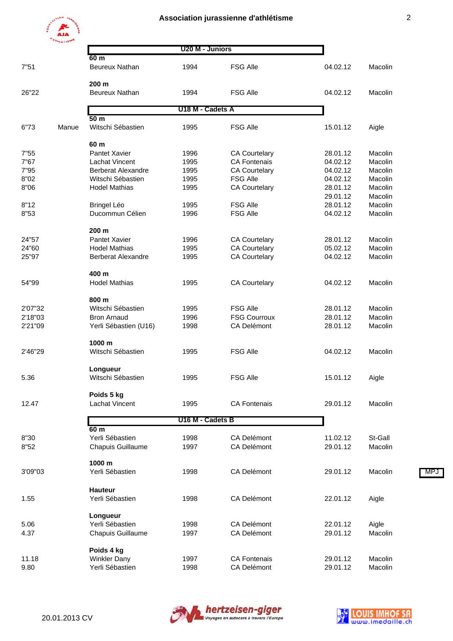

| ٠ |   |                    |   |
|---|---|--------------------|---|
|   |   | ۰,<br>۰.<br>۰.<br> | I |
|   | I |                    |   |

|         | <b>ATHLETISMS</b> |                                    | U20 M - Juniors  |                      |          |         |     |
|---------|-------------------|------------------------------------|------------------|----------------------|----------|---------|-----|
|         |                   | 60 m                               |                  |                      |          |         |     |
| 7"51    |                   | Beureux Nathan                     | 1994             | <b>FSG Alle</b>      | 04.02.12 | Macolin |     |
| 26"22   |                   | 200 m<br><b>Beureux Nathan</b>     | 1994             | <b>FSG Alle</b>      | 04.02.12 | Macolin |     |
|         |                   |                                    |                  |                      |          |         |     |
|         |                   | 50 <sub>m</sub>                    | U18 M - Cadets A |                      |          |         |     |
| 6"73    | Manue             | Witschi Sébastien                  | 1995             | <b>FSG Alle</b>      | 15.01.12 | Aigle   |     |
|         |                   | 60 m                               |                  |                      |          |         |     |
| 7"55    |                   | Pantet Xavier                      | 1996             | <b>CA Courtelary</b> | 28.01.12 | Macolin |     |
| 7"67    |                   | <b>Lachat Vincent</b>              | 1995             | <b>CA Fontenais</b>  | 04.02.12 | Macolin |     |
| 7"95    |                   | <b>Berberat Alexandre</b>          | 1995             | <b>CA Courtelary</b> | 04.02.12 | Macolin |     |
| 8"02    |                   | Witschi Sébastien                  | 1995             | <b>FSG Alle</b>      | 04.02.12 | Macolin |     |
| 8"06    |                   | <b>Hodel Mathias</b>               | 1995             | <b>CA Courtelary</b> | 28.01.12 | Macolin |     |
|         |                   |                                    |                  |                      | 29.01.12 | Macolin |     |
| 8"12    |                   | <b>Bringel Léo</b>                 | 1995             | <b>FSG Alle</b>      | 28.01.12 | Macolin |     |
| 8"53    |                   | Ducommun Célien                    | 1996             | <b>FSG Alle</b>      | 04.02.12 | Macolin |     |
|         |                   |                                    |                  |                      |          |         |     |
|         |                   | 200 m                              |                  |                      |          |         |     |
| 24"57   |                   | Pantet Xavier                      | 1996             | <b>CA Courtelary</b> | 28.01.12 | Macolin |     |
| 24"60   |                   | <b>Hodel Mathias</b>               | 1995             | <b>CA Courtelary</b> | 05.02.12 | Macolin |     |
| 25"97   |                   | <b>Berberat Alexandre</b>          | 1995             | <b>CA Courtelary</b> | 04.02.12 | Macolin |     |
|         |                   |                                    |                  |                      |          |         |     |
|         |                   | 400 m                              |                  |                      |          |         |     |
| 54"99   |                   | <b>Hodel Mathias</b>               | 1995             | <b>CA Courtelary</b> | 04.02.12 | Macolin |     |
|         |                   | 800 m                              |                  |                      |          |         |     |
| 2'07"32 |                   | Witschi Sébastien                  | 1995             | <b>FSG Alle</b>      | 28.01.12 | Macolin |     |
| 2'18"03 |                   | <b>Bron Arnaud</b>                 | 1996             | <b>FSG Courroux</b>  | 28.01.12 | Macolin |     |
| 2'21"09 |                   | Yerli Sébastien (U16)              | 1998             | <b>CA Delémont</b>   | 28.01.12 | Macolin |     |
|         |                   |                                    |                  |                      |          |         |     |
|         |                   | 1000 m                             |                  |                      |          |         |     |
| 2'46"29 |                   | Witschi Sébastien                  | 1995             | <b>FSG Alle</b>      | 04.02.12 | Macolin |     |
|         |                   | Longueur                           |                  |                      |          |         |     |
| 5.36    |                   | Witschi Sébastien                  | 1995             | <b>FSG Alle</b>      | 15.01.12 | Aigle   |     |
|         |                   | Poids 5 kg                         |                  |                      |          |         |     |
| 12.47   |                   | Lachat Vincent                     | 1995             | <b>CA Fontenais</b>  | 29.01.12 | Macolin |     |
|         |                   |                                    |                  |                      |          |         |     |
|         |                   |                                    | U16 M - Cadets B |                      |          |         |     |
| 8"30    |                   | 60 <sub>m</sub><br>Yerli Sébastien | 1998             | <b>CA Delémont</b>   | 11.02.12 | St-Gall |     |
|         |                   |                                    |                  |                      |          |         |     |
| 8"52    |                   | Chapuis Guillaume                  | 1997             | <b>CA Delémont</b>   | 29.01.12 | Macolin |     |
|         |                   | 1000 m                             |                  |                      |          |         |     |
| 3'09"03 |                   | Yerli Sébastien                    | 1998             | CA Delémont          | 29.01.12 | Macolin | MP. |
|         |                   | <b>Hauteur</b>                     |                  |                      |          |         |     |
|         |                   |                                    |                  |                      |          |         |     |
| 1.55    |                   | Yerli Sébastien                    | 1998             | CA Delémont          | 22.01.12 | Aigle   |     |
|         |                   | Longueur                           |                  |                      |          |         |     |
| 5.06    |                   | Yerli Sébastien                    | 1998             | <b>CA Delémont</b>   | 22.01.12 | Aigle   |     |
| 4.37    |                   | Chapuis Guillaume                  | 1997             | <b>CA Delémont</b>   | 29.01.12 | Macolin |     |
|         |                   |                                    |                  |                      |          |         |     |
|         |                   | Poids 4 kg                         |                  |                      |          |         |     |
| 11.18   |                   | <b>Winkler Dany</b>                | 1997             | <b>CA Fontenais</b>  | 29.01.12 | Macolin |     |
| 9.80    |                   | Yerli Sébastien                    | 1998             | <b>CA Delémont</b>   | 29.01.12 | Macolin |     |



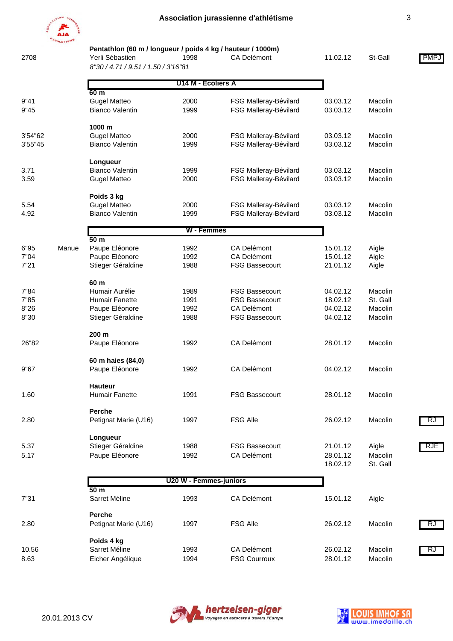

 **Pentathlon (60 m / longueur / poids 4 kg / hauteur / 1000m)**

2708 Yerli Sébastien 1998 CA Delémont 11.02.12 St-Gall PMPJ *8"30 / 4.71 / 9.51 / 1.50 / 3'16"81*

|              |       | 0 JU/4.11/9.31/1.30/JU001          |                        |                                                |                      |          |     |
|--------------|-------|------------------------------------|------------------------|------------------------------------------------|----------------------|----------|-----|
|              |       |                                    |                        |                                                |                      |          |     |
|              |       | 60 <sub>m</sub>                    | U14 M - Ecoliers A     |                                                |                      |          |     |
| 9"41         |       | <b>Gugel Matteo</b>                | 2000                   | FSG Malleray-Bévilard                          | 03.03.12             | Macolin  |     |
| 9"45         |       | <b>Bianco Valentin</b>             | 1999                   | FSG Malleray-Bévilard                          | 03.03.12             | Macolin  |     |
|              |       |                                    |                        |                                                |                      |          |     |
|              |       | 1000 m                             |                        |                                                |                      |          |     |
| 3'54"62      |       | <b>Gugel Matteo</b>                | 2000                   | FSG Malleray-Bévilard                          | 03.03.12             | Macolin  |     |
| 3'55"45      |       | <b>Bianco Valentin</b>             | 1999                   | FSG Malleray-Bévilard                          | 03.03.12             | Macolin  |     |
|              |       |                                    |                        |                                                |                      |          |     |
|              |       | Longueur<br><b>Bianco Valentin</b> |                        |                                                |                      | Macolin  |     |
| 3.71<br>3.59 |       | <b>Gugel Matteo</b>                | 1999<br>2000           | FSG Malleray-Bévilard<br>FSG Malleray-Bévilard | 03.03.12<br>03.03.12 | Macolin  |     |
|              |       |                                    |                        |                                                |                      |          |     |
|              |       | Poids 3 kg                         |                        |                                                |                      |          |     |
| 5.54         |       | <b>Gugel Matteo</b>                | 2000                   | FSG Malleray-Bévilard                          | 03.03.12             | Macolin  |     |
| 4.92         |       | <b>Bianco Valentin</b>             | 1999                   | FSG Malleray-Bévilard                          | 03.03.12             | Macolin  |     |
|              |       |                                    |                        |                                                |                      |          |     |
|              |       |                                    | W - Femmes             |                                                |                      |          |     |
|              |       | 50 <sub>m</sub>                    |                        |                                                |                      |          |     |
| 6"95         | Manue | Paupe Eléonore                     | 1992                   | <b>CA Delémont</b>                             | 15.01.12             | Aigle    |     |
| 7"04         |       | Paupe Eléonore                     | 1992                   | <b>CA Delémont</b>                             | 15.01.12             | Aigle    |     |
| 7"21         |       | Stieger Géraldine                  | 1988                   | <b>FSG Bassecourt</b>                          | 21.01.12             | Aigle    |     |
|              |       | 60 m                               |                        |                                                |                      |          |     |
| 7"84         |       | Humair Aurélie                     | 1989                   | FSG Bassecourt                                 | 04.02.12             | Macolin  |     |
| 7"85         |       | <b>Humair Fanette</b>              | 1991                   | <b>FSG Bassecourt</b>                          | 18.02.12             | St. Gall |     |
| 8"26         |       | Paupe Eléonore                     | 1992                   | <b>CA Delémont</b>                             | 04.02.12             | Macolin  |     |
| 8"30         |       | Stieger Géraldine                  | 1988                   | <b>FSG Bassecourt</b>                          | 04.02.12             | Macolin  |     |
|              |       |                                    |                        |                                                |                      |          |     |
|              |       | 200 m                              |                        |                                                |                      |          |     |
| 26"82        |       | Paupe Eléonore                     | 1992                   | CA Delémont                                    | 28.01.12             | Macolin  |     |
|              |       |                                    |                        |                                                |                      |          |     |
|              |       | 60 m haies (84,0)                  |                        |                                                |                      |          |     |
| 9"67         |       | Paupe Eléonore                     | 1992                   | CA Delémont                                    | 04.02.12             | Macolin  |     |
|              |       |                                    |                        |                                                |                      |          |     |
|              |       | <b>Hauteur</b>                     |                        |                                                |                      |          |     |
| 1.60         |       | <b>Humair Fanette</b>              | 1991                   | <b>FSG Bassecourt</b>                          | 28.01.12             | Macolin  |     |
|              |       | <b>Perche</b>                      |                        |                                                |                      |          |     |
| 2.80         |       | Petignat Marie (U16)               | 1997                   | <b>FSG Alle</b>                                | 26.02.12             | Macolin  | RJ  |
|              |       |                                    |                        |                                                |                      |          |     |
|              |       | Longueur                           |                        |                                                |                      |          |     |
| 5.37         |       | Stieger Géraldine                  | 1988                   | <b>FSG Bassecourt</b>                          | 21.01.12             | Aigle    | RJE |
| 5.17         |       | Paupe Eléonore                     | 1992                   | <b>CA Delémont</b>                             | 28.01.12             | Macolin  |     |
|              |       |                                    |                        |                                                | 18.02.12             | St. Gall |     |
|              |       |                                    |                        |                                                |                      |          |     |
|              |       |                                    | U20 W - Femmes-juniors |                                                |                      |          |     |
| 7"31         |       | 50 <sub>m</sub><br>Sarret Méline   | 1993                   | <b>CA Delémont</b>                             | 15.01.12             | Aigle    |     |
|              |       |                                    |                        |                                                |                      |          |     |
|              |       | Perche                             |                        |                                                |                      |          |     |
| 2.80         |       | Petignat Marie (U16)               | 1997                   | <b>FSG Alle</b>                                | 26.02.12             | Macolin  | RJ  |
|              |       |                                    |                        |                                                |                      |          |     |
|              |       | Poids 4 kg                         |                        |                                                |                      |          |     |
| 10.56        |       | Sarret Méline                      | 1993                   | <b>CA Delémont</b>                             | 26.02.12             | Macolin  | RJ  |
| 8.63         |       | Eicher Angélique                   | 1994                   | <b>FSG Courroux</b>                            | 28.01.12             | Macolin  |     |



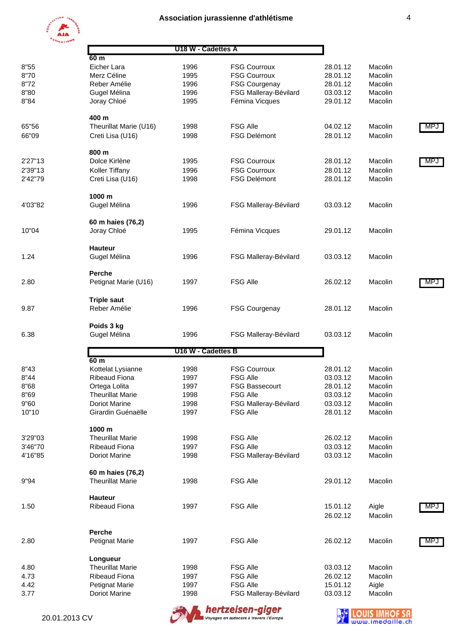8"80 Gugel Mélina 1996 FSG Malleray-Bévilard 03.03.12 Macolin 8"84 Joray Chloé 1995 Fémina Vicques 29.01.12 Macolin

66"09 Creti Lisa (U16) 1998 FSG Delémont 28.01.12 Macolin

2'39"13 Koller Tiffany 1996 FSG Courroux 28.01.12 Macolin 2'42"79 Creti Lisa (U16) 1998 FSG Delémont 28.01.12 Macolin

4'03"82 Gugel Mélina 1996 FSG Malleray-Bévilard 03.03.12 Macolin

10"04 Joray Chloé 1995 Fémina Vicques 29.01.12 Macolin



 **400 m**

 **800 m**

 **1000 m**

 **Hauteur**

 **60 m haies (76,2)**

|      | AJA          |                    |                      |          |         |
|------|--------------|--------------------|----------------------|----------|---------|
|      |              | U18 W - Cadettes A |                      |          |         |
|      | 60 m         |                    |                      |          |         |
| 8"55 | Eicher Lara  | 1996               | <b>FSG Courroux</b>  | 28.01.12 | Macolin |
| 8"70 | Merz Céline  | 1995               | <b>FSG Courroux</b>  | 28.01.12 | Macolin |
| 8"72 | Reber Amélie | 1996               | <b>FSG Courgenay</b> | 28.01.12 | Macolin |

65"56 Theurillat Marie (U16) 1998 FSG Alle 65"56 04.02.12 Macolin MPJ

2'27"13 Dolce Kirlène 1995 FSG Courroux 28.01.12 Macolin <mark>MPJ</mark>

| 1.24    | Gugel Mélina            | 1996               | FSG Malleray-Bévilard | 03.03.12 | Macolin |     |
|---------|-------------------------|--------------------|-----------------------|----------|---------|-----|
|         | Perche                  |                    |                       |          |         |     |
| 2.80    | Petignat Marie (U16)    | 1997               | <b>FSG Alle</b>       | 26.02.12 | Macolin | MP. |
|         | <b>Triple saut</b>      |                    |                       |          |         |     |
| 9.87    | Reber Amélie            | 1996               | <b>FSG Courgenay</b>  | 28.01.12 | Macolin |     |
|         | Poids 3 kg              |                    |                       |          |         |     |
| 6.38    | Gugel Mélina            | 1996               | FSG Malleray-Bévilard | 03.03.12 | Macolin |     |
|         |                         | U16 W - Cadettes B |                       |          |         |     |
|         | 60 <sub>m</sub>         |                    |                       |          |         |     |
| 8"43    | Kottelat Lysianne       | 1998               | <b>FSG Courroux</b>   | 28.01.12 | Macolin |     |
| 8"44    | <b>Ribeaud Fiona</b>    | 1997               | <b>FSG Alle</b>       | 03.03.12 | Macolin |     |
| 8"68    | Ortega Lolita           | 1997               | <b>FSG Bassecourt</b> | 28.01.12 | Macolin |     |
| 8"69    | <b>Theurillat Marie</b> | 1998               | <b>FSG Alle</b>       | 03.03.12 | Macolin |     |
| 9"60    | <b>Doriot Marine</b>    | 1998               | FSG Malleray-Bévilard | 03.03.12 | Macolin |     |
| 10"10   | Girardin Guénaëlle      | 1997               | <b>FSG Alle</b>       | 28.01.12 | Macolin |     |
|         | 1000 m                  |                    |                       |          |         |     |
| 3'29"03 | <b>Theurillat Marie</b> | 1998               | <b>FSG Alle</b>       | 26.02.12 | Macolin |     |
| 3'46"70 | <b>Ribeaud Fiona</b>    | 1997               | <b>FSG Alle</b>       | 03.03.12 | Macolin |     |
| 4'16"85 | <b>Doriot Marine</b>    | 1998               | FSG Malleray-Bévilard | 03.03.12 | Macolin |     |
|         | 60 m haies (76,2)       |                    |                       |          |         |     |
| 9"94    | <b>Theurillat Marie</b> | 1998               | <b>FSG Alle</b>       | 29.01.12 | Macolin |     |
|         | <b>Hauteur</b>          |                    |                       |          |         |     |
| 1.50    | Ribeaud Fiona           | 1997               | <b>FSG Alle</b>       | 15.01.12 | Aigle   | MP. |
|         |                         |                    |                       | 26.02.12 | Macolin |     |
|         | Perche                  |                    |                       |          |         |     |
| 2.80    | Petignat Marie          | 1997               | <b>FSG Alle</b>       | 26.02.12 | Macolin | MP. |
|         | Longueur                |                    |                       |          |         |     |
| 4.80    | <b>Theurillat Marie</b> | 1998               | <b>FSG Alle</b>       | 03.03.12 | Macolin |     |
| 4.73    | <b>Ribeaud Fiona</b>    | 1997               | <b>FSG Alle</b>       | 26.02.12 | Macolin |     |
| 4.42    | Petignat Marie          | 1997               | <b>FSG Alle</b>       | 15.01.12 | Aigle   |     |

3.77 Doriot Marine 1998 FSG Malleray-Bévilard 03.03.12 Macolin





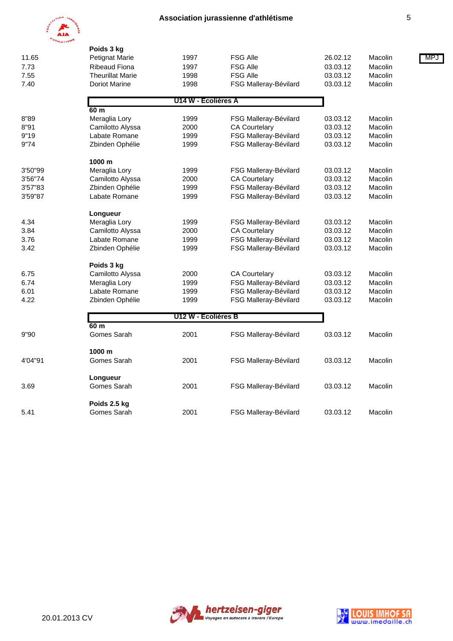

|         | Poids 3 kg              |                     |                       |          |         |     |
|---------|-------------------------|---------------------|-----------------------|----------|---------|-----|
| 11.65   | <b>Petignat Marie</b>   | 1997                | <b>FSG Alle</b>       | 26.02.12 | Macolin | MP. |
| 7.73    | <b>Ribeaud Fiona</b>    | 1997                | <b>FSG Alle</b>       | 03.03.12 | Macolin |     |
| 7.55    | <b>Theurillat Marie</b> | 1998                | <b>FSG Alle</b>       | 03.03.12 | Macolin |     |
| 7.40    | Doriot Marine           | 1998                | FSG Malleray-Bévilard | 03.03.12 | Macolin |     |
|         |                         | U14 W - Ecolières A |                       |          |         |     |
|         | 60 m                    |                     |                       |          |         |     |
| 8"89    | Meraglia Lory           | 1999                | FSG Malleray-Bévilard | 03.03.12 | Macolin |     |
| 8"91    | Camilotto Alyssa        | 2000                | <b>CA Courtelary</b>  | 03.03.12 | Macolin |     |
| 9"19    | Labate Romane           | 1999                | FSG Malleray-Bévilard | 03.03.12 | Macolin |     |
| 9"74    | Zbinden Ophélie         | 1999                | FSG Malleray-Bévilard | 03.03.12 | Macolin |     |
|         | 1000 m                  |                     |                       |          |         |     |
| 3'50"99 | Meraglia Lory           | 1999                | FSG Malleray-Bévilard | 03.03.12 | Macolin |     |
| 3'56"74 | Camilotto Alyssa        | 2000                | <b>CA Courtelary</b>  | 03.03.12 | Macolin |     |
| 3'57"83 | Zbinden Ophélie         | 1999                | FSG Malleray-Bévilard | 03.03.12 | Macolin |     |
| 3'59"87 | Labate Romane           | 1999                | FSG Malleray-Bévilard | 03.03.12 | Macolin |     |
|         | Longueur                |                     |                       |          |         |     |
| 4.34    | Meraglia Lory           | 1999                | FSG Malleray-Bévilard | 03.03.12 | Macolin |     |
| 3.84    | Camilotto Alyssa        | 2000                | <b>CA Courtelary</b>  | 03.03.12 | Macolin |     |
| 3.76    | Labate Romane           | 1999                | FSG Malleray-Bévilard | 03.03.12 | Macolin |     |
| 3.42    | Zbinden Ophélie         | 1999                | FSG Malleray-Bévilard | 03.03.12 | Macolin |     |
|         | Poids 3 kg              |                     |                       |          |         |     |
| 6.75    | Camilotto Alyssa        | 2000                | <b>CA Courtelary</b>  | 03.03.12 | Macolin |     |
| 6.74    | Meraglia Lory           | 1999                | FSG Malleray-Bévilard | 03.03.12 | Macolin |     |
| 6.01    | Labate Romane           | 1999                | FSG Malleray-Bévilard | 03.03.12 | Macolin |     |
| 4.22    | Zbinden Ophélie         | 1999                | FSG Malleray-Bévilard | 03.03.12 | Macolin |     |
|         |                         | U12 W - Ecolières B |                       |          |         |     |
| 9"90    | 60 m<br>Gomes Sarah     | 2001                | FSG Malleray-Bévilard | 03.03.12 | Macolin |     |
|         |                         |                     |                       |          |         |     |
| 4'04"91 | 1000 m<br>Gomes Sarah   | 2001                | FSG Malleray-Bévilard | 03.03.12 | Macolin |     |
|         |                         |                     |                       |          |         |     |
|         | Longueur<br>Gomes Sarah | 2001                |                       | 03.03.12 |         |     |
| 3.69    |                         |                     | FSG Malleray-Bévilard |          | Macolin |     |
|         | Poids 2.5 kg            |                     |                       |          |         |     |
| 5.41    | Gomes Sarah             | 2001                | FSG Malleray-Bévilard | 03.03.12 | Macolin |     |



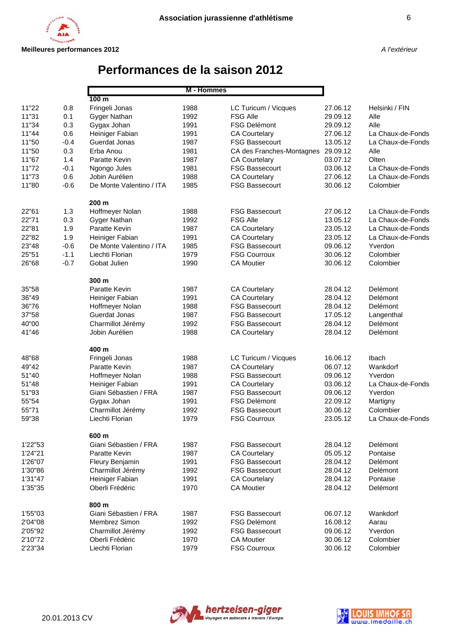# **Performances de la saison 2012**

|         |        | M - Hommes               |      |                                    |          |                   |
|---------|--------|--------------------------|------|------------------------------------|----------|-------------------|
|         |        | 100 <sub>m</sub>         |      |                                    |          |                   |
| 11"22   | 0.8    | Fringeli Jonas           | 1988 | LC Turicum / Vicques               | 27.06.12 | Helsinki / FIN    |
| 11"31   | 0.1    | Gyger Nathan             | 1992 | <b>FSG Alle</b>                    | 29.09.12 | Alle              |
| 11"34   | 0.3    | Gygax Johan              | 1991 | <b>FSG Delémont</b>                | 29.09.12 | Alle              |
| 11"44   | 0.6    | Heiniger Fabian          | 1991 | <b>CA Courtelary</b>               | 27.06.12 | La Chaux-de-Fonds |
| 11"50   | $-0.4$ | Guerdat Jonas            | 1987 | <b>FSG Bassecourt</b>              | 13.05.12 | La Chaux-de-Fonds |
| 11"50   | 0.3    | Erba Anou                | 1981 | CA des Franches-Montagnes 29.09.12 |          | Alle              |
| 11"67   | 1.4    | Paratte Kevin            | 1987 | <b>CA Courtelary</b>               | 03.07.12 | Olten             |
| 11"72   | $-0.1$ | Ngongo Jules             | 1981 | <b>FSG Bassecourt</b>              | 03.06.12 | La Chaux-de-Fonds |
| 11"73   | 0.6    | Jobin Aurélien           | 1988 | <b>CA Courtelary</b>               | 27.06.12 | La Chaux-de-Fonds |
| 11"80   | $-0.6$ | De Monte Valentino / ITA | 1985 | <b>FSG Bassecourt</b>              | 30.06.12 | Colombier         |
|         |        | 200 m                    |      |                                    |          |                   |
| 22"61   | 1.3    | Hoffmeyer Nolan          | 1988 | <b>FSG Bassecourt</b>              | 27.06.12 | La Chaux-de-Fonds |
| 22"71   | 0.3    | Gyger Nathan             | 1992 | <b>FSG Alle</b>                    | 13.05.12 | La Chaux-de-Fonds |
| 22"81   | 1.9    | Paratte Kevin            | 1987 | <b>CA Courtelary</b>               | 23.05.12 | La Chaux-de-Fonds |
| 22"82   | 1.9    | Heiniger Fabian          | 1991 | <b>CA Courtelary</b>               | 23.05.12 | La Chaux-de-Fonds |
| 23"48   | $-0.6$ | De Monte Valentino / ITA | 1985 | <b>FSG Bassecourt</b>              | 09.06.12 | Yverdon           |
| 25"51   | $-1.1$ | Liechti Florian          | 1979 | <b>FSG Courroux</b>                | 30.06.12 | Colombier         |
| 26"68   | $-0.7$ | Gobat Julien             | 1990 | <b>CA Moutier</b>                  | 30.06.12 | Colombier         |
|         |        | 300 m                    |      |                                    |          |                   |
| 35"58   |        | Paratte Kevin            | 1987 | <b>CA Courtelary</b>               | 28.04.12 | Delémont          |
| 36"49   |        | Heiniger Fabian          | 1991 | <b>CA Courtelary</b>               | 28.04.12 | Delémont          |
| 36"76   |        | Hoffmeyer Nolan          | 1988 | <b>FSG Bassecourt</b>              | 28.04.12 | Delémont          |
| 37"58   |        | Guerdat Jonas            | 1987 | <b>FSG Bassecourt</b>              | 17.05.12 | Langenthal        |
| 40"00   |        | Charmillot Jérémy        | 1992 | <b>FSG Bassecourt</b>              | 28.04.12 | Delémont          |
| 41"46   |        | Jobin Aurélien           | 1988 | <b>CA Courtelary</b>               | 28.04.12 | Delémont          |
|         |        | 400 m                    |      |                                    |          |                   |
| 48"68   |        | Fringeli Jonas           | 1988 | LC Turicum / Vicques               | 16.06.12 | Ibach             |
| 49"42   |        | Paratte Kevin            | 1987 | <b>CA Courtelary</b>               | 06.07.12 | Wankdorf          |
| 51"40   |        | Hoffmeyer Nolan          | 1988 | <b>FSG Bassecourt</b>              | 09.06.12 | Yverdon           |
| 51"48   |        | Heiniger Fabian          | 1991 | <b>CA Courtelary</b>               | 03.06.12 | La Chaux-de-Fonds |
| 51"93   |        | Giani Sébastien / FRA    | 1987 | <b>FSG Bassecourt</b>              | 09.06.12 | Yverdon           |
| 55"54   |        | Gygax Johan              | 1991 | <b>FSG Delémont</b>                | 22.09.12 | Martigny          |
| 55"71   |        | Charmillot Jérémy        | 1992 | <b>FSG Bassecourt</b>              | 30.06.12 | Colombier         |
| 59"38   |        | Liechti Florian          | 1979 | <b>FSG Courroux</b>                | 23.05.12 | La Chaux-de-Fonds |
|         |        | 600 m                    |      |                                    |          |                   |
| 1'22"53 |        | Giani Sébastien / FRA    | 1987 | <b>FSG Bassecourt</b>              | 28.04.12 | Delémont          |
| 1'24"21 |        | Paratte Kevin            | 1987 | <b>CA Courtelary</b>               | 05.05.12 | Pontaise          |
| 1'26"07 |        | Fleury Benjamin          | 1991 | <b>FSG Bassecourt</b>              | 28.04.12 | Delémont          |
| 1'30"86 |        | Charmillot Jérémy        | 1992 | <b>FSG Bassecourt</b>              | 28.04.12 | Delémont          |
| 1'31"47 |        | Heiniger Fabian          | 1991 | <b>CA Courtelary</b>               | 28.04.12 | Pontaise          |
| 1'35"35 |        | Oberli Frédéric          | 1970 | <b>CA Moutier</b>                  | 28.04.12 | Delémont          |
|         |        | 800 m                    |      |                                    |          |                   |
| 1'55"03 |        | Giani Sébastien / FRA    | 1987 | <b>FSG Bassecourt</b>              | 06.07.12 | Wankdorf          |
| 2'04"08 |        | Membrez Simon            | 1992 | <b>FSG Delémont</b>                | 16.08.12 | Aarau             |
| 2'05"92 |        | Charmillot Jérémy        | 1992 | <b>FSG Bassecourt</b>              | 09.06.12 | Yverdon           |
| 2'10"72 |        | Oberli Frédéric          | 1970 | <b>CA Moutier</b>                  | 30.06.12 | Colombier         |
| 2'23"34 |        | Liechti Florian          | 1979 | <b>FSG Courroux</b>                | 30.06.12 | Colombier         |



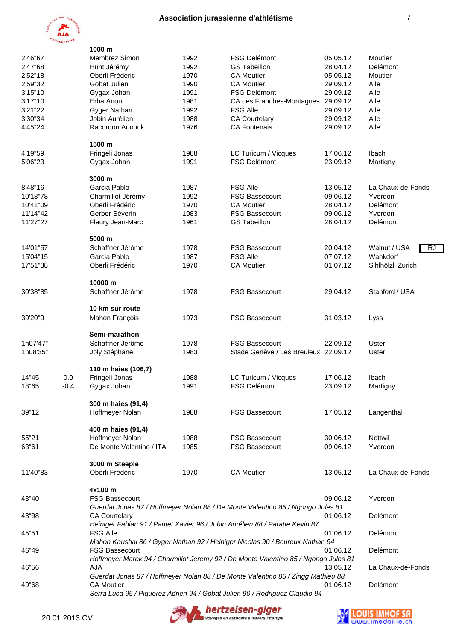

|          | MLETI <sub>B</sub> | 1000 m                   |      |                                                                                     |          |                    |
|----------|--------------------|--------------------------|------|-------------------------------------------------------------------------------------|----------|--------------------|
| 2'46"67  |                    | Membrez Simon            | 1992 | <b>FSG Delémont</b>                                                                 | 05.05.12 | Moutier            |
| 2'47"68  |                    | Hunt Jérémy              | 1992 | <b>GS Tabeillon</b>                                                                 | 28.04.12 | Delémont           |
| 2'52"18  |                    | Oberli Frédéric          | 1970 | <b>CA Moutier</b>                                                                   | 05.05.12 | Moutier            |
| 2'59"32  |                    | Gobat Julien             | 1990 | <b>CA Moutier</b>                                                                   | 29.09.12 | Alle               |
| 3'15"10  |                    |                          | 1991 | <b>FSG Delémont</b>                                                                 | 29.09.12 | Alle               |
| 3'17"10  |                    | Gygax Johan<br>Erba Anou | 1981 | CA des Franches-Montagnes                                                           | 29.09.12 | Alle               |
| 3'21"22  |                    | Gyger Nathan             | 1992 | <b>FSG Alle</b>                                                                     | 29.09.12 | Alle               |
| 3'30"34  |                    | Jobin Aurélien           | 1988 | <b>CA Courtelary</b>                                                                | 29.09.12 | Alle               |
| 4'45"24  |                    | Racordon Anouck          | 1976 | <b>CA Fontenais</b>                                                                 | 29.09.12 | Alle               |
|          |                    |                          |      |                                                                                     |          |                    |
|          |                    | 1500 m                   |      |                                                                                     |          |                    |
| 4'19"59  |                    | Fringeli Jonas           | 1988 | LC Turicum / Vicques                                                                | 17.06.12 | Ibach              |
| 5'06"23  |                    | Gygax Johan              | 1991 | <b>FSG Delémont</b>                                                                 | 23.09.12 | Martigny           |
|          |                    |                          |      |                                                                                     |          |                    |
|          |                    | 3000 m                   |      |                                                                                     |          |                    |
| 8'48"16  |                    | Garcia Pablo             | 1987 | <b>FSG Alle</b>                                                                     | 13.05.12 | La Chaux-de-Fonds  |
| 10'18"78 |                    | Charmillot Jérémy        | 1992 | <b>FSG Bassecourt</b>                                                               | 09.06.12 | Yverdon            |
| 10'41"09 |                    | Oberli Frédéric          | 1970 | <b>CA Moutier</b>                                                                   | 28.04.12 | Delémont           |
| 11'14"42 |                    | Gerber Séverin           | 1983 | <b>FSG Bassecourt</b>                                                               | 09.06.12 | Yverdon            |
| 11'27"27 |                    | Fleury Jean-Marc         | 1961 | <b>GS Tabeillon</b>                                                                 | 28.04.12 | Delémont           |
|          |                    |                          |      |                                                                                     |          |                    |
|          |                    | 5000 m                   |      |                                                                                     |          |                    |
| 14'01"57 |                    | Schaffner Jérôme         | 1978 | <b>FSG Bassecourt</b>                                                               | 20.04.12 | Walnut / USA<br>R. |
| 15'04"15 |                    | Garcia Pablo             | 1987 | <b>FSG Alle</b>                                                                     | 07.07.12 | Wankdorf           |
| 17'51"38 |                    | Oberli Frédéric          | 1970 | <b>CA Moutier</b>                                                                   | 01.07.12 | Sihlhölzli Zurich  |
|          |                    | 10000 m                  |      |                                                                                     |          |                    |
|          |                    |                          |      |                                                                                     |          |                    |
| 30'38"85 |                    | Schaffner Jérôme         | 1978 | <b>FSG Bassecourt</b>                                                               | 29.04.12 | Stanford / USA     |
|          |                    | 10 km sur route          |      |                                                                                     |          |                    |
| 39'20"9  |                    | Mahon François           | 1973 | <b>FSG Bassecourt</b>                                                               | 31.03.12 | Lyss               |
|          |                    |                          |      |                                                                                     |          |                    |
|          |                    | Semi-marathon            |      |                                                                                     |          |                    |
| 1h07'47" |                    | Schaffner Jérôme         | 1978 | <b>FSG Bassecourt</b>                                                               | 22.09.12 | Uster              |
| 1h08'35" |                    | Joly Stéphane            | 1983 | Stade Genève / Les Breuleux 22.09.12                                                |          | Uster              |
|          |                    |                          |      |                                                                                     |          |                    |
|          |                    | 110 m haies (106,7)      |      |                                                                                     |          |                    |
| 14"45    | 0.0                | Fringeli Jonas           | 1988 | LC Turicum / Vicques                                                                | 17.06.12 | Ibach              |
| 18"65    | $-0.4$             | Gygax Johan              | 1991 | FSG Delémont                                                                        | 23.09.12 | Martigny           |
|          |                    |                          |      |                                                                                     |          |                    |
|          |                    | 300 m haies (91,4)       |      |                                                                                     |          |                    |
| 39"12    |                    | Hoffmeyer Nolan          | 1988 | <b>FSG Bassecourt</b>                                                               | 17.05.12 | Langenthal         |
|          |                    | 400 m haies (91,4)       |      |                                                                                     |          |                    |
| 55"21    |                    | Hoffmeyer Nolan          | 1988 | <b>FSG Bassecourt</b>                                                               | 30.06.12 | Nottwil            |
| 63"61    |                    | De Monte Valentino / ITA | 1985 | <b>FSG Bassecourt</b>                                                               | 09.06.12 | Yverdon            |
|          |                    |                          |      |                                                                                     |          |                    |
|          |                    | 3000 m Steeple           |      |                                                                                     |          |                    |
| 11'40"83 |                    | Oberli Frédéric          | 1970 | <b>CA Moutier</b>                                                                   | 13.05.12 | La Chaux-de-Fonds  |
|          |                    |                          |      |                                                                                     |          |                    |
|          |                    | 4x100 m                  |      |                                                                                     |          |                    |
| 43"40    |                    | <b>FSG Bassecourt</b>    |      |                                                                                     | 09.06.12 | Yverdon            |
|          |                    |                          |      | Guerdat Jonas 87 / Hoffmeyer Nolan 88 / De Monte Valentino 85 / Ngongo Jules 81     |          |                    |
| 43"98    |                    | <b>CA Courtelary</b>     |      |                                                                                     | 01.06.12 | Delémont           |
|          |                    |                          |      | Heiniger Fabian 91 / Pantet Xavier 96 / Jobin Aurélien 88 / Paratte Kevin 87        |          |                    |
| 45"51    |                    | <b>FSG Alle</b>          |      |                                                                                     | 01.06.12 | Delémont           |
|          |                    |                          |      | Mahon Kaushal 86 / Gyger Nathan 92 / Heiniger Nicolas 90 / Beureux Nathan 94        |          |                    |
| 46"49    |                    | <b>FSG Bassecourt</b>    |      |                                                                                     | 01.06.12 | Delémont           |
|          |                    |                          |      | Hoffmeyer Marek 94 / Charmillot Jérémy 92 / De Monte Valentino 85 / Ngongo Jules 81 |          |                    |
| 46"56    |                    | AJA                      |      |                                                                                     | 13.05.12 | La Chaux-de-Fonds  |
|          |                    |                          |      | Guerdat Jonas 87 / Hoffmeyer Nolan 88 / De Monte Valentino 85 / Zingg Mathieu 88    |          |                    |
| 49"68    |                    | <b>CA Moutier</b>        |      |                                                                                     | 01.06.12 | Delémont           |
|          |                    |                          |      | Serra Luca 95 / Piquerez Adrien 94 / Gobat Julien 90 / Rodriguez Claudio 94         |          |                    |



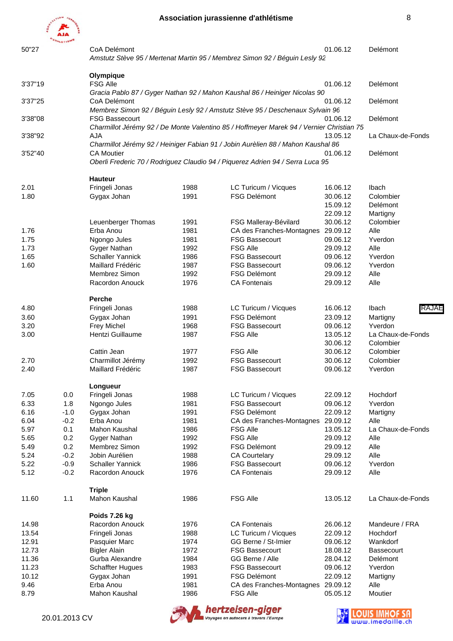

| 50"27         |               | CoA Delémont                     |              |                                                                                          | 01.06.12             | Delémont                  |
|---------------|---------------|----------------------------------|--------------|------------------------------------------------------------------------------------------|----------------------|---------------------------|
|               |               |                                  |              | Amstutz Stève 95 / Mertenat Martin 95 / Membrez Simon 92 / Béguin Lesly 92               |                      |                           |
|               |               |                                  |              |                                                                                          |                      |                           |
| 3'37"19       |               | Olympique<br><b>FSG Alle</b>     |              |                                                                                          | 01.06.12             | Delémont                  |
|               |               |                                  |              | Gracia Pablo 87 / Gyger Nathan 92 / Mahon Kaushal 86 / Heiniger Nicolas 90               |                      |                           |
| 3'37"25       |               | CoA Delémont                     |              |                                                                                          | 01.06.12             | Delémont                  |
|               |               |                                  |              | Membrez Simon 92 / Béguin Lesly 92 / Amstutz Stève 95 / Deschenaux Sylvain 96            |                      |                           |
| 3'38"08       |               | <b>FSG Bassecourt</b>            |              |                                                                                          | 01.06.12             | Delémont                  |
|               |               |                                  |              | Charmillot Jérémy 92 / De Monte Valentino 85 / Hoffmeyer Marek 94 / Vernier Christian 75 |                      |                           |
| 3'38"92       |               | <b>AJA</b>                       |              |                                                                                          | 13.05.12             | La Chaux-de-Fonds         |
|               |               |                                  |              | Charmillot Jérémy 92 / Heiniger Fabian 91 / Jobin Aurèlien 88 / Mahon Kaushal 86         |                      |                           |
| 3'52"40       |               | <b>CA Moutier</b>                |              |                                                                                          | 01.06.12             | Delémont                  |
|               |               |                                  |              | Oberli Frederic 70 / Rodriguez Claudio 94 / Piquerez Adrien 94 / Serra Luca 95           |                      |                           |
|               |               |                                  |              |                                                                                          |                      |                           |
|               |               | <b>Hauteur</b>                   |              |                                                                                          |                      |                           |
| 2.01          |               | Fringeli Jonas                   | 1988         | LC Turicum / Vicques                                                                     | 16.06.12             | Ibach                     |
| 1.80          |               | Gygax Johan                      | 1991         | FSG Delémont                                                                             | 30.06.12             | Colombier                 |
|               |               |                                  |              |                                                                                          | 15.09.12             | Delémont                  |
|               |               |                                  |              |                                                                                          | 22.09.12             | Martigny                  |
|               |               | Leuenberger Thomas               | 1991         | FSG Malleray-Bévilard                                                                    | 30.06.12             | Colombier                 |
| 1.76          |               | Erba Anou                        | 1981         | CA des Franches-Montagnes 29.09.12                                                       |                      | Alle                      |
| 1.75          |               | Ngongo Jules                     | 1981         | <b>FSG Bassecourt</b>                                                                    | 09.06.12             | Yverdon                   |
| 1.73          |               | Gyger Nathan                     | 1992         | <b>FSG Alle</b>                                                                          | 29.09.12             | Alle                      |
| 1.65          |               | <b>Schaller Yannick</b>          | 1986         | <b>FSG Bassecourt</b>                                                                    | 09.06.12             | Yverdon                   |
| 1.60          |               | Maillard Frédéric                | 1987         | <b>FSG Bassecourt</b>                                                                    | 09.06.12             | Yverdon                   |
|               |               | Membrez Simon<br>Racordon Anouck | 1992<br>1976 | <b>FSG Delémont</b><br><b>CA Fontenais</b>                                               | 29.09.12<br>29.09.12 | Alle<br>Alle              |
|               |               |                                  |              |                                                                                          |                      |                           |
|               |               | Perche                           |              |                                                                                          |                      |                           |
| 4.80          |               | Fringeli Jonas                   | 1988         | LC Turicum / Vicques                                                                     | 16.06.12             | RAJAE<br>Ibach            |
| 3.60          |               | Gygax Johan                      | 1991         | <b>FSG Delémont</b>                                                                      | 23.09.12             | Martigny                  |
| 3.20          |               | Frey Michel                      | 1968         | <b>FSG Bassecourt</b>                                                                    | 09.06.12             | Yverdon                   |
| 3.00          |               | Hentzi Guillaume                 | 1987         | <b>FSG Alle</b>                                                                          | 13.05.12             | La Chaux-de-Fonds         |
|               |               |                                  |              |                                                                                          | 30.06.12             | Colombier                 |
|               |               | Cattin Jean                      | 1977         | <b>FSG Alle</b>                                                                          | 30.06.12             | Colombier                 |
| 2.70          |               | Charmillot Jérémy                | 1992         | <b>FSG Bassecourt</b>                                                                    | 30.06.12             | Colombier                 |
| 2.40          |               | Maillard Frédéric                | 1987         | <b>FSG Bassecourt</b>                                                                    | 09.06.12             | Yverdon                   |
|               |               |                                  |              |                                                                                          |                      |                           |
|               |               | Longueur                         |              |                                                                                          |                      |                           |
| 7.05          | 0.0           | Fringeli Jonas                   | 1988         | LC Turicum / Vicques                                                                     | 22.09.12             | Hochdorf                  |
| 6.33          | 1.8           | Ngongo Jules                     | 1981         | <b>FSG Bassecourt</b>                                                                    | 09.06.12             | Yverdon                   |
| 6.16          | $-1.0$        | Gygax Johan                      | 1991         | <b>FSG Delémont</b>                                                                      | 22.09.12             | Martigny                  |
| 6.04          | $-0.2$<br>0.1 | Erba Anou<br>Mahon Kaushal       | 1981<br>1986 | CA des Franches-Montagnes 29.09.12<br><b>FSG Alle</b>                                    | 13.05.12             | Alle<br>La Chaux-de-Fonds |
| 5.97<br>5.65  | 0.2           | Gyger Nathan                     | 1992         | <b>FSG Alle</b>                                                                          | 29.09.12             | Alle                      |
| 5.49          | 0.2           | Membrez Simon                    | 1992         | FSG Delémont                                                                             | 29.09.12             | Alle                      |
| 5.24          | $-0.2$        | Jobin Aurélien                   | 1988         | <b>CA Courtelary</b>                                                                     | 29.09.12             | Alle                      |
| 5.22          | $-0.9$        | <b>Schaller Yannick</b>          | 1986         | <b>FSG Bassecourt</b>                                                                    | 09.06.12             | Yverdon                   |
| 5.12          | $-0.2$        | Racordon Anouck                  | 1976         | <b>CA Fontenais</b>                                                                      | 29.09.12             | Alle                      |
|               |               |                                  |              |                                                                                          |                      |                           |
|               |               | <b>Triple</b>                    |              |                                                                                          |                      |                           |
| 11.60         | 1.1           | Mahon Kaushal                    | 1986         | <b>FSG Alle</b>                                                                          | 13.05.12             | La Chaux-de-Fonds         |
|               |               |                                  |              |                                                                                          |                      |                           |
|               |               | Poids 7.26 kg                    |              |                                                                                          |                      |                           |
| 14.98         |               | Racordon Anouck                  | 1976         | <b>CA Fontenais</b>                                                                      | 26.06.12             | Mandeure / FRA            |
| 13.54         |               | Fringeli Jonas                   | 1988         | LC Turicum / Vicques                                                                     | 22.09.12             | Hochdorf                  |
| 12.91         |               | Pasquier Marc                    | 1974         | GG Berne / St-Imier                                                                      | 09.06.12             | Wankdorf                  |
| 12.73         |               | <b>Bigler Alain</b>              | 1972         | <b>FSG Bassecourt</b>                                                                    | 18.08.12             | <b>Bassecourt</b>         |
| 11.36         |               | Gurba Alexandre                  | 1984         | GG Berne / Alle                                                                          | 28.04.12             | Delémont                  |
| 11.23         |               | <b>Schaffter Hugues</b>          | 1983         | <b>FSG Bassecourt</b>                                                                    | 09.06.12             | Yverdon                   |
| 10.12<br>9.46 |               | Gygax Johan<br>Erba Anou         | 1991<br>1981 | <b>FSG Delémont</b><br>CA des Franches-Montagnes 29.09.12                                | 22.09.12             | Martigny<br>Alle          |
| 8.79          |               | Mahon Kaushal                    | 1986         | <b>FSG Alle</b>                                                                          | 05.05.12             | Moutier                   |
|               |               |                                  |              |                                                                                          |                      |                           |



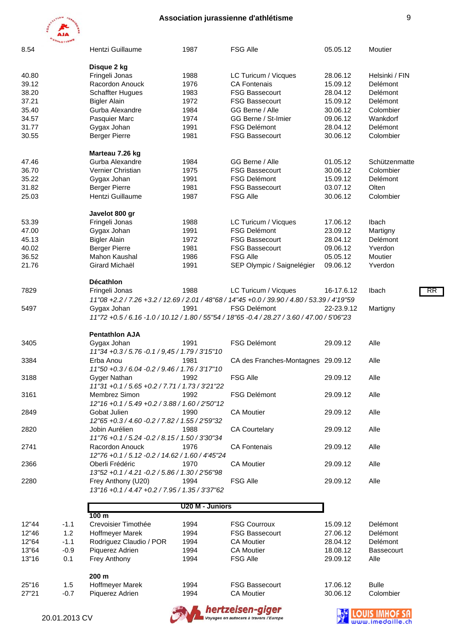

20.01.2013 CV

| 8.54  |        | Hentzi Guillaume                                                        | 1987            | <b>FSG Alle</b>                                                                             | 05.05.12   | Moutier           |
|-------|--------|-------------------------------------------------------------------------|-----------------|---------------------------------------------------------------------------------------------|------------|-------------------|
|       |        | Disque 2 kg                                                             |                 |                                                                                             |            |                   |
| 40.80 |        | Fringeli Jonas                                                          | 1988            | LC Turicum / Vicques                                                                        | 28.06.12   | Helsinki / FIN    |
| 39.12 |        | Racordon Anouck                                                         | 1976            | <b>CA Fontenais</b>                                                                         | 15.09.12   | Delémont          |
| 38.20 |        | <b>Schaffter Hugues</b>                                                 | 1983            | <b>FSG Bassecourt</b>                                                                       | 28.04.12   | Delémont          |
| 37.21 |        | <b>Bigler Alain</b>                                                     | 1972            | <b>FSG Bassecourt</b>                                                                       | 15.09.12   | Delémont          |
| 35.40 |        | Gurba Alexandre                                                         | 1984            | GG Berne / Alle                                                                             | 30.06.12   | Colombier         |
| 34.57 |        | Pasquier Marc                                                           | 1974            | GG Berne / St-Imier                                                                         | 09.06.12   | Wankdorf          |
| 31.77 |        | Gygax Johan                                                             | 1991            | <b>FSG Delémont</b>                                                                         | 28.04.12   | Delémont          |
| 30.55 |        | <b>Berger Pierre</b>                                                    | 1981            | <b>FSG Bassecourt</b>                                                                       | 30.06.12   | Colombier         |
|       |        | Marteau 7.26 kg                                                         |                 |                                                                                             |            |                   |
| 47.46 |        | Gurba Alexandre                                                         | 1984            | GG Berne / Alle                                                                             | 01.05.12   | Schützenmatte     |
| 36.70 |        | Vernier Christian                                                       | 1975            | <b>FSG Bassecourt</b>                                                                       | 30.06.12   | Colombier         |
| 35.22 |        | Gygax Johan                                                             | 1991            | <b>FSG Delémont</b>                                                                         | 15.09.12   | Delémont          |
| 31.82 |        | <b>Berger Pierre</b>                                                    | 1981            | <b>FSG Bassecourt</b>                                                                       | 03.07.12   | Olten             |
| 25.03 |        | Hentzi Guillaume                                                        | 1987            | <b>FSG Alle</b>                                                                             | 30.06.12   | Colombier         |
|       |        | Javelot 800 gr                                                          |                 |                                                                                             |            |                   |
| 53.39 |        | Fringeli Jonas                                                          | 1988            | LC Turicum / Vicques                                                                        | 17.06.12   | Ibach             |
| 47.00 |        | Gygax Johan                                                             | 1991            | <b>FSG Delémont</b>                                                                         | 23.09.12   | Martigny          |
| 45.13 |        | <b>Bigler Alain</b>                                                     | 1972            | <b>FSG Bassecourt</b>                                                                       | 28.04.12   | Delémont          |
| 40.02 |        | <b>Berger Pierre</b>                                                    | 1981            | <b>FSG Bassecourt</b>                                                                       | 09.06.12   | Yverdon           |
| 36.52 |        | Mahon Kaushal                                                           | 1986            | <b>FSG Alle</b>                                                                             | 05.05.12   | Moutier           |
| 21.76 |        | Girard Michaël                                                          | 1991            | SEP Olympic / Saignelégier                                                                  | 09.06.12   | Yverdon           |
|       |        |                                                                         |                 |                                                                                             |            |                   |
|       |        | <b>Décathlon</b>                                                        |                 |                                                                                             |            |                   |
| 7829  |        | Fringeli Jonas                                                          | 1988            | LC Turicum / Vicques                                                                        | 16-17.6.12 | RR<br>Ibach       |
|       |        |                                                                         |                 | 11"08 +2.2 / 7.26 +3.2 / 12.69 / 2.01 / 48"68 / 14"45 +0.0 / 39.90 / 4.80 / 53.39 / 4'19"59 |            |                   |
| 5497  |        | Gygax Johan                                                             | 1991            | <b>FSG Delémont</b>                                                                         | 22-23.9.12 | Martigny          |
|       |        |                                                                         |                 | 11"72 +0.5 / 6.16 -1.0 / 10.12 / 1.80 / 55"54 / 18"65 -0.4 / 28.27 / 3.60 / 47.00 / 5'06"23 |            |                   |
|       |        | <b>Pentathlon AJA</b>                                                   |                 |                                                                                             |            |                   |
| 3405  |        | Gygax Johan                                                             | 1991            | <b>FSG Delémont</b>                                                                         | 29.09.12   | Alle              |
|       |        | 11"34 + 0.3 / 5.76 - 0.1 / 9,45 / 1.79 / 3'15"10                        |                 |                                                                                             |            |                   |
| 3384  |        | Erba Anou                                                               | 1981            | CA des Franches-Montagnes 29.09.12                                                          |            | Alle              |
|       |        | 11"50 +0.3 / 6.04 -0.2 / 9.46 / 1.76 / 3'17"10                          |                 |                                                                                             |            |                   |
| 3188  |        | Gyger Nathan                                                            | 1992            | <b>FSG Alle</b>                                                                             | 29.09.12   | Alle              |
|       |        | 11"31 +0.1 / 5.65 +0.2 / 7.71 / 1.73 / 3'21"22                          |                 |                                                                                             |            |                   |
| 3161  |        | Membrez Simon                                                           | 1992            | <b>FSG Delémont</b>                                                                         | 29.09.12   | Alle              |
|       |        | 12"16 +0.1 / 5.49 +0.2 / 3.88 / 1.60 / 2'50"12                          |                 |                                                                                             |            |                   |
| 2849  |        | Gobat Julien                                                            | 1990            | <b>CA Moutier</b>                                                                           | 29.09.12   | Alle              |
|       |        | 12"65 + 0.3 / 4.60 - 0.2 / 7.82 / 1.55 / 2'59"32                        |                 |                                                                                             |            |                   |
| 2820  |        | Jobin Aurélien                                                          | 1988            | <b>CA Courtelary</b>                                                                        | 29.09.12   | Alle              |
|       |        | 11"76 + 0.1 / 5.24 - 0.2 / 8.15 / 1.50 / 3'30"34                        |                 |                                                                                             |            |                   |
| 2741  |        | Racordon Anouck                                                         | 1976            | <b>CA Fontenais</b>                                                                         | 29.09.12   | Alle              |
|       |        |                                                                         |                 |                                                                                             |            |                   |
|       |        | 12"76 +0.1 / 5.12 -0.2 / 14.62 / 1.60 / 4'45"24                         |                 |                                                                                             |            |                   |
| 2366  |        | Oberli Frédéric                                                         | 1970            | <b>CA Moutier</b>                                                                           | 29.09.12   | Alle              |
|       |        | 13"52 +0.1 / 4.21 -0.2 / 5.86 / 1.30 / 2'56"98                          |                 |                                                                                             |            |                   |
| 2280  |        | Frey Anthony (U20)<br>13"16 + 0.1 / 4.47 + 0.2 / 7.95 / 1.35 / 3'37" 62 | 1994            | <b>FSG Alle</b>                                                                             | 29.09.12   | Alle              |
|       |        |                                                                         |                 |                                                                                             |            |                   |
|       |        |                                                                         | U20 M - Juniors |                                                                                             |            |                   |
|       |        | 100 <sub>m</sub>                                                        |                 |                                                                                             |            |                   |
| 12"44 | $-1.1$ | Crevoisier Timothée                                                     | 1994            | <b>FSG Courroux</b>                                                                         | 15.09.12   | Delémont          |
| 12"46 | 1.2    | Hoffmeyer Marek                                                         | 1994            | <b>FSG Bassecourt</b>                                                                       | 27.06.12   | Delémont          |
| 12"64 | $-1.1$ | Rodriguez Claudio / POR                                                 | 1994            | <b>CA Moutier</b>                                                                           | 28.04.12   | Delémont          |
| 13"64 | $-0.9$ | Piquerez Adrien                                                         | 1994            | <b>CA Moutier</b>                                                                           | 18.08.12   | <b>Bassecourt</b> |
| 13"16 | 0.1    | Frey Anthony                                                            | 1994            | <b>FSG Alle</b>                                                                             | 29.09.12   | Alle              |
|       |        | 200 m                                                                   |                 |                                                                                             |            |                   |
| 25"16 | 1.5    | Hoffmeyer Marek                                                         | 1994            | <b>FSG Bassecourt</b>                                                                       | 17.06.12   | <b>Bulle</b>      |
| 27"21 | $-0.7$ | Piquerez Adrien                                                         | 1994            | <b>CA Moutier</b>                                                                           | 30.06.12   | Colombier         |
|       |        |                                                                         |                 |                                                                                             |            |                   |



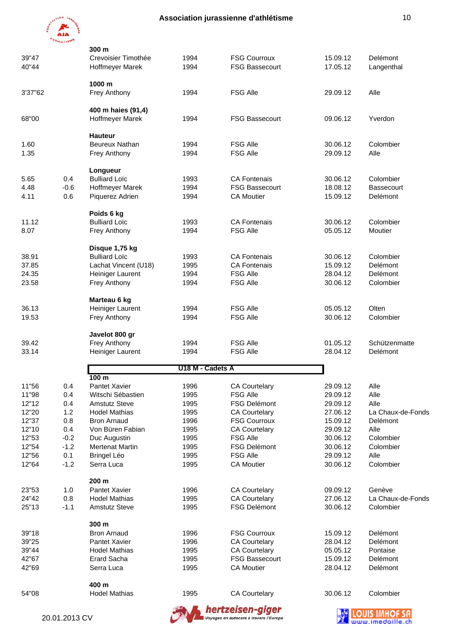

|              | <b>HETIS</b>  |                                   |                  |                                                            |                      |                   |
|--------------|---------------|-----------------------------------|------------------|------------------------------------------------------------|----------------------|-------------------|
|              |               | 300 m                             |                  |                                                            |                      |                   |
| 39"47        |               | Crevoisier Timothée               | 1994             | <b>FSG Courroux</b>                                        | 15.09.12             | Delémont          |
| 40"44        |               | Hoffmeyer Marek                   | 1994             | <b>FSG Bassecourt</b>                                      | 17.05.12             | Langenthal        |
|              |               | 1000 m                            |                  |                                                            |                      |                   |
| 3'37"62      |               | Frey Anthony                      | 1994             | <b>FSG Alle</b>                                            | 29.09.12             | Alle              |
|              |               |                                   |                  |                                                            |                      |                   |
|              |               | 400 m haies (91,4)                |                  |                                                            |                      |                   |
| 68"00        |               | Hoffmeyer Marek                   | 1994             | <b>FSG Bassecourt</b>                                      | 09.06.12             | Yverdon           |
|              |               |                                   |                  |                                                            |                      |                   |
|              |               | <b>Hauteur</b>                    |                  |                                                            |                      |                   |
| 1.60<br>1.35 |               | Beureux Nathan                    | 1994<br>1994     | <b>FSG Alle</b><br><b>FSG Alle</b>                         | 30.06.12<br>29.09.12 | Colombier<br>Alle |
|              |               | Frey Anthony                      |                  |                                                            |                      |                   |
|              |               | Longueur                          |                  |                                                            |                      |                   |
| 5.65         | 0.4           | <b>Bulliard Loïc</b>              | 1993             | <b>CA Fontenais</b>                                        | 30.06.12             | Colombier         |
| 4.48         | $-0.6$        | Hoffmeyer Marek                   | 1994             | <b>FSG Bassecourt</b>                                      | 18.08.12             | Bassecourt        |
| 4.11         | 0.6           | Piquerez Adrien                   | 1994             | <b>CA Moutier</b>                                          | 15.09.12             | Delémont          |
|              |               |                                   |                  |                                                            |                      |                   |
|              |               | Poids 6 kg                        |                  |                                                            |                      |                   |
| 11.12        |               | <b>Bulliard Loïc</b>              | 1993             | <b>CA Fontenais</b>                                        | 30.06.12             | Colombier         |
| 8.07         |               | Frey Anthony                      | 1994             | <b>FSG Alle</b>                                            | 05.05.12             | Moutier           |
|              |               | Disque 1,75 kg                    |                  |                                                            |                      |                   |
| 38.91        |               | <b>Bulliard Loïc</b>              | 1993             | <b>CA Fontenais</b>                                        | 30.06.12             | Colombier         |
| 37.85        |               | Lachat Vincent (U18)              | 1995             | <b>CA Fontenais</b>                                        | 15.09.12             | Delémont          |
| 24.35        |               | Heiniger Laurent                  | 1994             | <b>FSG Alle</b>                                            | 28.04.12             | Delémont          |
| 23.58        |               | Frey Anthony                      | 1994             | <b>FSG Alle</b>                                            | 30.06.12             | Colombier         |
|              |               |                                   |                  |                                                            |                      |                   |
|              |               | Marteau 6 kg                      |                  |                                                            |                      |                   |
| 36.13        |               | Heiniger Laurent                  | 1994             | <b>FSG Alle</b>                                            | 05.05.12             | Olten             |
| 19.53        |               | Frey Anthony                      | 1994             | <b>FSG Alle</b>                                            | 30.06.12             | Colombier         |
|              |               | Javelot 800 gr                    |                  |                                                            |                      |                   |
| 39.42        |               | Frey Anthony                      | 1994             | <b>FSG Alle</b>                                            | 01.05.12             | Schützenmatte     |
| 33.14        |               | Heiniger Laurent                  | 1994             | <b>FSG Alle</b>                                            | 28.04.12             | Delémont          |
|              |               |                                   |                  |                                                            |                      |                   |
|              |               |                                   | U18 M - Cadets A |                                                            |                      |                   |
| 11"56        | 0.4           | 100 <sub>m</sub><br>Pantet Xavier | 1996             | <b>CA Courtelary</b>                                       | 29.09.12             | Alle              |
| 11"98        | 0.4           | Witschi Sébastien                 | 1995             | <b>FSG Alle</b>                                            | 29.09.12             | Alle              |
| 12"12        | 0.4           | <b>Amstutz Steve</b>              | 1995             | <b>FSG Delémont</b>                                        | 29.09.12             | Alle              |
| 12"20        | 1.2           | <b>Hodel Mathias</b>              | 1995             | <b>CA Courtelary</b>                                       | 27.06.12             | La Chaux-de-Fonds |
| 12"37        | 0.8           | <b>Bron Arnaud</b>                | 1996             | <b>FSG Courroux</b>                                        | 15.09.12             | Delémont          |
| 12"10        | 0.4           | Von Büren Fabian                  | 1995             | <b>CA Courtelary</b>                                       | 29.09.12             | Alle              |
| 12"53        | $-0.2$        | Duc Augustin                      | 1995             | <b>FSG Alle</b>                                            | 30.06.12             | Colombier         |
| 12"54        | $-1.2$        | <b>Mertenat Martin</b>            | 1995             | <b>FSG Delémont</b>                                        | 30.06.12             | Colombier         |
| 12"56        | 0.1           | <b>Bringel Léo</b>                | 1995             | <b>FSG Alle</b>                                            | 29.09.12             | Alle              |
| 12"64        | $-1.2$        | Serra Luca                        | 1995             | <b>CA Moutier</b>                                          | 30.06.12             | Colombier         |
|              |               | 200 m                             |                  |                                                            |                      |                   |
| 23"53        | 1.0           | Pantet Xavier                     | 1996             | <b>CA Courtelary</b>                                       | 09.09.12             | Genève            |
| 24"42        | 0.8           | <b>Hodel Mathias</b>              | 1995             | <b>CA Courtelary</b>                                       | 27.06.12             | La Chaux-de-Fonds |
| 25"13        | $-1.1$        | <b>Amstutz Steve</b>              | 1995             | FSG Delémont                                               | 30.06.12             | Colombier         |
|              |               |                                   |                  |                                                            |                      |                   |
|              |               | 300 m                             |                  |                                                            |                      |                   |
| 39"18        |               | <b>Bron Arnaud</b>                | 1996             | <b>FSG Courroux</b>                                        | 15.09.12             | Delémont          |
| 39"25        |               | Pantet Xavier                     | 1996             | <b>CA Courtelary</b>                                       | 28.04.12             | Delémont          |
| 39"44        |               | <b>Hodel Mathias</b>              | 1995             | <b>CA Courtelary</b><br><b>FSG Bassecourt</b>              | 05.05.12             | Pontaise          |
| 42"67        |               | Erard Sacha                       | 1995             | <b>CA Moutier</b>                                          | 15.09.12             | Delémont          |
| 42"69        |               | Serra Luca                        | 1995             |                                                            | 28.04.12             | Delémont          |
|              |               | 400 m                             |                  |                                                            |                      |                   |
| 54"08        |               | <b>Hodel Mathias</b>              | 1995             | <b>CA Courtelary</b>                                       | 30.06.12             | Colombier         |
|              |               |                                   |                  |                                                            |                      |                   |
|              | 20.01.2013 CV |                                   |                  | hertzeisen-giger<br>Voyages en autocars à travers l'Europe |                      |                   |
|              |               |                                   |                  |                                                            |                      |                   |

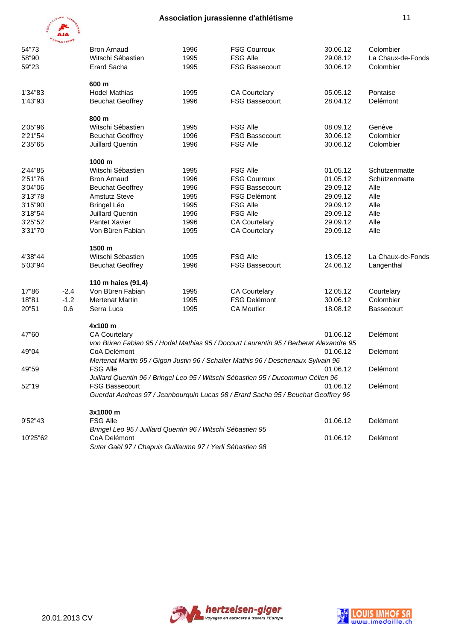

|          | <b>HLETISH</b> |                                                             |      |                                                                                       |          |                   |
|----------|----------------|-------------------------------------------------------------|------|---------------------------------------------------------------------------------------|----------|-------------------|
| 54"73    |                | <b>Bron Arnaud</b>                                          | 1996 | <b>FSG Courroux</b>                                                                   | 30.06.12 | Colombier         |
| 58"90    |                | Witschi Sébastien                                           | 1995 | <b>FSG Alle</b>                                                                       | 29.08.12 | La Chaux-de-Fonds |
| 59"23    |                | <b>Erard Sacha</b>                                          | 1995 | <b>FSG Bassecourt</b>                                                                 | 30.06.12 | Colombier         |
|          |                | 600 m                                                       |      |                                                                                       |          |                   |
| 1'34"83  |                | <b>Hodel Mathias</b>                                        | 1995 | <b>CA Courtelary</b>                                                                  | 05.05.12 | Pontaise          |
| 1'43"93  |                | <b>Beuchat Geoffrey</b>                                     | 1996 | <b>FSG Bassecourt</b>                                                                 | 28.04.12 | Delémont          |
|          |                | 800 m                                                       |      |                                                                                       |          |                   |
| 2'05"96  |                | Witschi Sébastien                                           | 1995 | <b>FSG Alle</b>                                                                       | 08.09.12 | Genève            |
| 2'21"54  |                | <b>Beuchat Geoffrey</b>                                     | 1996 | <b>FSG Bassecourt</b>                                                                 | 30.06.12 | Colombier         |
| 2'35"65  |                | <b>Juillard Quentin</b>                                     | 1996 | <b>FSG Alle</b>                                                                       | 30.06.12 | Colombier         |
|          |                | 1000 m                                                      |      |                                                                                       |          |                   |
| 2'44"85  |                | Witschi Sébastien                                           | 1995 | <b>FSG Alle</b>                                                                       | 01.05.12 | Schützenmatte     |
| 2'51"76  |                | <b>Bron Arnaud</b>                                          | 1996 | <b>FSG Courroux</b>                                                                   | 01.05.12 | Schützenmatte     |
| 3'04"06  |                | <b>Beuchat Geoffrey</b>                                     | 1996 | <b>FSG Bassecourt</b>                                                                 | 29.09.12 | Alle              |
| 3'13"78  |                | <b>Amstutz Steve</b>                                        | 1995 | <b>FSG Delémont</b>                                                                   | 29.09.12 | Alle              |
| 3'15"90  |                | <b>Bringel Léo</b>                                          | 1995 | <b>FSG Alle</b>                                                                       | 29.09.12 | Alle              |
| 3'18"54  |                | <b>Juillard Quentin</b>                                     | 1996 | <b>FSG Alle</b>                                                                       | 29.09.12 | Alle              |
| 3'25"52  |                | Pantet Xavier                                               | 1996 | <b>CA Courtelary</b>                                                                  | 29.09.12 | Alle              |
| 3'31"70  |                | Von Büren Fabian                                            | 1995 | <b>CA Courtelary</b>                                                                  | 29.09.12 | Alle              |
|          |                | 1500 m                                                      |      |                                                                                       |          |                   |
| 4'38"44  |                | Witschi Sébastien                                           | 1995 | <b>FSG Alle</b>                                                                       | 13.05.12 | La Chaux-de-Fonds |
| 5'03"94  |                | <b>Beuchat Geoffrey</b>                                     | 1996 | <b>FSG Bassecourt</b>                                                                 | 24.06.12 | Langenthal        |
|          |                | 110 m haies (91,4)                                          |      |                                                                                       |          |                   |
| 17"86    | $-2.4$         | Von Büren Fabian                                            | 1995 | <b>CA Courtelary</b>                                                                  | 12.05.12 | Courtelary        |
| 18"81    | $-1.2$         | <b>Mertenat Martin</b>                                      | 1995 | <b>FSG Delémont</b>                                                                   | 30.06.12 | Colombier         |
| 20"51    | 0.6            | Serra Luca                                                  | 1995 | <b>CA Moutier</b>                                                                     | 18.08.12 | <b>Bassecourt</b> |
|          |                | 4x100 m                                                     |      |                                                                                       |          |                   |
| 47"60    |                | <b>CA Courtelary</b>                                        |      |                                                                                       | 01.06.12 | Delémont          |
|          |                |                                                             |      | von Büren Fabian 95 / Hodel Mathias 95 / Docourt Laurentin 95 / Berberat Alexandre 95 |          |                   |
| 49"04    |                | CoA Delémont                                                |      |                                                                                       | 01.06.12 | Delémont          |
|          |                |                                                             |      | Mertenat Martin 95 / Gigon Justin 96 / Schaller Mathis 96 / Deschenaux Sylvain 96     |          |                   |
| 49"59    |                | <b>FSG Alle</b>                                             |      |                                                                                       | 01.06.12 | Delémont          |
|          |                |                                                             |      | Juillard Quentin 96 / Bringel Leo 95 / Witschi Sébastien 95 / Ducommun Célien 96      |          |                   |
| 52"19    |                | <b>FSG Bassecourt</b>                                       |      |                                                                                       | 01.06.12 | Delémont          |
|          |                |                                                             |      | Guerdat Andreas 97 / Jeanbourquin Lucas 98 / Erard Sacha 95 / Beuchat Geoffrey 96     |          |                   |
|          |                | 3x1000 m                                                    |      |                                                                                       |          |                   |
| 9'52"43  |                | <b>FSG Alle</b>                                             |      |                                                                                       | 01.06.12 | Delémont          |
|          |                | Bringel Leo 95 / Juillard Quentin 96 / Witschi Sébastien 95 |      |                                                                                       |          |                   |
| 10'25"62 |                | CoA Delémont                                                |      |                                                                                       | 01.06.12 | Delémont          |
|          |                | Suter Gaël 97 / Chapuis Guillaume 97 / Yerli Sébastien 98   |      |                                                                                       |          |                   |
|          |                |                                                             |      |                                                                                       |          |                   |



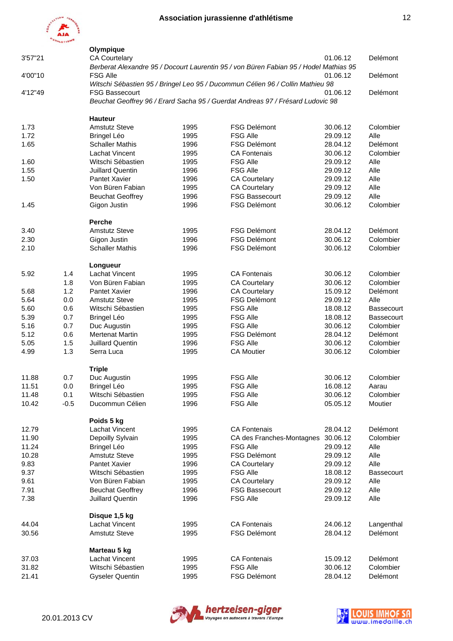

|         |        | Olympique               |      |                                                                                       |          |                   |
|---------|--------|-------------------------|------|---------------------------------------------------------------------------------------|----------|-------------------|
| 3'57"21 |        | <b>CA Courtelary</b>    |      |                                                                                       | 01.06.12 | Delémont          |
|         |        |                         |      | Berberat Alexandre 95 / Docourt Laurentin 95 / von Büren Fabian 95 / Hodel Mathias 95 |          |                   |
| 4'00"10 |        | <b>FSG Alle</b>         |      |                                                                                       | 01.06.12 | Delémont          |
|         |        |                         |      | Witschi Sébastien 95 / Bringel Leo 95 / Ducommun Célien 96 / Collin Mathieu 98        |          |                   |
| 4'12"49 |        | <b>FSG Bassecourt</b>   |      |                                                                                       | 01.06.12 | Delémont          |
|         |        |                         |      | Beuchat Geoffrey 96 / Erard Sacha 95 / Guerdat Andreas 97 / Frésard Ludovic 98        |          |                   |
|         |        |                         |      |                                                                                       |          |                   |
|         |        | <b>Hauteur</b>          |      |                                                                                       |          |                   |
| 1.73    |        | <b>Amstutz Steve</b>    | 1995 | <b>FSG Delémont</b>                                                                   | 30.06.12 | Colombier         |
| 1.72    |        | <b>Bringel Léo</b>      | 1995 | <b>FSG Alle</b>                                                                       | 29.09.12 | Alle              |
| 1.65    |        | <b>Schaller Mathis</b>  | 1996 | <b>FSG Delémont</b>                                                                   | 28.04.12 | Delémont          |
|         |        | Lachat Vincent          | 1995 | <b>CA Fontenais</b>                                                                   | 30.06.12 | Colombier         |
| 1.60    |        | Witschi Sébastien       | 1995 | <b>FSG Alle</b>                                                                       | 29.09.12 | Alle              |
| 1.55    |        | <b>Juillard Quentin</b> | 1996 | <b>FSG Alle</b>                                                                       | 29.09.12 | Alle              |
| 1.50    |        | <b>Pantet Xavier</b>    | 1996 | <b>CA Courtelary</b>                                                                  | 29.09.12 | Alle              |
|         |        | Von Büren Fabian        | 1995 | <b>CA Courtelary</b>                                                                  | 29.09.12 | Alle              |
|         |        | <b>Beuchat Geoffrey</b> | 1996 | <b>FSG Bassecourt</b>                                                                 | 29.09.12 | Alle              |
| 1.45    |        | Gigon Justin            | 1996 | <b>FSG Delémont</b>                                                                   | 30.06.12 | Colombier         |
|         |        |                         |      |                                                                                       |          |                   |
|         |        | <b>Perche</b>           |      |                                                                                       |          |                   |
| 3.40    |        | <b>Amstutz Steve</b>    | 1995 | <b>FSG Delémont</b>                                                                   | 28.04.12 | Delémont          |
| 2.30    |        | Gigon Justin            | 1996 | <b>FSG Delémont</b>                                                                   | 30.06.12 | Colombier         |
| 2.10    |        | <b>Schaller Mathis</b>  | 1996 | <b>FSG Delémont</b>                                                                   | 30.06.12 | Colombier         |
|         |        |                         |      |                                                                                       |          |                   |
|         |        | Longueur                |      |                                                                                       |          |                   |
| 5.92    | 1.4    | Lachat Vincent          | 1995 | <b>CA Fontenais</b>                                                                   | 30.06.12 | Colombier         |
|         | 1.8    | Von Büren Fabian        | 1995 | <b>CA Courtelary</b>                                                                  | 30.06.12 | Colombier         |
| 5.68    | 1.2    | Pantet Xavier           | 1996 | <b>CA Courtelary</b>                                                                  | 15.09.12 | Delémont          |
| 5.64    | 0.0    | <b>Amstutz Steve</b>    | 1995 | <b>FSG Delémont</b>                                                                   | 29.09.12 | Alle              |
| 5.60    | 0.6    | Witschi Sébastien       | 1995 | <b>FSG Alle</b>                                                                       | 18.08.12 | <b>Bassecourt</b> |
| 5.39    | 0.7    | <b>Bringel Léo</b>      | 1995 | <b>FSG Alle</b>                                                                       | 18.08.12 | <b>Bassecourt</b> |
| 5.16    | 0.7    | Duc Augustin            | 1995 | <b>FSG Alle</b>                                                                       | 30.06.12 | Colombier         |
| 5.12    | 0.6    | <b>Mertenat Martin</b>  | 1995 | <b>FSG Delémont</b>                                                                   | 28.04.12 | Delémont          |
| 5.05    | 1.5    | <b>Juillard Quentin</b> | 1996 | <b>FSG Alle</b>                                                                       | 30.06.12 | Colombier         |
| 4.99    | 1.3    | Serra Luca              | 1995 | <b>CA Moutier</b>                                                                     | 30.06.12 | Colombier         |
|         |        |                         |      |                                                                                       |          |                   |
|         |        | <b>Triple</b>           |      |                                                                                       |          |                   |
| 11.88   | 0.7    | Duc Augustin            | 1995 | <b>FSG Alle</b>                                                                       | 30.06.12 | Colombier         |
| 11.51   | 0.0    | <b>Bringel Léo</b>      | 1995 | <b>FSG Alle</b>                                                                       | 16.08.12 | Aarau             |
| 11.48   | 0.1    | Witschi Sébastien       | 1995 | <b>FSG Alle</b>                                                                       | 30.06.12 | Colombier         |
| 10.42   | $-0.5$ | Ducommun Célien         | 1996 | <b>FSG Alle</b>                                                                       | 05.05.12 | Moutier           |
|         |        |                         |      |                                                                                       |          |                   |
|         |        | Poids 5 kg              |      |                                                                                       |          |                   |
| 12.79   |        | Lachat Vincent          | 1995 | <b>CA Fontenais</b>                                                                   | 28.04.12 | Delémont          |
| 11.90   |        | Depoilly Sylvain        | 1995 | CA des Franches-Montagnes 30.06.12                                                    |          | Colombier         |
| 11.24   |        | Bringel Léo             | 1995 | <b>FSG Alle</b>                                                                       | 29.09.12 | Alle              |
| 10.28   |        | <b>Amstutz Steve</b>    | 1995 | FSG Delémont                                                                          | 29.09.12 | Alle              |
| 9.83    |        | Pantet Xavier           | 1996 | <b>CA Courtelary</b>                                                                  | 29.09.12 | Alle              |
| 9.37    |        | Witschi Sébastien       | 1995 | <b>FSG Alle</b>                                                                       | 18.08.12 | <b>Bassecourt</b> |
| 9.61    |        | Von Büren Fabian        | 1995 | <b>CA Courtelary</b>                                                                  | 29.09.12 | Alle              |
| 7.91    |        | <b>Beuchat Geoffrey</b> | 1996 | <b>FSG Bassecourt</b>                                                                 | 29.09.12 | Alle              |
| 7.38    |        | <b>Juillard Quentin</b> | 1996 | <b>FSG Alle</b>                                                                       | 29.09.12 | Alle              |
|         |        |                         |      |                                                                                       |          |                   |
|         |        | Disque 1,5 kg           |      |                                                                                       |          |                   |
| 44.04   |        | Lachat Vincent          | 1995 | <b>CA Fontenais</b>                                                                   | 24.06.12 | Langenthal        |
| 30.56   |        | <b>Amstutz Steve</b>    | 1995 | <b>FSG Delémont</b>                                                                   | 28.04.12 | Delémont          |
|         |        |                         |      |                                                                                       |          |                   |
|         |        | Marteau 5 kg            |      |                                                                                       |          |                   |
| 37.03   |        | Lachat Vincent          | 1995 | <b>CA Fontenais</b>                                                                   | 15.09.12 | Delémont          |
| 31.82   |        | Witschi Sébastien       | 1995 | <b>FSG Alle</b>                                                                       | 30.06.12 | Colombier         |
| 21.41   |        | <b>Gyseler Quentin</b>  | 1995 | <b>FSG Delémont</b>                                                                   | 28.04.12 | Delémont          |
|         |        |                         |      |                                                                                       |          |                   |



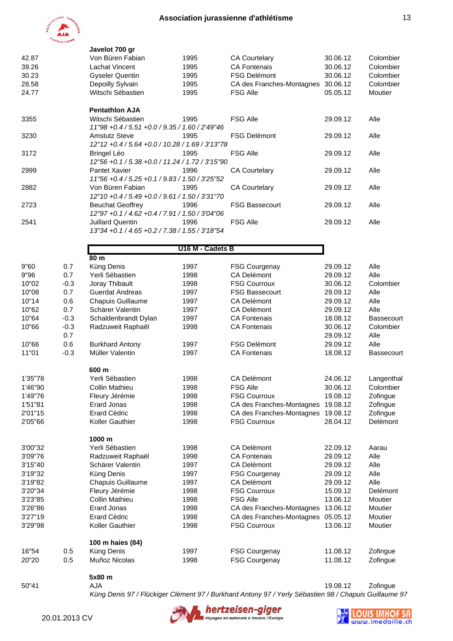

|         |        | Javelot 700 gr                                                 |                  |                                    |          |            |
|---------|--------|----------------------------------------------------------------|------------------|------------------------------------|----------|------------|
| 42.87   |        | Von Büren Fabian                                               | 1995             | <b>CA Courtelary</b>               | 30.06.12 | Colombier  |
| 39.26   |        | Lachat Vincent                                                 | 1995             | <b>CA Fontenais</b>                | 30.06.12 | Colombier  |
| 30.23   |        | <b>Gyseler Quentin</b>                                         | 1995             | <b>FSG Delémont</b>                | 30.06.12 | Colombier  |
| 28.58   |        | Depoilly Sylvain                                               | 1995             | CA des Franches-Montagnes 30.06.12 |          | Colombier  |
| 24.77   |        | Witschi Sébastien                                              | 1995             | FSG Alle                           | 05.05.12 | Moutier    |
|         |        |                                                                |                  |                                    |          |            |
| 3355    |        | <b>Pentathlon AJA</b><br>Witschi Sébastien                     | 1995             | <b>FSG Alle</b>                    | 29.09.12 | Alle       |
|         |        | 11"98 +0.4 / 5.51 +0.0 / 9.35 / 1.60 / 2'49"46                 |                  |                                    |          |            |
| 3230    |        | <b>Amstutz Steve</b>                                           | 1995             | <b>FSG Delémont</b>                | 29.09.12 | Alle       |
| 3172    |        | 12"12 +0.4 / 5.64 +0.0 / 10.28 / 1.69 / 3'13"78                | 1995             | <b>FSG Alle</b>                    | 29.09.12 | Alle       |
|         |        | Bringel Léo<br>12"56 +0.1 / 5.38 +0.0 / 11.24 / 1.72 / 3'15"90 |                  |                                    |          |            |
| 2999    |        | Pantet Xavier                                                  | 1996             | <b>CA Courtelary</b>               | 29.09.12 | Alle       |
|         |        | 11"56 + 0.4 / 5.25 + 0.1 / 9.83 / 1.50 / 3'25"52               |                  |                                    |          |            |
| 2882    |        | Von Büren Fabian                                               | 1995             | <b>CA Courtelary</b>               | 29.09.12 | Alle       |
|         |        | 12"10 +0.4 / 5.49 +0.0 / 9.61 / 1.50 / 3'31"70                 |                  |                                    |          |            |
| 2723    |        | <b>Beuchat Geoffrey</b>                                        | 1996             | <b>FSG Bassecourt</b>              | 29.09.12 | Alle       |
|         |        | 12"97 +0.1 / 4.62 +0.4 / 7.91 / 1.50 / 3'04"06                 |                  |                                    |          |            |
| 2541    |        | Juillard Quentin                                               | 1996             | <b>FSG Alle</b>                    | 29.09.12 | Alle       |
|         |        | 13"34 + 0.1 / 4.65 + 0.2 / 7.38 / 1.55 / 3'18"54               |                  |                                    |          |            |
|         |        |                                                                | U16 M - Cadets B |                                    |          |            |
|         |        | 80 <sub>m</sub>                                                |                  |                                    |          |            |
| 9"60    | 0.7    | Küng Denis                                                     | 1997             | <b>FSG Courgenay</b>               | 29.09.12 | Alle       |
| 9"96    | 0.7    | Yerli Sébastien                                                | 1998             | CA Delémont                        | 29.09.12 | Alle       |
| 10"02   | $-0.3$ | Joray Thibault                                                 | 1998             | <b>FSG Courroux</b>                | 30.06.12 | Colombier  |
| 10"08   | 0.7    | <b>Guerdat Andreas</b>                                         | 1997             | <b>FSG Bassecourt</b>              | 29.09.12 | Alle       |
| 10"14   | 0.6    | Chapuis Guillaume                                              | 1997             | CA Delémont                        | 29.09.12 | Alle       |
| 10"62   | 0.7    | Schärer Valentin                                               | 1997             | CA Delémont                        | 29.09.12 | Alle       |
| 10"64   | $-0.3$ | Schaldenbrandt Dylan                                           | 1997             | <b>CA Fontenais</b>                | 18.08.12 | Bassecourt |
| 10"66   | $-0.3$ | Radzuweit Raphaël                                              | 1998             | <b>CA Fontenais</b>                | 30.06.12 | Colombier  |
|         | 0.7    |                                                                |                  |                                    | 29.09.12 | Alle       |
| 10"66   | 0.6    | <b>Burkhard Antony</b>                                         | 1997             | <b>FSG Delémont</b>                | 29.09.12 | Alle       |
| 11"01   | $-0.3$ | Müller Valentin                                                | 1997             | <b>CA Fontenais</b>                | 18.08.12 | Bassecourt |
|         |        |                                                                |                  |                                    |          |            |
|         |        | 600 m                                                          |                  |                                    |          |            |
| 1'35"78 |        | Yerli Sébastien                                                | 1998             | CA Delémont                        | 24.06.12 | Langenthal |
| 1'46"90 |        | Collin Mathieu                                                 | 1998             | <b>FSG Alle</b>                    | 30.06.12 | Colombier  |
| 1'49"76 |        | Fleury Jérémie                                                 | 1998             | <b>FSG Courroux</b>                | 19.08.12 | Zofingue   |
| 1'51"81 |        | <b>Erard Jonas</b>                                             | 1998             | CA des Franches-Montagnes          | 19.08.12 | Zofingue   |
| 2'01"15 |        | <b>Erard Cédric</b>                                            | 1998             | CA des Franches-Montagnes          | 19.08.12 | Zofingue   |
| 2'05"66 |        | Koller Gauthier                                                | 1998             | <b>FSG Courroux</b>                | 28.04.12 | Delémont   |
|         |        | 1000 m                                                         |                  |                                    |          |            |
| 3'00"32 |        | Yerli Sébastien                                                | 1998             | <b>CA Delémont</b>                 | 22.09.12 | Aarau      |
| 3'09"76 |        | Radzuweit Raphaël                                              | 1998             | <b>CA Fontenais</b>                | 29.09.12 | Alle       |
| 3'15"40 |        | Schärer Valentin                                               | 1997             | <b>CA Delémont</b>                 | 29.09.12 | Alle       |
| 3'19"32 |        | Küng Denis                                                     | 1997             | <b>FSG Courgenay</b>               | 29.09.12 | Alle       |
| 3'19"82 |        | Chapuis Guillaume                                              | 1997             | CA Delémont                        | 29.09.12 | Alle       |
| 3'20"34 |        | Fleury Jérémie                                                 | 1998             | <b>FSG Courroux</b>                | 15.09.12 | Delémont   |
|         |        |                                                                |                  |                                    |          |            |
| 3'23"85 |        | <b>Collin Mathieu</b>                                          | 1998             | <b>FSG Alle</b>                    | 13.06.12 | Moutier    |
| 3'26"86 |        | <b>Erard Jonas</b>                                             | 1998             | CA des Franches-Montagnes          | 13.06.12 | Moutier    |
| 3'27"19 |        | <b>Erard Cédric</b>                                            | 1998             | CA des Franches-Montagnes          | 05.05.12 | Moutier    |
| 3'29"98 |        | Koller Gauthier                                                | 1998             | <b>FSG Courroux</b>                | 13.06.12 | Moutier    |
|         |        | 100 m haies (84)                                               |                  |                                    |          |            |
| 16"54   | 0.5    | Küng Denis                                                     | 1997             | <b>FSG Courgenay</b>               | 11.08.12 | Zofingue   |
| 20"20   | 0.5    | Muñoz Nicolas                                                  | 1998             | <b>FSG Courgenay</b>               | 11.08.12 | Zofingue   |
|         |        |                                                                |                  |                                    |          |            |

 **5x80 m**

20.01.2013 CV

50"41 AJA 19.08.12 Zofingue *Küng Denis 97 / Flückiger Clément 97 / Burkhard Antony 97 / Yerly Sébastien 98 / Chapuis Guillaume 97*



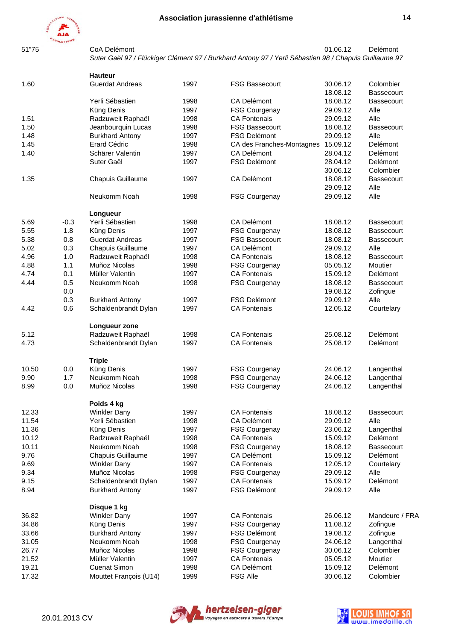



51"75 CoA Delémont 01.06.12 Delémont *Suter Gaël 97 / Flückiger Clément 97 / Burkhard Antony 97 / Yerli Sébastien 98 / Chapuis Guillaume 97*

|       |        | <b>Hauteur</b>         |      |                           |          |                   |
|-------|--------|------------------------|------|---------------------------|----------|-------------------|
| 1.60  |        | <b>Guerdat Andreas</b> | 1997 | <b>FSG Bassecourt</b>     | 30.06.12 | Colombier         |
|       |        |                        |      |                           | 18.08.12 | <b>Bassecourt</b> |
|       |        | Yerli Sébastien        | 1998 | CA Delémont               | 18.08.12 | <b>Bassecourt</b> |
|       |        | Küng Denis             | 1997 | <b>FSG Courgenay</b>      | 29.09.12 | Alle              |
| 1.51  |        | Radzuweit Raphaël      | 1998 | <b>CA Fontenais</b>       | 29.09.12 | Alle              |
| 1.50  |        | Jeanbourquin Lucas     | 1998 | <b>FSG Bassecourt</b>     | 18.08.12 | <b>Bassecourt</b> |
| 1.48  |        | <b>Burkhard Antony</b> | 1997 | <b>FSG Delémont</b>       | 29.09.12 | Alle              |
| 1.45  |        | <b>Erard Cédric</b>    | 1998 | CA des Franches-Montagnes | 15.09.12 | Delémont          |
| 1.40  |        | Schärer Valentin       | 1997 | <b>CA Delémont</b>        | 28.04.12 | Delémont          |
|       |        | Suter Gaël             | 1997 | <b>FSG Delémont</b>       | 28.04.12 | <b>Delémont</b>   |
|       |        |                        |      |                           | 30.06.12 | Colombier         |
| 1.35  |        | Chapuis Guillaume      | 1997 | <b>CA Delémont</b>        | 18.08.12 | <b>Bassecourt</b> |
|       |        |                        |      |                           | 29.09.12 | Alle              |
|       |        | Neukomm Noah           | 1998 | <b>FSG Courgenay</b>      | 29.09.12 | Alle              |
|       |        | Longueur               |      |                           |          |                   |
| 5.69  | $-0.3$ | Yerli Sébastien        | 1998 | CA Delémont               | 18.08.12 | <b>Bassecourt</b> |
| 5.55  | 1.8    | Küng Denis             | 1997 | <b>FSG Courgenay</b>      | 18.08.12 | <b>Bassecourt</b> |
| 5.38  | 0.8    | <b>Guerdat Andreas</b> | 1997 | <b>FSG Bassecourt</b>     | 18.08.12 | <b>Bassecourt</b> |
| 5.02  | 0.3    | Chapuis Guillaume      | 1997 | <b>CA Delémont</b>        | 29.09.12 | Alle              |
| 4.96  | 1.0    | Radzuweit Raphaël      | 1998 | <b>CA Fontenais</b>       | 18.08.12 | <b>Bassecourt</b> |
| 4.88  | 1.1    | Muñoz Nicolas          | 1998 | <b>FSG Courgenay</b>      | 05.05.12 | Moutier           |
| 4.74  | 0.1    | Müller Valentin        | 1997 | <b>CA Fontenais</b>       | 15.09.12 | Delémont          |
| 4.44  | 0.5    | Neukomm Noah           | 1998 | <b>FSG Courgenay</b>      | 18.08.12 | <b>Bassecourt</b> |
|       | 0.0    |                        |      |                           | 19.08.12 | Zofingue          |
|       | 0.3    | <b>Burkhard Antony</b> | 1997 | <b>FSG Delémont</b>       | 29.09.12 | Alle              |
| 4.42  | 0.6    | Schaldenbrandt Dylan   | 1997 | <b>CA Fontenais</b>       | 12.05.12 | Courtelary        |
|       |        | Longueur zone          |      |                           |          |                   |
| 5.12  |        | Radzuweit Raphaël      | 1998 | <b>CA Fontenais</b>       | 25.08.12 | Delémont          |
| 4.73  |        | Schaldenbrandt Dylan   | 1997 | <b>CA Fontenais</b>       | 25.08.12 | Delémont          |
|       |        | <b>Triple</b>          |      |                           |          |                   |
| 10.50 | 0.0    | Küng Denis             | 1997 | <b>FSG Courgenay</b>      | 24.06.12 | Langenthal        |
| 9.90  | 1.7    | Neukomm Noah           | 1998 | <b>FSG Courgenay</b>      | 24.06.12 | Langenthal        |
| 8.99  | 0.0    | Muñoz Nicolas          | 1998 | <b>FSG Courgenay</b>      | 24.06.12 | Langenthal        |
|       |        | Poids 4 kg             |      |                           |          |                   |
| 12.33 |        | <b>Winkler Dany</b>    | 1997 | <b>CA Fontenais</b>       | 18.08.12 | <b>Bassecourt</b> |
| 11.54 |        | Yerli Sébastien        | 1998 | CA Delémont               | 29.09.12 | Alle              |
| 11.36 |        | Küng Denis             | 1997 | <b>FSG Courgenay</b>      | 23.06.12 | Langenthal        |
| 10.12 |        | Radzuweit Raphaël      | 1998 | <b>CA Fontenais</b>       | 15.09.12 | Delémont          |
| 10.11 |        | Neukomm Noah           | 1998 | <b>FSG Courgenay</b>      | 18.08.12 | <b>Bassecourt</b> |
| 9.76  |        | Chapuis Guillaume      | 1997 | CA Delémont               | 15.09.12 | Delémont          |
| 9.69  |        | <b>Winkler Dany</b>    | 1997 | <b>CA Fontenais</b>       | 12.05.12 | Courtelary        |
| 9.34  |        | Muñoz Nicolas          | 1998 | <b>FSG Courgenay</b>      | 29.09.12 | Alle              |
| 9.15  |        | Schaldenbrandt Dylan   | 1997 | <b>CA Fontenais</b>       | 15.09.12 | Delémont          |
| 8.94  |        | <b>Burkhard Antony</b> | 1997 | FSG Delémont              | 29.09.12 | Alle              |
|       |        | Disque 1 kg            |      |                           |          |                   |
| 36.82 |        | <b>Winkler Dany</b>    | 1997 | <b>CA Fontenais</b>       | 26.06.12 | Mandeure / FRA    |
| 34.86 |        | Küng Denis             | 1997 | <b>FSG Courgenay</b>      | 11.08.12 | Zofingue          |
| 33.66 |        | <b>Burkhard Antony</b> | 1997 | FSG Delémont              | 19.08.12 | Zofingue          |
| 31.05 |        | Neukomm Noah           | 1998 | <b>FSG Courgenay</b>      | 24.06.12 | Langenthal        |
| 26.77 |        | Muñoz Nicolas          | 1998 | <b>FSG Courgenay</b>      | 30.06.12 | Colombier         |
| 21.52 |        | Müller Valentin        | 1997 | <b>CA Fontenais</b>       | 05.05.12 | Moutier           |
| 19.21 |        | <b>Cuenat Simon</b>    | 1998 | CA Delémont               | 15.09.12 | Delémont          |
| 17.32 |        | Mouttet François (U14) | 1999 | <b>FSG Alle</b>           | 30.06.12 | Colombier         |
|       |        |                        |      |                           |          |                   |

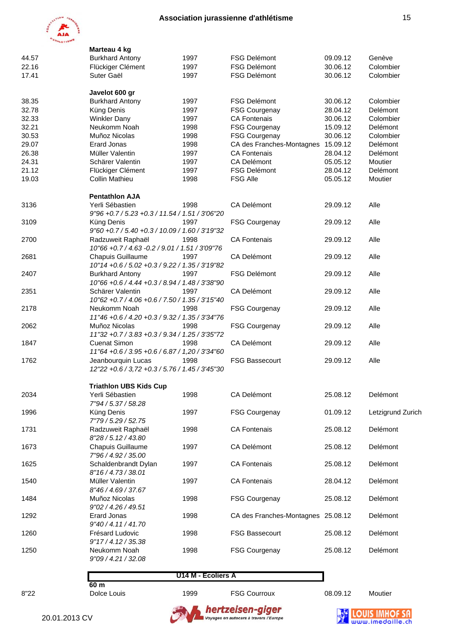

|       | Marteau 4 kg                                     |      |                                    |          |                   |
|-------|--------------------------------------------------|------|------------------------------------|----------|-------------------|
| 44.57 | <b>Burkhard Antony</b>                           | 1997 | <b>FSG Delémont</b>                | 09.09.12 | Genève            |
| 22.16 | Flückiger Clément                                | 1997 | <b>FSG Delémont</b>                | 30.06.12 | Colombier         |
| 17.41 | Suter Gaël                                       | 1997 | <b>FSG Delémont</b>                | 30.06.12 | Colombier         |
|       | Javelot 600 gr                                   |      |                                    |          |                   |
| 38.35 | <b>Burkhard Antony</b>                           | 1997 | <b>FSG Delémont</b>                | 30.06.12 | Colombier         |
| 32.78 | Küng Denis                                       | 1997 | <b>FSG Courgenay</b>               | 28.04.12 | Delémont          |
| 32.33 | <b>Winkler Dany</b>                              | 1997 | <b>CA Fontenais</b>                | 30.06.12 | Colombier         |
| 32.21 | Neukomm Noah                                     | 1998 | <b>FSG Courgenay</b>               | 15.09.12 | Delémont          |
| 30.53 | Muñoz Nicolas                                    | 1998 | <b>FSG Courgenay</b>               | 30.06.12 | Colombier         |
| 29.07 | <b>Erard Jonas</b>                               | 1998 | CA des Franches-Montagnes          | 15.09.12 | Delémont          |
| 26.38 | Müller Valentin                                  | 1997 | <b>CA Fontenais</b>                | 28.04.12 | Delémont          |
| 24.31 | Schärer Valentin                                 | 1997 | CA Delémont                        | 05.05.12 | Moutier           |
| 21.12 | Flückiger Clément                                | 1997 | <b>FSG Delémont</b>                | 28.04.12 | Delémont          |
| 19.03 | <b>Collin Mathieu</b>                            | 1998 | <b>FSG Alle</b>                    | 05.05.12 | Moutier           |
|       | <b>Pentathlon AJA</b>                            |      |                                    |          |                   |
| 3136  | Yerli Sébastien                                  | 1998 | CA Delémont                        | 29.09.12 | Alle              |
|       | 9"96 +0.7 / 5.23 +0.3 / 11.54 / 1.51 / 3'06"20   |      |                                    |          |                   |
| 3109  | Küng Denis                                       | 1997 | <b>FSG Courgenay</b>               | 29.09.12 | Alle              |
|       | 9"60 + 0.7 / 5.40 + 0.3 / 10.09 / 1.60 / 3'19"32 |      |                                    |          |                   |
| 2700  | Radzuweit Raphaël                                | 1998 | <b>CA Fontenais</b>                | 29.09.12 | Alle              |
|       | 10"66 +0.7 / 4.63 -0.2 / 9.01 / 1.51 / 3'09"76   |      |                                    |          |                   |
| 2681  | <b>Chapuis Guillaume</b>                         | 1997 | <b>CA Delémont</b>                 | 29.09.12 | Alle              |
|       | 10"14 + 0.6 / 5.02 + 0.3 / 9.22 / 1.35 / 3'19"82 |      |                                    |          |                   |
| 2407  | <b>Burkhard Antony</b>                           | 1997 | <b>FSG Delémont</b>                | 29.09.12 | Alle              |
|       | 10"66 + 0.6 / 4.44 + 0.3 / 8.94 / 1.48 / 3'38"90 |      |                                    |          |                   |
| 2351  | Schärer Valentin                                 | 1997 | CA Delémont                        | 29.09.12 | Alle              |
|       | 10"62 + 0.7 / 4.06 + 0.6 / 7.50 / 1.35 / 3'15"40 |      |                                    |          |                   |
|       | Neukomm Noah                                     | 1998 |                                    |          | Alle              |
| 2178  |                                                  |      | <b>FSG Courgenay</b>               | 29.09.12 |                   |
|       | 11"46 + 0.6 / 4.20 + 0.3 / 9.32 / 1.35 / 3'34"76 |      |                                    |          |                   |
| 2062  | Muñoz Nicolas                                    | 1998 | <b>FSG Courgenay</b>               | 29.09.12 | Alle              |
|       | 11"32 +0.7 / 3.83 +0.3 / 9.34 / 1.25 / 3'35"72   |      |                                    |          |                   |
| 1847  | <b>Cuenat Simon</b>                              | 1998 | CA Delémont                        | 29.09.12 | Alle              |
|       | 11"64 + 0.6 / 3.95 + 0.6 / 6.87 / 1,20 / 3'34"60 |      |                                    |          |                   |
| 1762  | Jeanbourquin Lucas                               | 1998 | <b>FSG Bassecourt</b>              | 29.09.12 | Alle              |
|       | 12"22 + 0.6 / 3,72 + 0.3 / 5.76 / 1.45 / 3'45"30 |      |                                    |          |                   |
|       | <b>Triathlon UBS Kids Cup</b>                    |      |                                    |          |                   |
| 2034  | Yerli Sébastien                                  | 1998 | CA Delémont                        | 25.08.12 | Delémont          |
|       | 7"94 / 5.37 / 58.28                              |      |                                    |          |                   |
| 1996  | Küng Denis                                       | 1997 | <b>FSG Courgenay</b>               | 01.09.12 | Letzigrund Zurich |
|       | 7"79 / 5.29 / 52.75                              |      |                                    |          |                   |
| 1731  | Radzuweit Raphaël                                | 1998 | <b>CA Fontenais</b>                | 25.08.12 | Delémont          |
|       | 8"28 / 5.12 / 43.80                              |      |                                    |          |                   |
| 1673  | Chapuis Guillaume                                | 1997 | CA Delémont                        | 25.08.12 | Delémont          |
|       | 7"96 / 4.92 / 35.00                              |      |                                    |          |                   |
| 1625  | Schaldenbrandt Dylan                             | 1997 | <b>CA Fontenais</b>                | 25.08.12 | Delémont          |
|       | 8"16 / 4.73 / 38.01                              |      |                                    |          |                   |
| 1540  | Müller Valentin                                  | 1997 | <b>CA Fontenais</b>                | 28.04.12 | Delémont          |
|       | 8"46 / 4.69 / 37.67                              |      |                                    |          |                   |
| 1484  | Muñoz Nicolas                                    | 1998 | <b>FSG Courgenay</b>               | 25.08.12 | Delémont          |
|       | 9"02 / 4.26 / 49.51                              |      |                                    |          |                   |
| 1292  | <b>Erard Jonas</b>                               | 1998 | CA des Franches-Montagnes 25.08.12 |          | Delémont          |
|       | 9"40 / 4.11 / 41.70                              |      |                                    |          |                   |
| 1260  | Frésard Ludovic                                  | 1998 | <b>FSG Bassecourt</b>              | 25.08.12 | Delémont          |
|       | 9"17/4.12/35.38                                  |      |                                    |          |                   |
| 1250  | Neukomm Noah                                     | 1998 | <b>FSG Courgenay</b>               | 25.08.12 | Delémont          |
|       | 9"09 / 4.21 / 32.08                              |      |                                    |          |                   |
|       |                                                  |      |                                    |          |                   |

#### **U14 M - Ecoliers A**



 **60 m**

8"22 Dolce Louis 1999 FSG Courroux 08.09.12 Moutier





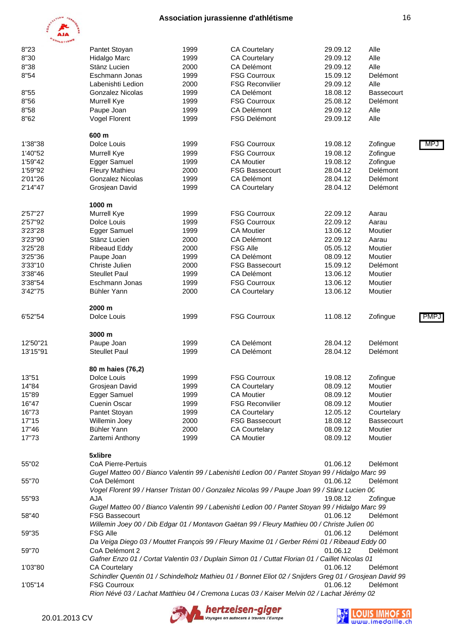

| <b>O'ATHLETISMS</b> |                           |      |                                                                                                         |          |                   |      |
|---------------------|---------------------------|------|---------------------------------------------------------------------------------------------------------|----------|-------------------|------|
| 8"23                | Pantet Stoyan             | 1999 | <b>CA Courtelary</b>                                                                                    | 29.09.12 | Alle              |      |
| 8"30                | Hidalgo Marc              | 1999 | <b>CA Courtelary</b>                                                                                    | 29.09.12 | Alle              |      |
| 8"38                | Stänz Lucien              | 2000 | CA Delémont                                                                                             | 29.09.12 | Alle              |      |
| 8"54                | Eschmann Jonas            | 1999 | <b>FSG Courroux</b>                                                                                     | 15.09.12 | Delémont          |      |
|                     | Labenishti Ledion         | 2000 | <b>FSG Reconvilier</b>                                                                                  | 29.09.12 | Alle              |      |
| 8"55                | <b>Gonzalez Nicolas</b>   | 1999 | CA Delémont                                                                                             | 18.08.12 | Bassecourt        |      |
| 8"56                | Murrell Kye               | 1999 | <b>FSG Courroux</b>                                                                                     | 25.08.12 | Delémont          |      |
| 8"58                | Paupe Joan                | 1999 | CA Delémont                                                                                             | 29.09.12 | Alle              |      |
| 8"62                | Vogel Florent             | 1999 | <b>FSG Delémont</b>                                                                                     | 29.09.12 | Alle              |      |
|                     |                           |      |                                                                                                         |          |                   |      |
|                     | 600 m                     |      |                                                                                                         |          |                   |      |
| 1'38"38             | Dolce Louis               | 1999 | <b>FSG Courroux</b>                                                                                     | 19.08.12 | Zofingue          | MPJ  |
| 1'40"52             | Murrell Kye               | 1999 | <b>FSG Courroux</b>                                                                                     | 19.08.12 | Zofingue          |      |
| 1'59"42             | Egger Samuel              | 1999 | <b>CA Moutier</b>                                                                                       | 19.08.12 | Zofingue          |      |
| 1'59"92             | <b>Fleury Mathieu</b>     | 2000 | <b>FSG Bassecourt</b>                                                                                   | 28.04.12 | Delémont          |      |
| 2'01"26             | <b>Gonzalez Nicolas</b>   | 1999 | CA Delémont                                                                                             | 28.04.12 | Delémont          |      |
| 2'14"47             | Grosjean David            | 1999 | <b>CA Courtelary</b>                                                                                    | 28.04.12 | Delémont          |      |
|                     |                           |      |                                                                                                         |          |                   |      |
|                     | 1000 m                    |      |                                                                                                         |          |                   |      |
| 2'57"27             | Murrell Kye               | 1999 | <b>FSG Courroux</b>                                                                                     | 22.09.12 | Aarau             |      |
| 2'57"92             | Dolce Louis               | 1999 | <b>FSG Courroux</b>                                                                                     | 22.09.12 | Aarau             |      |
| 3'23"28             | Egger Samuel              | 1999 | <b>CA Moutier</b>                                                                                       | 13.06.12 | Moutier           |      |
| 3'23"90             | Stänz Lucien              | 2000 | CA Delémont                                                                                             | 22.09.12 | Aarau             |      |
| 3'25"28             | <b>Ribeaud Eddy</b>       | 2000 | <b>FSG Alle</b>                                                                                         | 05.05.12 | Moutier           |      |
| 3'25"36             | Paupe Joan                | 1999 | <b>CA Delémont</b>                                                                                      | 08.09.12 | Moutier           |      |
| 3'33"10             | Christe Julien            | 2000 | <b>FSG Bassecourt</b>                                                                                   | 15.09.12 | Delémont          |      |
| 3'38"46             | <b>Steullet Paul</b>      | 1999 | CA Delémont                                                                                             | 13.06.12 | Moutier           |      |
| 3'38"54             | Eschmann Jonas            | 1999 | <b>FSG Courroux</b>                                                                                     | 13.06.12 | Moutier           |      |
| 3'42"75             | Bühler Yann               | 2000 | <b>CA Courtelary</b>                                                                                    | 13.06.12 | Moutier           |      |
|                     |                           |      |                                                                                                         |          |                   |      |
|                     | 2000 m                    |      |                                                                                                         |          |                   |      |
| 6'52"54             | Dolce Louis               | 1999 | <b>FSG Courroux</b>                                                                                     | 11.08.12 | Zofingue          | PMP. |
|                     | 3000 m                    |      |                                                                                                         |          |                   |      |
| 12'50"21            | Paupe Joan                | 1999 | CA Delémont                                                                                             | 28.04.12 | Delémont          |      |
| 13'15"91            | <b>Steullet Paul</b>      | 1999 | CA Delémont                                                                                             | 28.04.12 | Delémont          |      |
|                     |                           |      |                                                                                                         |          |                   |      |
|                     | 80 m haies (76,2)         |      |                                                                                                         |          |                   |      |
| 13"51               | Dolce Louis               | 1999 | <b>FSG Courroux</b>                                                                                     | 19.08.12 | Zofingue          |      |
| 14"84               | Grosjean David            | 1999 | <b>CA Courtelary</b>                                                                                    | 08.09.12 | Moutier           |      |
| 15"89               | Egger Samuel              | 1999 | <b>CA Moutier</b>                                                                                       | 08.09.12 | Moutier           |      |
| 16"47               | Cuenin Oscar              | 1999 | <b>FSG Reconvilier</b>                                                                                  | 08.09.12 | Moutier           |      |
| 16"73               | Pantet Stoyan             | 1999 | <b>CA Courtelary</b>                                                                                    | 12.05.12 | Courtelary        |      |
| 17"15               | Willemin Joey             | 2000 | <b>FSG Bassecourt</b>                                                                                   | 18.08.12 | <b>Bassecourt</b> |      |
| 17"46               | Bühler Yann               | 2000 | <b>CA Courtelary</b>                                                                                    | 08.09.12 | Moutier           |      |
| 17"73               | Zartemi Anthony           | 1999 | <b>CA Moutier</b>                                                                                       | 08.09.12 | Moutier           |      |
|                     |                           |      |                                                                                                         |          |                   |      |
|                     | 5xlibre                   |      |                                                                                                         |          |                   |      |
| 55"02               | <b>CoA Pierre-Pertuis</b> |      |                                                                                                         | 01.06.12 | Delémont          |      |
|                     |                           |      | Gugel Matteo 00 / Bianco Valentin 99 / Labenishti Ledion 00 / Pantet Stoyan 99 / Hidalgo Marc 99        |          |                   |      |
| 55"70               | CoA Delémont              |      |                                                                                                         | 01.06.12 | Delémont          |      |
|                     |                           |      | Vogel Florent 99 / Hanser Tristan 00 / Gonzalez Nicolas 99 / Paupe Joan 99 / Stänz Lucien 00            |          |                   |      |
| 55"93               | AJA                       |      |                                                                                                         | 19.08.12 | Zofingue          |      |
|                     |                           |      | Gugel Matteo 00 / Bianco Valentin 99 / Labenishti Ledion 00 / Pantet Stoyan 99 / Hidalgo Marc 99        |          |                   |      |
| 58"40               | <b>FSG Bassecourt</b>     |      |                                                                                                         | 01.06.12 | Delémont          |      |
|                     |                           |      | Willemin Joey 00 / Dib Edgar 01 / Montavon Gaëtan 99 / Fleury Mathieu 00 / Christe Julien 00            |          |                   |      |
| 59"35               | <b>FSG Alle</b>           |      |                                                                                                         | 01.06.12 | Delémont          |      |
|                     |                           |      |                                                                                                         |          |                   |      |
|                     |                           |      | Da Veiga Diego 03 / Mouttet François 99 / Fleury Maxime 01 / Gerber Rémi 01 / Ribeaud Eddy 00           |          |                   |      |
| 59"70               | CoA Delémont 2            |      |                                                                                                         | 01.06.12 | Delémont          |      |
|                     |                           |      | Gafner Enzo 01 / Cortat Valentin 03 / Duplain Simon 01 / Cuttat Florian 01 / Caillet Nicolas 01         |          |                   |      |
| 1'03"80             | <b>CA Courtelary</b>      |      |                                                                                                         | 01.06.12 | Delémont          |      |
|                     |                           |      | Schindler Quentin 01 / Schindelholz Mathieu 01 / Bonnet Eliot 02 / Snijders Greg 01 / Grosjean David 99 |          |                   |      |
| 1'05"14             | <b>FSG Courroux</b>       |      |                                                                                                         | 01.06.12 | Delémont          |      |
|                     |                           |      | Rion Névé 03 / Lachat Matthieu 04 / Cremona Lucas 03 / Kaiser Melvin 02 / Lachat Jérémy 02              |          |                   |      |



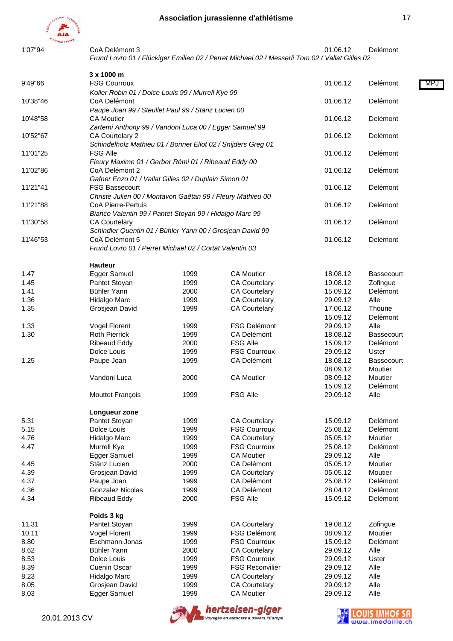

1'07"94 CoA Delémont 3 01.06.12 Delémont *Frund Lovro 01 / Flückiger Emilien 02 / Perret Michael 02 / Messerli Tom 02 / Vallat Gilles 02*

| 9'49"66  | 3 x 1000 m<br><b>FSG Courroux</b>                                                |      |                        | 01.06.12 | Delémont<br>MP.   |
|----------|----------------------------------------------------------------------------------|------|------------------------|----------|-------------------|
|          | Koller Robin 01 / Dolce Louis 99 / Murrell Kye 99                                |      |                        |          |                   |
| 10'38"46 | CoA Delémont<br>Paupe Joan 99 / Steullet Paul 99 / Stänz Lucien 00               |      | 01.06.12               | Delémont |                   |
| 10'48"58 | <b>CA Moutier</b>                                                                |      | 01.06.12               | Delémont |                   |
| 10'52"67 | Zartemi Anthony 99 / Vandoni Luca 00 / Egger Samuel 99<br>CA Courtelary 2        |      | 01.06.12               | Delémont |                   |
| 11'01"25 | Schindelholz Mathieu 01 / Bonnet Eliot 02 / Snijders Greg 01<br><b>FSG Alle</b>  |      |                        | 01.06.12 | Delémont          |
| 11'02"86 | Fleury Maxime 01 / Gerber Rémi 01 / Ribeaud Eddy 00<br>CoA Delémont 2            |      |                        | 01.06.12 | Delémont          |
| 11'21"41 | Gafner Enzo 01 / Vallat Gilles 02 / Duplain Simon 01<br><b>FSG Bassecourt</b>    |      |                        | 01.06.12 | Delémont          |
| 11'21"88 | Christe Julien 00 / Montavon Gaëtan 99 / Fleury Mathieu 00<br>CoA Pierre-Pertuis |      |                        | 01.06.12 | Delémont          |
| 11'30"58 | Bianco Valentin 99 / Pantet Stoyan 99 / Hidalgo Marc 99<br><b>CA Courtelary</b>  |      |                        | 01.06.12 | Delémont          |
|          | Schindler Quentin 01 / Bühler Yann 00 / Grosjean David 99                        |      |                        |          |                   |
| 11'46"53 | CoA Delémont 5<br>Frund Lovro 01 / Perret Michael 02 / Cortat Valentin 03        |      |                        | 01.06.12 | Delémont          |
|          | <b>Hauteur</b>                                                                   |      |                        |          |                   |
| 1.47     | Egger Samuel                                                                     | 1999 | <b>CA Moutier</b>      | 18.08.12 | <b>Bassecourt</b> |
| 1.45     | Pantet Stoyan                                                                    | 1999 | <b>CA Courtelary</b>   | 19.08.12 | Zofingue          |
| 1.41     | Bühler Yann                                                                      | 2000 | <b>CA Courtelary</b>   | 15.09.12 | Delémont          |
| 1.36     | Hidalgo Marc                                                                     | 1999 | <b>CA Courtelary</b>   | 29.09.12 | Alle              |
| 1.35     | Grosjean David                                                                   | 1999 | <b>CA Courtelary</b>   | 17.06.12 | Thoune            |
|          |                                                                                  |      |                        | 15.09.12 | Delémont          |
| 1.33     | Vogel Florent                                                                    | 1999 | <b>FSG Delémont</b>    | 29.09.12 | Alle              |
| 1.30     | <b>Roth Pierrick</b>                                                             | 1999 | CA Delémont            | 18.08.12 | <b>Bassecourt</b> |
|          |                                                                                  |      | <b>FSG Alle</b>        |          |                   |
|          | <b>Ribeaud Eddy</b>                                                              | 2000 |                        | 15.09.12 | Delémont          |
|          | Dolce Louis                                                                      | 1999 | <b>FSG Courroux</b>    | 29.09.12 | Uster             |
| 1.25     | Paupe Joan                                                                       | 1999 | CA Delémont            | 18.08.12 | <b>Bassecourt</b> |
|          |                                                                                  |      |                        | 08.09.12 | Moutier           |
|          | Vandoni Luca                                                                     | 2000 | <b>CA Moutier</b>      | 08.09.12 | Moutier           |
|          |                                                                                  |      |                        | 15.09.12 | Delémont          |
|          | Mouttet François                                                                 | 1999 | <b>FSG Alle</b>        | 29.09.12 | Alle              |
|          | Longueur zone                                                                    |      |                        |          |                   |
| 5.31     | Pantet Stoyan                                                                    | 1999 | <b>CA Courtelary</b>   | 15.09.12 | Delémont          |
| 5.15     | Dolce Louis                                                                      | 1999 | <b>FSG Courroux</b>    | 25.08.12 | Delémont          |
| 4.76     | Hidalgo Marc                                                                     | 1999 | <b>CA Courtelary</b>   | 05.05.12 | Moutier           |
| 4.47     | Murrell Kye                                                                      | 1999 | <b>FSG Courroux</b>    | 25.08.12 | Delémont          |
|          | Egger Samuel                                                                     | 1999 | <b>CA Moutier</b>      | 29.09.12 | Alle              |
| 4.45     | Stänz Lucien                                                                     | 2000 | CA Delémont            | 05.05.12 | Moutier           |
| 4.39     | Grosjean David                                                                   | 1999 | <b>CA Courtelary</b>   | 05.05.12 | Moutier           |
| 4.37     | Paupe Joan                                                                       | 1999 | <b>CA Delémont</b>     | 25.08.12 | Delémont          |
| 4.36     | Gonzalez Nicolas                                                                 | 1999 | CA Delémont            | 28.04.12 | Delémont          |
| 4.34     | <b>Ribeaud Eddy</b>                                                              | 2000 | <b>FSG Alle</b>        | 15.09.12 | Delémont          |
|          | Poids 3 kg                                                                       |      |                        |          |                   |
| 11.31    | Pantet Stoyan                                                                    | 1999 | <b>CA Courtelary</b>   | 19.08.12 | Zofingue          |
| 10.11    | Vogel Florent                                                                    | 1999 | <b>FSG Delémont</b>    | 08.09.12 | Moutier           |
| 8.80     | Eschmann Jonas                                                                   | 1999 | <b>FSG Courroux</b>    | 15.09.12 | Delémont          |
| 8.62     | Bühler Yann                                                                      | 2000 | <b>CA Courtelary</b>   | 29.09.12 | Alle              |
| 8.53     | Dolce Louis                                                                      | 1999 | <b>FSG Courroux</b>    | 29.09.12 | Uster             |
| 8.39     | Cuenin Oscar                                                                     | 1999 | <b>FSG Reconvilier</b> | 29.09.12 | Alle              |
| 8.23     | Hidalgo Marc                                                                     | 1999 | <b>CA Courtelary</b>   | 29.09.12 | Alle              |
| 8.05     | Grosjean David                                                                   | 1999 | <b>CA Courtelary</b>   | 29.09.12 | Alle              |
| 8.03     | Egger Samuel                                                                     | 1999 | <b>CA Moutier</b>      | 29.09.12 | Alle              |
|          |                                                                                  |      |                        |          |                   |



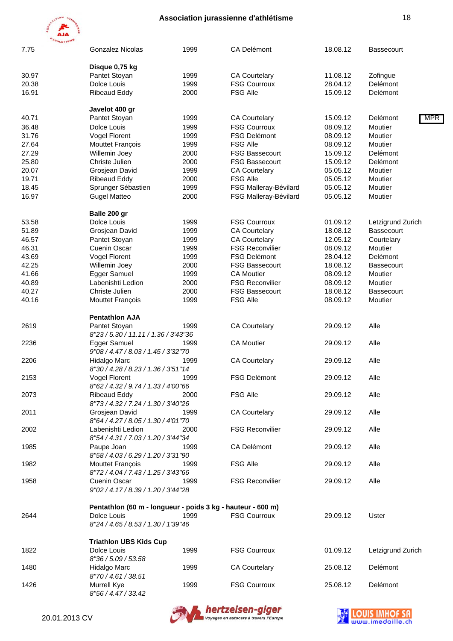

20.01.2013 CV

| <b>HLETIS</b><br>1999<br>CA Delémont<br>18.08.12<br>7.75<br><b>Gonzalez Nicolas</b><br><b>Bassecourt</b><br>Disque 0,75 kg<br>30.97<br>Pantet Stoyan<br>1999<br><b>CA Courtelary</b><br>11.08.12<br>Zofingue<br>20.38<br>1999<br><b>FSG Courroux</b><br>Delémont<br>Dolce Louis<br>28.04.12<br>16.91<br><b>Ribeaud Eddy</b><br>2000<br><b>FSG Alle</b><br>15.09.12<br>Delémont<br>Javelot 400 gr<br>Pantet Stoyan<br>1999<br><b>CA Courtelary</b><br>15.09.12<br>Delémont<br>40.71<br><b>FSG Courroux</b><br>Dolce Louis<br>1999<br>08.09.12<br>Moutier<br>36.48<br>31.76<br><b>Vogel Florent</b><br>1999<br><b>FSG Delémont</b><br>08.09.12<br>Moutier<br><b>FSG Alle</b><br>27.64<br>1999<br>08.09.12<br>Moutier<br><b>Mouttet François</b><br>27.29<br>2000<br><b>FSG Bassecourt</b><br>15.09.12<br>Delémont<br>Willemin Joey<br>25.80<br>Christe Julien<br>2000<br><b>FSG Bassecourt</b><br>15.09.12<br>Delémont<br>20.07<br>1999<br><b>CA Courtelary</b><br>05.05.12<br>Moutier<br>Grosjean David<br>19.71<br><b>FSG Alle</b><br>05.05.12<br>Moutier<br><b>Ribeaud Eddy</b><br>2000<br>Sprunger Sébastien<br>1999<br>FSG Malleray-Bévilard<br>05.05.12<br>Moutier<br>18.45<br>16.97<br><b>Gugel Matteo</b><br>2000<br>FSG Malleray-Bévilard<br>05.05.12<br>Moutier<br>Balle 200 gr<br>53.58<br>Dolce Louis<br>1999<br><b>FSG Courroux</b><br>01.09.12<br>Letzigrund Zurich<br>51.89<br>Grosjean David<br>1999<br><b>CA Courtelary</b><br>18.08.12<br>Bassecourt<br>Pantet Stoyan<br>1999<br><b>CA Courtelary</b><br>Courtelary<br>46.57<br>12.05.12<br>46.31<br>Cuenin Oscar<br>1999<br><b>FSG Reconvilier</b><br>08.09.12<br>Moutier<br>Vogel Florent<br>1999<br><b>FSG Delémont</b><br>Delémont<br>43.69<br>28.04.12<br>Willemin Joey<br>2000<br><b>FSG Bassecourt</b><br>18.08.12<br>42.25<br><b>Bassecourt</b><br>Egger Samuel<br>1999<br><b>CA Moutier</b><br>08.09.12<br>Moutier<br>41.66<br>Labenishti Ledion<br>2000<br><b>FSG Reconvilier</b><br>Moutier<br>40.89<br>08.09.12<br>Christe Julien<br>2000<br><b>FSG Bassecourt</b><br>18.08.12<br>40.27<br><b>Bassecourt</b><br><b>FSG Alle</b><br>Mouttet François<br>08.09.12<br>Moutier<br>40.16<br>1999<br><b>Pentathlon AJA</b><br>Pantet Stoyan<br>1999<br><b>CA Courtelary</b><br>Alle<br>2619<br>29.09.12<br>8"23 / 5.30 / 11.11 / 1.36 / 3'43"36<br>Egger Samuel<br><b>CA Moutier</b><br>Alle<br>2236<br>1999<br>29.09.12<br>9"08 / 4.47 / 8.03 / 1.45 / 3'32"70<br>Alle<br>2206<br>Hidalgo Marc<br>1999<br><b>CA Courtelary</b><br>29.09.12<br>8"30 / 4.28 / 8.23 / 1.36 / 3'51"14<br>Alle<br>2153<br><b>Vogel Florent</b><br>1999<br><b>FSG Delémont</b><br>29.09.12<br>8"62 / 4.32 / 9.74 / 1.33 / 4'00"66<br><b>FSG Alle</b><br>2073<br><b>Ribeaud Eddy</b><br>29.09.12<br>Alle<br>2000<br>8"73 / 4.32 / 7.24 / 1.30 / 3'40"26<br>2011<br>Grosjean David<br>1999<br><b>CA Courtelary</b><br>29.09.12<br>Alle<br>8"64 / 4.27 / 8.05 / 1.30 / 4'01"70<br><b>FSG Reconvilier</b><br>2002<br>Labenishti Ledion<br>29.09.12<br>Alle<br>2000<br>8"54 / 4.31 / 7.03 / 1.20 / 3'44"34<br>1985<br>Paupe Joan<br><b>CA Delémont</b><br>29.09.12<br>Alle<br>1999<br>8"58 / 4.03 / 6.29 / 1.20 / 3'31"90<br><b>FSG Alle</b><br>1982<br>Mouttet François<br>1999<br>29.09.12<br>Alle<br>8"72 / 4.04 / 7.43 / 1.25 / 3'43"66<br>Cuenin Oscar<br><b>FSG Reconvilier</b><br>1958<br>1999<br>29.09.12<br>Alle<br>9"02 / 4.17 / 8.39 / 1.20 / 3'44"28<br>Pentathlon (60 m - longueur - poids 3 kg - hauteur - 600 m)<br>Dolce Louis<br><b>FSG Courroux</b><br>2644<br>1999<br>29.09.12<br>Uster<br>8"24 / 4.65 / 8.53 / 1.30 / 1'39"46<br><b>Triathlon UBS Kids Cup</b><br>1999<br><b>FSG Courroux</b><br>01.09.12<br>Letzigrund Zurich<br>1822<br>Dolce Louis<br>8"36 / 5.09 / 53.58<br>Delémont<br>1480<br>Hidalgo Marc<br>1999<br><b>CA Courtelary</b><br>25.08.12<br>8"70 / 4.61 / 38.51<br>1426<br><b>FSG Courroux</b><br>Delémont<br>Murrell Kye<br>1999<br>25.08.12 |                     |  |     |
|-----------------------------------------------------------------------------------------------------------------------------------------------------------------------------------------------------------------------------------------------------------------------------------------------------------------------------------------------------------------------------------------------------------------------------------------------------------------------------------------------------------------------------------------------------------------------------------------------------------------------------------------------------------------------------------------------------------------------------------------------------------------------------------------------------------------------------------------------------------------------------------------------------------------------------------------------------------------------------------------------------------------------------------------------------------------------------------------------------------------------------------------------------------------------------------------------------------------------------------------------------------------------------------------------------------------------------------------------------------------------------------------------------------------------------------------------------------------------------------------------------------------------------------------------------------------------------------------------------------------------------------------------------------------------------------------------------------------------------------------------------------------------------------------------------------------------------------------------------------------------------------------------------------------------------------------------------------------------------------------------------------------------------------------------------------------------------------------------------------------------------------------------------------------------------------------------------------------------------------------------------------------------------------------------------------------------------------------------------------------------------------------------------------------------------------------------------------------------------------------------------------------------------------------------------------------------------------------------------------------------------------------------------------------------------------------------------------------------------------------------------------------------------------------------------------------------------------------------------------------------------------------------------------------------------------------------------------------------------------------------------------------------------------------------------------------------------------------------------------------------------------------------------------------------------------------------------------------------------------------------------------------------------------------------------------------------------------------------------------------------------------------------------------------------------------------------------------------------------------------------------------------------------------------------------------------------------------------------------------------------------------------------------------------------------------------------------------------------------------------------------------------------------------------------------------------------------------------------------------------------------------------------------------------------------------|---------------------|--|-----|
|                                                                                                                                                                                                                                                                                                                                                                                                                                                                                                                                                                                                                                                                                                                                                                                                                                                                                                                                                                                                                                                                                                                                                                                                                                                                                                                                                                                                                                                                                                                                                                                                                                                                                                                                                                                                                                                                                                                                                                                                                                                                                                                                                                                                                                                                                                                                                                                                                                                                                                                                                                                                                                                                                                                                                                                                                                                                                                                                                                                                                                                                                                                                                                                                                                                                                                                                                                                                                                                                                                                                                                                                                                                                                                                                                                                                                                                                                                                                   |                     |  |     |
|                                                                                                                                                                                                                                                                                                                                                                                                                                                                                                                                                                                                                                                                                                                                                                                                                                                                                                                                                                                                                                                                                                                                                                                                                                                                                                                                                                                                                                                                                                                                                                                                                                                                                                                                                                                                                                                                                                                                                                                                                                                                                                                                                                                                                                                                                                                                                                                                                                                                                                                                                                                                                                                                                                                                                                                                                                                                                                                                                                                                                                                                                                                                                                                                                                                                                                                                                                                                                                                                                                                                                                                                                                                                                                                                                                                                                                                                                                                                   |                     |  |     |
|                                                                                                                                                                                                                                                                                                                                                                                                                                                                                                                                                                                                                                                                                                                                                                                                                                                                                                                                                                                                                                                                                                                                                                                                                                                                                                                                                                                                                                                                                                                                                                                                                                                                                                                                                                                                                                                                                                                                                                                                                                                                                                                                                                                                                                                                                                                                                                                                                                                                                                                                                                                                                                                                                                                                                                                                                                                                                                                                                                                                                                                                                                                                                                                                                                                                                                                                                                                                                                                                                                                                                                                                                                                                                                                                                                                                                                                                                                                                   |                     |  |     |
|                                                                                                                                                                                                                                                                                                                                                                                                                                                                                                                                                                                                                                                                                                                                                                                                                                                                                                                                                                                                                                                                                                                                                                                                                                                                                                                                                                                                                                                                                                                                                                                                                                                                                                                                                                                                                                                                                                                                                                                                                                                                                                                                                                                                                                                                                                                                                                                                                                                                                                                                                                                                                                                                                                                                                                                                                                                                                                                                                                                                                                                                                                                                                                                                                                                                                                                                                                                                                                                                                                                                                                                                                                                                                                                                                                                                                                                                                                                                   |                     |  |     |
|                                                                                                                                                                                                                                                                                                                                                                                                                                                                                                                                                                                                                                                                                                                                                                                                                                                                                                                                                                                                                                                                                                                                                                                                                                                                                                                                                                                                                                                                                                                                                                                                                                                                                                                                                                                                                                                                                                                                                                                                                                                                                                                                                                                                                                                                                                                                                                                                                                                                                                                                                                                                                                                                                                                                                                                                                                                                                                                                                                                                                                                                                                                                                                                                                                                                                                                                                                                                                                                                                                                                                                                                                                                                                                                                                                                                                                                                                                                                   |                     |  |     |
|                                                                                                                                                                                                                                                                                                                                                                                                                                                                                                                                                                                                                                                                                                                                                                                                                                                                                                                                                                                                                                                                                                                                                                                                                                                                                                                                                                                                                                                                                                                                                                                                                                                                                                                                                                                                                                                                                                                                                                                                                                                                                                                                                                                                                                                                                                                                                                                                                                                                                                                                                                                                                                                                                                                                                                                                                                                                                                                                                                                                                                                                                                                                                                                                                                                                                                                                                                                                                                                                                                                                                                                                                                                                                                                                                                                                                                                                                                                                   |                     |  |     |
|                                                                                                                                                                                                                                                                                                                                                                                                                                                                                                                                                                                                                                                                                                                                                                                                                                                                                                                                                                                                                                                                                                                                                                                                                                                                                                                                                                                                                                                                                                                                                                                                                                                                                                                                                                                                                                                                                                                                                                                                                                                                                                                                                                                                                                                                                                                                                                                                                                                                                                                                                                                                                                                                                                                                                                                                                                                                                                                                                                                                                                                                                                                                                                                                                                                                                                                                                                                                                                                                                                                                                                                                                                                                                                                                                                                                                                                                                                                                   |                     |  | MPR |
|                                                                                                                                                                                                                                                                                                                                                                                                                                                                                                                                                                                                                                                                                                                                                                                                                                                                                                                                                                                                                                                                                                                                                                                                                                                                                                                                                                                                                                                                                                                                                                                                                                                                                                                                                                                                                                                                                                                                                                                                                                                                                                                                                                                                                                                                                                                                                                                                                                                                                                                                                                                                                                                                                                                                                                                                                                                                                                                                                                                                                                                                                                                                                                                                                                                                                                                                                                                                                                                                                                                                                                                                                                                                                                                                                                                                                                                                                                                                   |                     |  |     |
|                                                                                                                                                                                                                                                                                                                                                                                                                                                                                                                                                                                                                                                                                                                                                                                                                                                                                                                                                                                                                                                                                                                                                                                                                                                                                                                                                                                                                                                                                                                                                                                                                                                                                                                                                                                                                                                                                                                                                                                                                                                                                                                                                                                                                                                                                                                                                                                                                                                                                                                                                                                                                                                                                                                                                                                                                                                                                                                                                                                                                                                                                                                                                                                                                                                                                                                                                                                                                                                                                                                                                                                                                                                                                                                                                                                                                                                                                                                                   |                     |  |     |
|                                                                                                                                                                                                                                                                                                                                                                                                                                                                                                                                                                                                                                                                                                                                                                                                                                                                                                                                                                                                                                                                                                                                                                                                                                                                                                                                                                                                                                                                                                                                                                                                                                                                                                                                                                                                                                                                                                                                                                                                                                                                                                                                                                                                                                                                                                                                                                                                                                                                                                                                                                                                                                                                                                                                                                                                                                                                                                                                                                                                                                                                                                                                                                                                                                                                                                                                                                                                                                                                                                                                                                                                                                                                                                                                                                                                                                                                                                                                   |                     |  |     |
|                                                                                                                                                                                                                                                                                                                                                                                                                                                                                                                                                                                                                                                                                                                                                                                                                                                                                                                                                                                                                                                                                                                                                                                                                                                                                                                                                                                                                                                                                                                                                                                                                                                                                                                                                                                                                                                                                                                                                                                                                                                                                                                                                                                                                                                                                                                                                                                                                                                                                                                                                                                                                                                                                                                                                                                                                                                                                                                                                                                                                                                                                                                                                                                                                                                                                                                                                                                                                                                                                                                                                                                                                                                                                                                                                                                                                                                                                                                                   |                     |  |     |
|                                                                                                                                                                                                                                                                                                                                                                                                                                                                                                                                                                                                                                                                                                                                                                                                                                                                                                                                                                                                                                                                                                                                                                                                                                                                                                                                                                                                                                                                                                                                                                                                                                                                                                                                                                                                                                                                                                                                                                                                                                                                                                                                                                                                                                                                                                                                                                                                                                                                                                                                                                                                                                                                                                                                                                                                                                                                                                                                                                                                                                                                                                                                                                                                                                                                                                                                                                                                                                                                                                                                                                                                                                                                                                                                                                                                                                                                                                                                   |                     |  |     |
|                                                                                                                                                                                                                                                                                                                                                                                                                                                                                                                                                                                                                                                                                                                                                                                                                                                                                                                                                                                                                                                                                                                                                                                                                                                                                                                                                                                                                                                                                                                                                                                                                                                                                                                                                                                                                                                                                                                                                                                                                                                                                                                                                                                                                                                                                                                                                                                                                                                                                                                                                                                                                                                                                                                                                                                                                                                                                                                                                                                                                                                                                                                                                                                                                                                                                                                                                                                                                                                                                                                                                                                                                                                                                                                                                                                                                                                                                                                                   |                     |  |     |
|                                                                                                                                                                                                                                                                                                                                                                                                                                                                                                                                                                                                                                                                                                                                                                                                                                                                                                                                                                                                                                                                                                                                                                                                                                                                                                                                                                                                                                                                                                                                                                                                                                                                                                                                                                                                                                                                                                                                                                                                                                                                                                                                                                                                                                                                                                                                                                                                                                                                                                                                                                                                                                                                                                                                                                                                                                                                                                                                                                                                                                                                                                                                                                                                                                                                                                                                                                                                                                                                                                                                                                                                                                                                                                                                                                                                                                                                                                                                   |                     |  |     |
|                                                                                                                                                                                                                                                                                                                                                                                                                                                                                                                                                                                                                                                                                                                                                                                                                                                                                                                                                                                                                                                                                                                                                                                                                                                                                                                                                                                                                                                                                                                                                                                                                                                                                                                                                                                                                                                                                                                                                                                                                                                                                                                                                                                                                                                                                                                                                                                                                                                                                                                                                                                                                                                                                                                                                                                                                                                                                                                                                                                                                                                                                                                                                                                                                                                                                                                                                                                                                                                                                                                                                                                                                                                                                                                                                                                                                                                                                                                                   |                     |  |     |
|                                                                                                                                                                                                                                                                                                                                                                                                                                                                                                                                                                                                                                                                                                                                                                                                                                                                                                                                                                                                                                                                                                                                                                                                                                                                                                                                                                                                                                                                                                                                                                                                                                                                                                                                                                                                                                                                                                                                                                                                                                                                                                                                                                                                                                                                                                                                                                                                                                                                                                                                                                                                                                                                                                                                                                                                                                                                                                                                                                                                                                                                                                                                                                                                                                                                                                                                                                                                                                                                                                                                                                                                                                                                                                                                                                                                                                                                                                                                   |                     |  |     |
|                                                                                                                                                                                                                                                                                                                                                                                                                                                                                                                                                                                                                                                                                                                                                                                                                                                                                                                                                                                                                                                                                                                                                                                                                                                                                                                                                                                                                                                                                                                                                                                                                                                                                                                                                                                                                                                                                                                                                                                                                                                                                                                                                                                                                                                                                                                                                                                                                                                                                                                                                                                                                                                                                                                                                                                                                                                                                                                                                                                                                                                                                                                                                                                                                                                                                                                                                                                                                                                                                                                                                                                                                                                                                                                                                                                                                                                                                                                                   |                     |  |     |
|                                                                                                                                                                                                                                                                                                                                                                                                                                                                                                                                                                                                                                                                                                                                                                                                                                                                                                                                                                                                                                                                                                                                                                                                                                                                                                                                                                                                                                                                                                                                                                                                                                                                                                                                                                                                                                                                                                                                                                                                                                                                                                                                                                                                                                                                                                                                                                                                                                                                                                                                                                                                                                                                                                                                                                                                                                                                                                                                                                                                                                                                                                                                                                                                                                                                                                                                                                                                                                                                                                                                                                                                                                                                                                                                                                                                                                                                                                                                   |                     |  |     |
|                                                                                                                                                                                                                                                                                                                                                                                                                                                                                                                                                                                                                                                                                                                                                                                                                                                                                                                                                                                                                                                                                                                                                                                                                                                                                                                                                                                                                                                                                                                                                                                                                                                                                                                                                                                                                                                                                                                                                                                                                                                                                                                                                                                                                                                                                                                                                                                                                                                                                                                                                                                                                                                                                                                                                                                                                                                                                                                                                                                                                                                                                                                                                                                                                                                                                                                                                                                                                                                                                                                                                                                                                                                                                                                                                                                                                                                                                                                                   |                     |  |     |
|                                                                                                                                                                                                                                                                                                                                                                                                                                                                                                                                                                                                                                                                                                                                                                                                                                                                                                                                                                                                                                                                                                                                                                                                                                                                                                                                                                                                                                                                                                                                                                                                                                                                                                                                                                                                                                                                                                                                                                                                                                                                                                                                                                                                                                                                                                                                                                                                                                                                                                                                                                                                                                                                                                                                                                                                                                                                                                                                                                                                                                                                                                                                                                                                                                                                                                                                                                                                                                                                                                                                                                                                                                                                                                                                                                                                                                                                                                                                   |                     |  |     |
|                                                                                                                                                                                                                                                                                                                                                                                                                                                                                                                                                                                                                                                                                                                                                                                                                                                                                                                                                                                                                                                                                                                                                                                                                                                                                                                                                                                                                                                                                                                                                                                                                                                                                                                                                                                                                                                                                                                                                                                                                                                                                                                                                                                                                                                                                                                                                                                                                                                                                                                                                                                                                                                                                                                                                                                                                                                                                                                                                                                                                                                                                                                                                                                                                                                                                                                                                                                                                                                                                                                                                                                                                                                                                                                                                                                                                                                                                                                                   |                     |  |     |
|                                                                                                                                                                                                                                                                                                                                                                                                                                                                                                                                                                                                                                                                                                                                                                                                                                                                                                                                                                                                                                                                                                                                                                                                                                                                                                                                                                                                                                                                                                                                                                                                                                                                                                                                                                                                                                                                                                                                                                                                                                                                                                                                                                                                                                                                                                                                                                                                                                                                                                                                                                                                                                                                                                                                                                                                                                                                                                                                                                                                                                                                                                                                                                                                                                                                                                                                                                                                                                                                                                                                                                                                                                                                                                                                                                                                                                                                                                                                   |                     |  |     |
|                                                                                                                                                                                                                                                                                                                                                                                                                                                                                                                                                                                                                                                                                                                                                                                                                                                                                                                                                                                                                                                                                                                                                                                                                                                                                                                                                                                                                                                                                                                                                                                                                                                                                                                                                                                                                                                                                                                                                                                                                                                                                                                                                                                                                                                                                                                                                                                                                                                                                                                                                                                                                                                                                                                                                                                                                                                                                                                                                                                                                                                                                                                                                                                                                                                                                                                                                                                                                                                                                                                                                                                                                                                                                                                                                                                                                                                                                                                                   |                     |  |     |
|                                                                                                                                                                                                                                                                                                                                                                                                                                                                                                                                                                                                                                                                                                                                                                                                                                                                                                                                                                                                                                                                                                                                                                                                                                                                                                                                                                                                                                                                                                                                                                                                                                                                                                                                                                                                                                                                                                                                                                                                                                                                                                                                                                                                                                                                                                                                                                                                                                                                                                                                                                                                                                                                                                                                                                                                                                                                                                                                                                                                                                                                                                                                                                                                                                                                                                                                                                                                                                                                                                                                                                                                                                                                                                                                                                                                                                                                                                                                   |                     |  |     |
|                                                                                                                                                                                                                                                                                                                                                                                                                                                                                                                                                                                                                                                                                                                                                                                                                                                                                                                                                                                                                                                                                                                                                                                                                                                                                                                                                                                                                                                                                                                                                                                                                                                                                                                                                                                                                                                                                                                                                                                                                                                                                                                                                                                                                                                                                                                                                                                                                                                                                                                                                                                                                                                                                                                                                                                                                                                                                                                                                                                                                                                                                                                                                                                                                                                                                                                                                                                                                                                                                                                                                                                                                                                                                                                                                                                                                                                                                                                                   |                     |  |     |
|                                                                                                                                                                                                                                                                                                                                                                                                                                                                                                                                                                                                                                                                                                                                                                                                                                                                                                                                                                                                                                                                                                                                                                                                                                                                                                                                                                                                                                                                                                                                                                                                                                                                                                                                                                                                                                                                                                                                                                                                                                                                                                                                                                                                                                                                                                                                                                                                                                                                                                                                                                                                                                                                                                                                                                                                                                                                                                                                                                                                                                                                                                                                                                                                                                                                                                                                                                                                                                                                                                                                                                                                                                                                                                                                                                                                                                                                                                                                   |                     |  |     |
|                                                                                                                                                                                                                                                                                                                                                                                                                                                                                                                                                                                                                                                                                                                                                                                                                                                                                                                                                                                                                                                                                                                                                                                                                                                                                                                                                                                                                                                                                                                                                                                                                                                                                                                                                                                                                                                                                                                                                                                                                                                                                                                                                                                                                                                                                                                                                                                                                                                                                                                                                                                                                                                                                                                                                                                                                                                                                                                                                                                                                                                                                                                                                                                                                                                                                                                                                                                                                                                                                                                                                                                                                                                                                                                                                                                                                                                                                                                                   |                     |  |     |
|                                                                                                                                                                                                                                                                                                                                                                                                                                                                                                                                                                                                                                                                                                                                                                                                                                                                                                                                                                                                                                                                                                                                                                                                                                                                                                                                                                                                                                                                                                                                                                                                                                                                                                                                                                                                                                                                                                                                                                                                                                                                                                                                                                                                                                                                                                                                                                                                                                                                                                                                                                                                                                                                                                                                                                                                                                                                                                                                                                                                                                                                                                                                                                                                                                                                                                                                                                                                                                                                                                                                                                                                                                                                                                                                                                                                                                                                                                                                   |                     |  |     |
|                                                                                                                                                                                                                                                                                                                                                                                                                                                                                                                                                                                                                                                                                                                                                                                                                                                                                                                                                                                                                                                                                                                                                                                                                                                                                                                                                                                                                                                                                                                                                                                                                                                                                                                                                                                                                                                                                                                                                                                                                                                                                                                                                                                                                                                                                                                                                                                                                                                                                                                                                                                                                                                                                                                                                                                                                                                                                                                                                                                                                                                                                                                                                                                                                                                                                                                                                                                                                                                                                                                                                                                                                                                                                                                                                                                                                                                                                                                                   |                     |  |     |
|                                                                                                                                                                                                                                                                                                                                                                                                                                                                                                                                                                                                                                                                                                                                                                                                                                                                                                                                                                                                                                                                                                                                                                                                                                                                                                                                                                                                                                                                                                                                                                                                                                                                                                                                                                                                                                                                                                                                                                                                                                                                                                                                                                                                                                                                                                                                                                                                                                                                                                                                                                                                                                                                                                                                                                                                                                                                                                                                                                                                                                                                                                                                                                                                                                                                                                                                                                                                                                                                                                                                                                                                                                                                                                                                                                                                                                                                                                                                   |                     |  |     |
|                                                                                                                                                                                                                                                                                                                                                                                                                                                                                                                                                                                                                                                                                                                                                                                                                                                                                                                                                                                                                                                                                                                                                                                                                                                                                                                                                                                                                                                                                                                                                                                                                                                                                                                                                                                                                                                                                                                                                                                                                                                                                                                                                                                                                                                                                                                                                                                                                                                                                                                                                                                                                                                                                                                                                                                                                                                                                                                                                                                                                                                                                                                                                                                                                                                                                                                                                                                                                                                                                                                                                                                                                                                                                                                                                                                                                                                                                                                                   |                     |  |     |
|                                                                                                                                                                                                                                                                                                                                                                                                                                                                                                                                                                                                                                                                                                                                                                                                                                                                                                                                                                                                                                                                                                                                                                                                                                                                                                                                                                                                                                                                                                                                                                                                                                                                                                                                                                                                                                                                                                                                                                                                                                                                                                                                                                                                                                                                                                                                                                                                                                                                                                                                                                                                                                                                                                                                                                                                                                                                                                                                                                                                                                                                                                                                                                                                                                                                                                                                                                                                                                                                                                                                                                                                                                                                                                                                                                                                                                                                                                                                   |                     |  |     |
|                                                                                                                                                                                                                                                                                                                                                                                                                                                                                                                                                                                                                                                                                                                                                                                                                                                                                                                                                                                                                                                                                                                                                                                                                                                                                                                                                                                                                                                                                                                                                                                                                                                                                                                                                                                                                                                                                                                                                                                                                                                                                                                                                                                                                                                                                                                                                                                                                                                                                                                                                                                                                                                                                                                                                                                                                                                                                                                                                                                                                                                                                                                                                                                                                                                                                                                                                                                                                                                                                                                                                                                                                                                                                                                                                                                                                                                                                                                                   |                     |  |     |
|                                                                                                                                                                                                                                                                                                                                                                                                                                                                                                                                                                                                                                                                                                                                                                                                                                                                                                                                                                                                                                                                                                                                                                                                                                                                                                                                                                                                                                                                                                                                                                                                                                                                                                                                                                                                                                                                                                                                                                                                                                                                                                                                                                                                                                                                                                                                                                                                                                                                                                                                                                                                                                                                                                                                                                                                                                                                                                                                                                                                                                                                                                                                                                                                                                                                                                                                                                                                                                                                                                                                                                                                                                                                                                                                                                                                                                                                                                                                   |                     |  |     |
|                                                                                                                                                                                                                                                                                                                                                                                                                                                                                                                                                                                                                                                                                                                                                                                                                                                                                                                                                                                                                                                                                                                                                                                                                                                                                                                                                                                                                                                                                                                                                                                                                                                                                                                                                                                                                                                                                                                                                                                                                                                                                                                                                                                                                                                                                                                                                                                                                                                                                                                                                                                                                                                                                                                                                                                                                                                                                                                                                                                                                                                                                                                                                                                                                                                                                                                                                                                                                                                                                                                                                                                                                                                                                                                                                                                                                                                                                                                                   |                     |  |     |
|                                                                                                                                                                                                                                                                                                                                                                                                                                                                                                                                                                                                                                                                                                                                                                                                                                                                                                                                                                                                                                                                                                                                                                                                                                                                                                                                                                                                                                                                                                                                                                                                                                                                                                                                                                                                                                                                                                                                                                                                                                                                                                                                                                                                                                                                                                                                                                                                                                                                                                                                                                                                                                                                                                                                                                                                                                                                                                                                                                                                                                                                                                                                                                                                                                                                                                                                                                                                                                                                                                                                                                                                                                                                                                                                                                                                                                                                                                                                   |                     |  |     |
|                                                                                                                                                                                                                                                                                                                                                                                                                                                                                                                                                                                                                                                                                                                                                                                                                                                                                                                                                                                                                                                                                                                                                                                                                                                                                                                                                                                                                                                                                                                                                                                                                                                                                                                                                                                                                                                                                                                                                                                                                                                                                                                                                                                                                                                                                                                                                                                                                                                                                                                                                                                                                                                                                                                                                                                                                                                                                                                                                                                                                                                                                                                                                                                                                                                                                                                                                                                                                                                                                                                                                                                                                                                                                                                                                                                                                                                                                                                                   |                     |  |     |
|                                                                                                                                                                                                                                                                                                                                                                                                                                                                                                                                                                                                                                                                                                                                                                                                                                                                                                                                                                                                                                                                                                                                                                                                                                                                                                                                                                                                                                                                                                                                                                                                                                                                                                                                                                                                                                                                                                                                                                                                                                                                                                                                                                                                                                                                                                                                                                                                                                                                                                                                                                                                                                                                                                                                                                                                                                                                                                                                                                                                                                                                                                                                                                                                                                                                                                                                                                                                                                                                                                                                                                                                                                                                                                                                                                                                                                                                                                                                   |                     |  |     |
|                                                                                                                                                                                                                                                                                                                                                                                                                                                                                                                                                                                                                                                                                                                                                                                                                                                                                                                                                                                                                                                                                                                                                                                                                                                                                                                                                                                                                                                                                                                                                                                                                                                                                                                                                                                                                                                                                                                                                                                                                                                                                                                                                                                                                                                                                                                                                                                                                                                                                                                                                                                                                                                                                                                                                                                                                                                                                                                                                                                                                                                                                                                                                                                                                                                                                                                                                                                                                                                                                                                                                                                                                                                                                                                                                                                                                                                                                                                                   |                     |  |     |
|                                                                                                                                                                                                                                                                                                                                                                                                                                                                                                                                                                                                                                                                                                                                                                                                                                                                                                                                                                                                                                                                                                                                                                                                                                                                                                                                                                                                                                                                                                                                                                                                                                                                                                                                                                                                                                                                                                                                                                                                                                                                                                                                                                                                                                                                                                                                                                                                                                                                                                                                                                                                                                                                                                                                                                                                                                                                                                                                                                                                                                                                                                                                                                                                                                                                                                                                                                                                                                                                                                                                                                                                                                                                                                                                                                                                                                                                                                                                   |                     |  |     |
|                                                                                                                                                                                                                                                                                                                                                                                                                                                                                                                                                                                                                                                                                                                                                                                                                                                                                                                                                                                                                                                                                                                                                                                                                                                                                                                                                                                                                                                                                                                                                                                                                                                                                                                                                                                                                                                                                                                                                                                                                                                                                                                                                                                                                                                                                                                                                                                                                                                                                                                                                                                                                                                                                                                                                                                                                                                                                                                                                                                                                                                                                                                                                                                                                                                                                                                                                                                                                                                                                                                                                                                                                                                                                                                                                                                                                                                                                                                                   |                     |  |     |
|                                                                                                                                                                                                                                                                                                                                                                                                                                                                                                                                                                                                                                                                                                                                                                                                                                                                                                                                                                                                                                                                                                                                                                                                                                                                                                                                                                                                                                                                                                                                                                                                                                                                                                                                                                                                                                                                                                                                                                                                                                                                                                                                                                                                                                                                                                                                                                                                                                                                                                                                                                                                                                                                                                                                                                                                                                                                                                                                                                                                                                                                                                                                                                                                                                                                                                                                                                                                                                                                                                                                                                                                                                                                                                                                                                                                                                                                                                                                   |                     |  |     |
|                                                                                                                                                                                                                                                                                                                                                                                                                                                                                                                                                                                                                                                                                                                                                                                                                                                                                                                                                                                                                                                                                                                                                                                                                                                                                                                                                                                                                                                                                                                                                                                                                                                                                                                                                                                                                                                                                                                                                                                                                                                                                                                                                                                                                                                                                                                                                                                                                                                                                                                                                                                                                                                                                                                                                                                                                                                                                                                                                                                                                                                                                                                                                                                                                                                                                                                                                                                                                                                                                                                                                                                                                                                                                                                                                                                                                                                                                                                                   |                     |  |     |
|                                                                                                                                                                                                                                                                                                                                                                                                                                                                                                                                                                                                                                                                                                                                                                                                                                                                                                                                                                                                                                                                                                                                                                                                                                                                                                                                                                                                                                                                                                                                                                                                                                                                                                                                                                                                                                                                                                                                                                                                                                                                                                                                                                                                                                                                                                                                                                                                                                                                                                                                                                                                                                                                                                                                                                                                                                                                                                                                                                                                                                                                                                                                                                                                                                                                                                                                                                                                                                                                                                                                                                                                                                                                                                                                                                                                                                                                                                                                   |                     |  |     |
|                                                                                                                                                                                                                                                                                                                                                                                                                                                                                                                                                                                                                                                                                                                                                                                                                                                                                                                                                                                                                                                                                                                                                                                                                                                                                                                                                                                                                                                                                                                                                                                                                                                                                                                                                                                                                                                                                                                                                                                                                                                                                                                                                                                                                                                                                                                                                                                                                                                                                                                                                                                                                                                                                                                                                                                                                                                                                                                                                                                                                                                                                                                                                                                                                                                                                                                                                                                                                                                                                                                                                                                                                                                                                                                                                                                                                                                                                                                                   |                     |  |     |
|                                                                                                                                                                                                                                                                                                                                                                                                                                                                                                                                                                                                                                                                                                                                                                                                                                                                                                                                                                                                                                                                                                                                                                                                                                                                                                                                                                                                                                                                                                                                                                                                                                                                                                                                                                                                                                                                                                                                                                                                                                                                                                                                                                                                                                                                                                                                                                                                                                                                                                                                                                                                                                                                                                                                                                                                                                                                                                                                                                                                                                                                                                                                                                                                                                                                                                                                                                                                                                                                                                                                                                                                                                                                                                                                                                                                                                                                                                                                   |                     |  |     |
|                                                                                                                                                                                                                                                                                                                                                                                                                                                                                                                                                                                                                                                                                                                                                                                                                                                                                                                                                                                                                                                                                                                                                                                                                                                                                                                                                                                                                                                                                                                                                                                                                                                                                                                                                                                                                                                                                                                                                                                                                                                                                                                                                                                                                                                                                                                                                                                                                                                                                                                                                                                                                                                                                                                                                                                                                                                                                                                                                                                                                                                                                                                                                                                                                                                                                                                                                                                                                                                                                                                                                                                                                                                                                                                                                                                                                                                                                                                                   |                     |  |     |
|                                                                                                                                                                                                                                                                                                                                                                                                                                                                                                                                                                                                                                                                                                                                                                                                                                                                                                                                                                                                                                                                                                                                                                                                                                                                                                                                                                                                                                                                                                                                                                                                                                                                                                                                                                                                                                                                                                                                                                                                                                                                                                                                                                                                                                                                                                                                                                                                                                                                                                                                                                                                                                                                                                                                                                                                                                                                                                                                                                                                                                                                                                                                                                                                                                                                                                                                                                                                                                                                                                                                                                                                                                                                                                                                                                                                                                                                                                                                   |                     |  |     |
|                                                                                                                                                                                                                                                                                                                                                                                                                                                                                                                                                                                                                                                                                                                                                                                                                                                                                                                                                                                                                                                                                                                                                                                                                                                                                                                                                                                                                                                                                                                                                                                                                                                                                                                                                                                                                                                                                                                                                                                                                                                                                                                                                                                                                                                                                                                                                                                                                                                                                                                                                                                                                                                                                                                                                                                                                                                                                                                                                                                                                                                                                                                                                                                                                                                                                                                                                                                                                                                                                                                                                                                                                                                                                                                                                                                                                                                                                                                                   |                     |  |     |
|                                                                                                                                                                                                                                                                                                                                                                                                                                                                                                                                                                                                                                                                                                                                                                                                                                                                                                                                                                                                                                                                                                                                                                                                                                                                                                                                                                                                                                                                                                                                                                                                                                                                                                                                                                                                                                                                                                                                                                                                                                                                                                                                                                                                                                                                                                                                                                                                                                                                                                                                                                                                                                                                                                                                                                                                                                                                                                                                                                                                                                                                                                                                                                                                                                                                                                                                                                                                                                                                                                                                                                                                                                                                                                                                                                                                                                                                                                                                   |                     |  |     |
|                                                                                                                                                                                                                                                                                                                                                                                                                                                                                                                                                                                                                                                                                                                                                                                                                                                                                                                                                                                                                                                                                                                                                                                                                                                                                                                                                                                                                                                                                                                                                                                                                                                                                                                                                                                                                                                                                                                                                                                                                                                                                                                                                                                                                                                                                                                                                                                                                                                                                                                                                                                                                                                                                                                                                                                                                                                                                                                                                                                                                                                                                                                                                                                                                                                                                                                                                                                                                                                                                                                                                                                                                                                                                                                                                                                                                                                                                                                                   |                     |  |     |
|                                                                                                                                                                                                                                                                                                                                                                                                                                                                                                                                                                                                                                                                                                                                                                                                                                                                                                                                                                                                                                                                                                                                                                                                                                                                                                                                                                                                                                                                                                                                                                                                                                                                                                                                                                                                                                                                                                                                                                                                                                                                                                                                                                                                                                                                                                                                                                                                                                                                                                                                                                                                                                                                                                                                                                                                                                                                                                                                                                                                                                                                                                                                                                                                                                                                                                                                                                                                                                                                                                                                                                                                                                                                                                                                                                                                                                                                                                                                   |                     |  |     |
|                                                                                                                                                                                                                                                                                                                                                                                                                                                                                                                                                                                                                                                                                                                                                                                                                                                                                                                                                                                                                                                                                                                                                                                                                                                                                                                                                                                                                                                                                                                                                                                                                                                                                                                                                                                                                                                                                                                                                                                                                                                                                                                                                                                                                                                                                                                                                                                                                                                                                                                                                                                                                                                                                                                                                                                                                                                                                                                                                                                                                                                                                                                                                                                                                                                                                                                                                                                                                                                                                                                                                                                                                                                                                                                                                                                                                                                                                                                                   |                     |  |     |
|                                                                                                                                                                                                                                                                                                                                                                                                                                                                                                                                                                                                                                                                                                                                                                                                                                                                                                                                                                                                                                                                                                                                                                                                                                                                                                                                                                                                                                                                                                                                                                                                                                                                                                                                                                                                                                                                                                                                                                                                                                                                                                                                                                                                                                                                                                                                                                                                                                                                                                                                                                                                                                                                                                                                                                                                                                                                                                                                                                                                                                                                                                                                                                                                                                                                                                                                                                                                                                                                                                                                                                                                                                                                                                                                                                                                                                                                                                                                   |                     |  |     |
|                                                                                                                                                                                                                                                                                                                                                                                                                                                                                                                                                                                                                                                                                                                                                                                                                                                                                                                                                                                                                                                                                                                                                                                                                                                                                                                                                                                                                                                                                                                                                                                                                                                                                                                                                                                                                                                                                                                                                                                                                                                                                                                                                                                                                                                                                                                                                                                                                                                                                                                                                                                                                                                                                                                                                                                                                                                                                                                                                                                                                                                                                                                                                                                                                                                                                                                                                                                                                                                                                                                                                                                                                                                                                                                                                                                                                                                                                                                                   |                     |  |     |
|                                                                                                                                                                                                                                                                                                                                                                                                                                                                                                                                                                                                                                                                                                                                                                                                                                                                                                                                                                                                                                                                                                                                                                                                                                                                                                                                                                                                                                                                                                                                                                                                                                                                                                                                                                                                                                                                                                                                                                                                                                                                                                                                                                                                                                                                                                                                                                                                                                                                                                                                                                                                                                                                                                                                                                                                                                                                                                                                                                                                                                                                                                                                                                                                                                                                                                                                                                                                                                                                                                                                                                                                                                                                                                                                                                                                                                                                                                                                   |                     |  |     |
|                                                                                                                                                                                                                                                                                                                                                                                                                                                                                                                                                                                                                                                                                                                                                                                                                                                                                                                                                                                                                                                                                                                                                                                                                                                                                                                                                                                                                                                                                                                                                                                                                                                                                                                                                                                                                                                                                                                                                                                                                                                                                                                                                                                                                                                                                                                                                                                                                                                                                                                                                                                                                                                                                                                                                                                                                                                                                                                                                                                                                                                                                                                                                                                                                                                                                                                                                                                                                                                                                                                                                                                                                                                                                                                                                                                                                                                                                                                                   |                     |  |     |
|                                                                                                                                                                                                                                                                                                                                                                                                                                                                                                                                                                                                                                                                                                                                                                                                                                                                                                                                                                                                                                                                                                                                                                                                                                                                                                                                                                                                                                                                                                                                                                                                                                                                                                                                                                                                                                                                                                                                                                                                                                                                                                                                                                                                                                                                                                                                                                                                                                                                                                                                                                                                                                                                                                                                                                                                                                                                                                                                                                                                                                                                                                                                                                                                                                                                                                                                                                                                                                                                                                                                                                                                                                                                                                                                                                                                                                                                                                                                   | 8"56 / 4.47 / 33.42 |  |     |



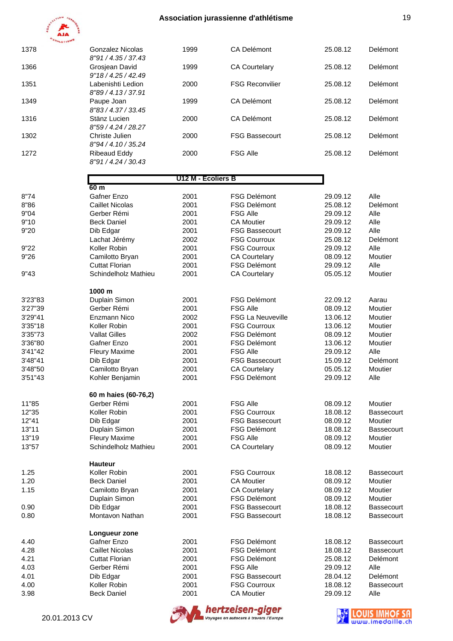

| 1378    | <b>Gonzalez Nicolas</b>                  | 1999               | <b>CA Delémont</b>       | 25.08.12 | Delémont   |
|---------|------------------------------------------|--------------------|--------------------------|----------|------------|
|         | 8"91 / 4.35 / 37.43                      |                    |                          |          |            |
| 1366    | Grosjean David                           | 1999               | <b>CA Courtelary</b>     | 25.08.12 | Delémont   |
| 1351    | 9"18 / 4.25 / 42.49<br>Labenishti Ledion | 2000               | <b>FSG Reconvilier</b>   | 25.08.12 | Delémont   |
| 1349    | 8"89 / 4.13 / 37.91<br>Paupe Joan        | 1999               | <b>CA Delémont</b>       | 25.08.12 | Delémont   |
|         | 8"83 / 4.37 / 33.45                      |                    |                          |          |            |
| 1316    | Stänz Lucien<br>8"59 / 4.24 / 28.27      | 2000               | <b>CA Delémont</b>       | 25.08.12 | Delémont   |
| 1302    | Christe Julien                           | 2000               | <b>FSG Bassecourt</b>    | 25.08.12 | Delémont   |
|         | 8"94 / 4.10 / 35.24                      |                    |                          |          |            |
| 1272    | <b>Ribeaud Eddy</b><br>8"91/4.24/30.43   | 2000               | <b>FSG Alle</b>          | 25.08.12 | Delémont   |
|         |                                          | U12 M - Ecoliers B |                          |          |            |
|         | 60 <sub>m</sub>                          |                    |                          |          |            |
| 8"74    | Gafner Enzo                              | 2001               | <b>FSG Delémont</b>      | 29.09.12 | Alle       |
| 8"86    | <b>Caillet Nicolas</b>                   | 2001               | <b>FSG Delémont</b>      | 25.08.12 | Delémont   |
| 9"04    | Gerber Rémi                              | 2001               | <b>FSG Alle</b>          | 29.09.12 | Alle       |
| 9"10    | <b>Beck Daniel</b>                       | 2001               | <b>CA Moutier</b>        | 29.09.12 | Alle       |
| 9"20    | Dib Edgar                                | 2001               | <b>FSG Bassecourt</b>    | 29.09.12 | Alle       |
|         | Lachat Jérémy                            | 2002               | <b>FSG Courroux</b>      | 25.08.12 | Delémont   |
| 9"22    | Koller Robin                             | 2001               | <b>FSG Courroux</b>      | 29.09.12 | Alle       |
|         |                                          |                    |                          |          |            |
| 9"26    | Camilotto Bryan                          | 2001               | <b>CA Courtelary</b>     | 08.09.12 | Moutier    |
|         | <b>Cuttat Florian</b>                    | 2001               | <b>FSG Delémont</b>      | 29.09.12 | Alle       |
| 9"43    | Schindelholz Mathieu                     | 2001               | <b>CA Courtelary</b>     | 05.05.12 | Moutier    |
|         | 1000 m                                   |                    |                          |          |            |
| 3'23"83 | Duplain Simon                            | 2001               | <b>FSG Delémont</b>      | 22.09.12 | Aarau      |
| 3'27"39 | Gerber Rémi                              | 2001               | <b>FSG Alle</b>          | 08.09.12 | Moutier    |
| 3'29"41 | Enzmann Nico                             | 2002               | <b>FSG La Neuveville</b> | 13.06.12 | Moutier    |
| 3'35"18 | Koller Robin                             | 2001               | <b>FSG Courroux</b>      | 13.06.12 | Moutier    |
| 3'35"73 | <b>Vallat Gilles</b>                     | 2002               | <b>FSG Delémont</b>      | 08.09.12 | Moutier    |
| 3'36"80 | Gafner Enzo                              | 2001               | <b>FSG Delémont</b>      | 13.06.12 | Moutier    |
| 3'41"42 | <b>Fleury Maxime</b>                     | 2001               | <b>FSG Alle</b>          | 29.09.12 | Alle       |
|         |                                          |                    |                          |          | Delémont   |
| 3'48"41 | Dib Edgar                                | 2001               | <b>FSG Bassecourt</b>    | 15.09.12 |            |
| 3'48"50 | Camilotto Bryan                          | 2001               | <b>CA Courtelary</b>     | 05.05.12 | Moutier    |
| 3'51"43 | Kohler Benjamin                          | 2001               | <b>FSG Delémont</b>      | 29.09.12 | Alle       |
|         | 60 m haies (60-76,2)                     |                    |                          |          |            |
| 11"85   | Gerber Rémi                              | 2001               | <b>FSG Alle</b>          | 08.09.12 | Moutier    |
| 12"35   | Koller Robin                             | 2001               | <b>FSG Courroux</b>      | 18.08.12 | Bassecourt |
| 12"41   | Dib Edgar                                | 2001               | <b>FSG Bassecourt</b>    | 08.09.12 | Moutier    |
| 13"11   | Duplain Simon                            | 2001               | <b>FSG Delémont</b>      | 18.08.12 | Bassecourt |
| 13"19   | <b>Fleury Maxime</b>                     | 2001               | <b>FSG Alle</b>          | 08.09.12 | Moutier    |
| 13"57   | Schindelholz Mathieu                     | 2001               | <b>CA Courtelary</b>     | 08.09.12 | Moutier    |
|         | <b>Hauteur</b>                           |                    |                          |          |            |
| 1.25    | Koller Robin                             | 2001               | <b>FSG Courroux</b>      | 18.08.12 | Bassecourt |
| 1.20    | <b>Beck Daniel</b>                       | 2001               | <b>CA Moutier</b>        | 08.09.12 | Moutier    |
| 1.15    | Camilotto Bryan                          | 2001               | <b>CA Courtelary</b>     | 08.09.12 | Moutier    |
|         |                                          |                    |                          |          |            |
|         | Duplain Simon                            | 2001               | <b>FSG Delémont</b>      | 08.09.12 | Moutier    |
| 0.90    | Dib Edgar                                | 2001               | <b>FSG Bassecourt</b>    | 18.08.12 | Bassecourt |
| 0.80    | Montavon Nathan                          | 2001               | <b>FSG Bassecourt</b>    | 18.08.12 | Bassecourt |
|         | Longueur zone                            |                    |                          |          |            |
| 4.40    | Gafner Enzo                              | 2001               | <b>FSG Delémont</b>      | 18.08.12 | Bassecourt |
| 4.28    | <b>Caillet Nicolas</b>                   | 2001               | <b>FSG Delémont</b>      | 18.08.12 | Bassecourt |
| 4.21    | <b>Cuttat Florian</b>                    | 2001               | <b>FSG Delémont</b>      | 25.08.12 | Delémont   |
| 4.03    | Gerber Rémi                              | 2001               | <b>FSG Alle</b>          | 29.09.12 | Alle       |
| 4.01    | Dib Edgar                                | 2001               | <b>FSG Bassecourt</b>    | 28.04.12 | Delémont   |
| 4.00    | Koller Robin                             | 2001               | <b>FSG Courroux</b>      | 18.08.12 | Bassecourt |
|         |                                          |                    |                          |          |            |
| 3.98    | <b>Beck Daniel</b>                       | 2001               | <b>CA Moutier</b>        | 29.09.12 | Alle       |
|         |                                          |                    |                          |          |            |





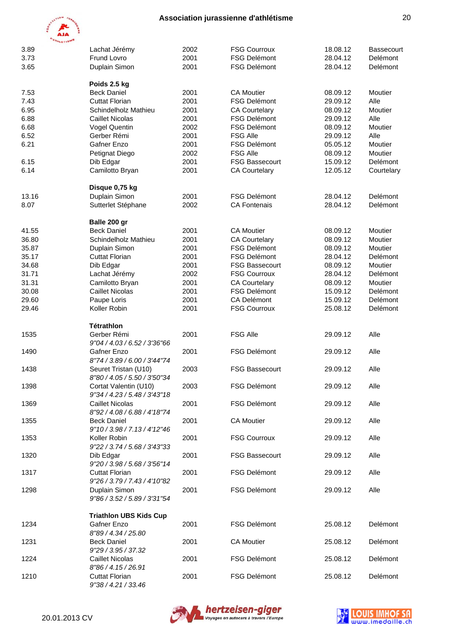

| 3.89  | Lachat Jérémy                                | 2002 | <b>FSG Courroux</b>   | 18.08.12 | <b>Bassecourt</b> |
|-------|----------------------------------------------|------|-----------------------|----------|-------------------|
| 3.73  | Frund Lovro                                  | 2001 | <b>FSG Delémont</b>   | 28.04.12 | Delémont          |
| 3.65  | Duplain Simon                                | 2001 | <b>FSG Delémont</b>   | 28.04.12 | Delémont          |
|       |                                              |      |                       |          |                   |
| 7.53  | Poids 2.5 kg<br><b>Beck Daniel</b>           | 2001 | <b>CA Moutier</b>     | 08.09.12 | Moutier           |
| 7.43  | <b>Cuttat Florian</b>                        | 2001 | <b>FSG Delémont</b>   | 29.09.12 | Alle              |
| 6.95  | Schindelholz Mathieu                         | 2001 | <b>CA Courtelary</b>  | 08.09.12 | Moutier           |
| 6.88  | <b>Caillet Nicolas</b>                       | 2001 | <b>FSG Delémont</b>   | 29.09.12 | Alle              |
| 6.68  | Vogel Quentin                                | 2002 | <b>FSG Delémont</b>   | 08.09.12 | Moutier           |
| 6.52  | Gerber Rémi                                  | 2001 | <b>FSG Alle</b>       | 29.09.12 | Alle              |
| 6.21  | Gafner Enzo                                  | 2001 | <b>FSG Delémont</b>   | 05.05.12 | Moutier           |
|       | Petignat Diego                               | 2002 | <b>FSG Alle</b>       | 08.09.12 | Moutier           |
| 6.15  | Dib Edgar                                    | 2001 | <b>FSG Bassecourt</b> | 15.09.12 | Delémont          |
| 6.14  | Camilotto Bryan                              | 2001 | <b>CA Courtelary</b>  | 12.05.12 | Courtelary        |
|       |                                              |      |                       |          |                   |
|       | Disque 0,75 kg                               |      |                       |          |                   |
| 13.16 | Duplain Simon                                | 2001 | <b>FSG Delémont</b>   | 28.04.12 | Delémont          |
| 8.07  | Sutterlet Stéphane                           | 2002 | <b>CA Fontenais</b>   | 28.04.12 | Delémont          |
|       |                                              |      |                       |          |                   |
| 41.55 | Balle 200 gr<br><b>Beck Daniel</b>           | 2001 | <b>CA Moutier</b>     | 08.09.12 | Moutier           |
| 36.80 | Schindelholz Mathieu                         | 2001 | <b>CA Courtelary</b>  | 08.09.12 | Moutier           |
| 35.87 | Duplain Simon                                | 2001 | <b>FSG Delémont</b>   | 08.09.12 | Moutier           |
| 35.17 | <b>Cuttat Florian</b>                        | 2001 | <b>FSG Delémont</b>   | 28.04.12 | Delémont          |
| 34.68 | Dib Edgar                                    | 2001 | <b>FSG Bassecourt</b> | 08.09.12 | Moutier           |
| 31.71 | Lachat Jérémy                                | 2002 | <b>FSG Courroux</b>   | 28.04.12 | Delémont          |
| 31.31 | Camilotto Bryan                              | 2001 | <b>CA Courtelary</b>  | 08.09.12 | Moutier           |
| 30.08 | <b>Caillet Nicolas</b>                       | 2001 | <b>FSG Delémont</b>   | 15.09.12 | Delémont          |
| 29.60 | Paupe Loris                                  | 2001 | CA Delémont           | 15.09.12 | Delémont          |
| 29.46 | Koller Robin                                 | 2001 | <b>FSG Courroux</b>   | 25.08.12 | Delémont          |
|       |                                              |      |                       |          |                   |
|       | Tétrathlon                                   |      |                       |          |                   |
| 1535  | Gerber Rémi                                  | 2001 | <b>FSG Alle</b>       | 29.09.12 | Alle              |
|       | 9"04 / 4.03 / 6.52 / 3'36"66                 |      |                       |          |                   |
| 1490  | Gafner Enzo                                  | 2001 | <b>FSG Delémont</b>   | 29.09.12 | Alle              |
|       | 8"74 / 3.89 / 6.00 / 3'44"74                 |      |                       |          |                   |
| 1438  | Seuret Tristan (U10)                         | 2003 | <b>FSG Bassecourt</b> | 29.09.12 | Alle              |
|       | 8"80 / 4.05 / 5.50 / 3'50"34                 |      |                       |          |                   |
| 1398  | Cortat Valentin (U10)                        | 2003 | FSG Delémont          | 29.09.12 | Alle              |
|       | 9"34 / 4.23 / 5.48 / 3'43"18                 |      |                       |          |                   |
| 1369  | <b>Caillet Nicolas</b>                       | 2001 | <b>FSG Delémont</b>   | 29.09.12 | Alle              |
|       | 8"92 / 4.08 / 6.88 / 4'18"74                 |      |                       |          |                   |
| 1355  | <b>Beck Daniel</b>                           | 2001 | <b>CA Moutier</b>     | 29.09.12 | Alle              |
|       | 9"10 / 3.98 / 7.13 / 4'12"46                 |      |                       |          |                   |
| 1353  | Koller Robin                                 | 2001 | <b>FSG Courroux</b>   | 29.09.12 | Alle              |
|       | 9"22 / 3.74 / 5.68 / 3'43"33                 |      |                       |          |                   |
| 1320  | Dib Edgar                                    | 2001 | <b>FSG Bassecourt</b> | 29.09.12 | Alle              |
|       | 9"20 / 3.98 / 5.68 / 3'56"14                 |      |                       |          |                   |
| 1317  | <b>Cuttat Florian</b>                        | 2001 | <b>FSG Delémont</b>   | 29.09.12 | Alle              |
|       | 9"26 / 3.79 / 7.43 / 4'10"82                 |      |                       |          |                   |
| 1298  | Duplain Simon                                | 2001 | <b>FSG Delémont</b>   | 29.09.12 | Alle              |
|       | 9"86 / 3.52 / 5.89 / 3'31"54                 |      |                       |          |                   |
|       |                                              |      |                       |          |                   |
|       | <b>Triathlon UBS Kids Cup</b><br>Gafner Enzo | 2001 | <b>FSG Delémont</b>   | 25.08.12 | Delémont          |
| 1234  | 8"89 / 4.34 / 25.80                          |      |                       |          |                   |
| 1231  | <b>Beck Daniel</b>                           | 2001 | <b>CA Moutier</b>     | 25.08.12 | Delémont          |
|       |                                              |      |                       |          |                   |
|       | 9"29 / 3.95 / 37.32                          |      |                       |          |                   |
| 1224  | <b>Caillet Nicolas</b>                       | 2001 | <b>FSG Delémont</b>   | 25.08.12 | Delémont          |
| 1210  | 8"86 / 4.15 / 26.91                          |      | <b>FSG Delémont</b>   |          | Delémont          |
|       | <b>Cuttat Florian</b>                        | 2001 |                       | 25.08.12 |                   |
|       | 9"38 / 4.21 / 33.46                          |      |                       |          |                   |



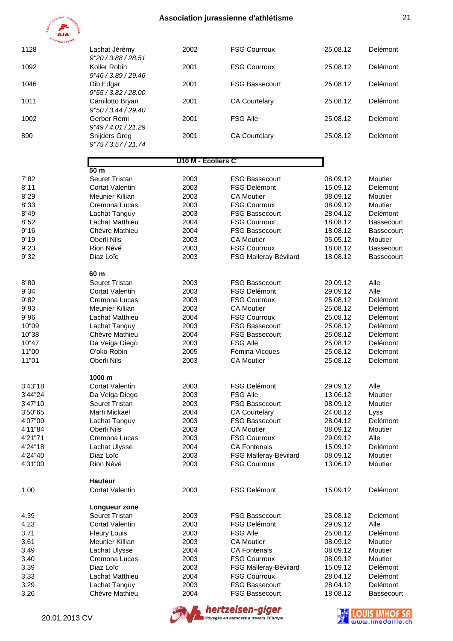

| 1128         | Lachat Jérémy                                              | 2002               | <b>FSG Courroux</b>                          | 25.08.12             | Delémont                 |
|--------------|------------------------------------------------------------|--------------------|----------------------------------------------|----------------------|--------------------------|
| 1092         | 9"20 / 3.88 / 28.51<br>Koller Robin<br>9"46 / 3.89 / 29.46 | 2001               | <b>FSG Courroux</b>                          | 25.08.12             | Delémont                 |
| 1046         | Dib Edgar<br>9"55 / 3.82 / 28.00                           | 2001               | <b>FSG Bassecourt</b>                        | 25.08.12             | Delémont                 |
| 1011         | Camilotto Bryan<br>9"50 / 3.44 / 29.40                     | 2001               | <b>CA Courtelary</b>                         | 25.08.12             | Delémont                 |
| 1002         | Gerber Rémi<br>9"49 / 4.01 / 21.29                         | 2001               | <b>FSG Alle</b>                              | 25.08.12             | Delémont                 |
| 890          | Snijders Greg<br>9"75/3.57/21.74                           | 2001               | <b>CA Courtelary</b>                         | 25.08.12             | Delémont                 |
|              |                                                            | U10 M - Ecoliers C |                                              |                      |                          |
|              | 50 <sub>m</sub><br>Seuret Tristan                          |                    |                                              |                      |                          |
| 7"82<br>8"11 | <b>Cortat Valentin</b>                                     | 2003<br>2003       | <b>FSG Bassecourt</b><br><b>FSG Delémont</b> | 08.09.12<br>15.09.12 | Moutier<br>Delémont      |
| 8"29         | Meunier Killian                                            | 2003               | <b>CA Moutier</b>                            | 08.09.12             | Moutier                  |
|              | Cremona Lucas                                              |                    |                                              |                      |                          |
| 8"33         |                                                            | 2003               | <b>FSG Courroux</b>                          | 08.09.12             | Moutier                  |
| 8"49         | Lachat Tanguy                                              | 2003               | <b>FSG Bassecourt</b>                        | 28.04.12             | Delémont                 |
| 8"52         | Lachat Matthieu                                            | 2004               | <b>FSG Courroux</b>                          | 18.08.12             | Bassecourt               |
| 9"16         | Chèvre Mathieu                                             | 2004               | <b>FSG Bassecourt</b>                        | 18.08.12             | Bassecourt               |
| 9"19         | Oberli Nils                                                | 2003               | <b>CA Moutier</b>                            | 05.05.12             | Moutier                  |
| 9"23<br>9"32 | Rion Névé<br>Diaz Loïc                                     | 2003<br>2003       | <b>FSG Courroux</b><br>FSG Malleray-Bévilard | 18.08.12<br>18.08.12 | Bassecourt<br>Bassecourt |
|              | 60 m                                                       |                    |                                              |                      |                          |
| 8"80         | Seuret Tristan                                             | 2003               | <b>FSG Bassecourt</b>                        | 29.09.12             | Alle                     |
| 9"34         | <b>Cortat Valentin</b>                                     | 2003               | <b>FSG Delémont</b>                          | 29.09.12             | Alle                     |
| 9"82         | Cremona Lucas                                              | 2003               | <b>FSG Courroux</b>                          | 25.08.12             | Delémont                 |
| 9"93         | Meunier Killian                                            | 2003               | <b>CA Moutier</b>                            | 25.08.12             | Delémont                 |
| 9"96         | Lachat Matthieu                                            | 2004               | <b>FSG Courroux</b>                          | 25.08.12             | Delémont                 |
| 10"09        | Lachat Tanguy                                              | 2003               | <b>FSG Bassecourt</b>                        | 25.08.12             | Delémont                 |
| 10"38        | Chèvre Mathieu                                             | 2004               | <b>FSG Bassecourt</b>                        | 25.08.12             | Delémont                 |
| 10"47        | Da Veiga Diego                                             | 2003               | <b>FSG Alle</b>                              | 25.08.12             | Delémont                 |
| 11"00        | O'oko Robin                                                | 2005               | Fémina Vicques                               | 25.08.12             | Delémont                 |
| 11"01        | Oberli Nils                                                | 2003               | <b>CA Moutier</b>                            | 25.08.12             | Delémont                 |
|              | 1000 m                                                     |                    |                                              |                      |                          |
| 3'43"18      | Cortat Valentin                                            | 2003               | <b>FSG Delémont</b>                          | 29.09.12             | Alle                     |
| 3'44"24      | Da Veiga Diego                                             | 2003               | <b>FSG Alle</b>                              | 13.06.12             | Moutier                  |
| 3'47"10      | Seuret Tristan                                             | 2003               | <b>FSG Bassecourt</b>                        | 08.09.12             | Moutier                  |
| 3'50"65      | Marti Mickaël                                              | 2004               | <b>CA Courtelary</b>                         | 24.08.12             | Lyss                     |
| 4'07"00      | Lachat Tanguy                                              | 2003               | <b>FSG Bassecourt</b>                        | 28.04.12             | Delémont                 |
| 4'11"84      | Oberli Nils                                                | 2003               | <b>CA Moutier</b>                            | 08.09.12             | Moutier                  |
| 4'21"71      | Cremona Lucas                                              | 2003               | <b>FSG Courroux</b>                          | 29.09.12             | Alle                     |
| 4'24"18      | Lachat Ulysse                                              | 2004               | <b>CA Fontenais</b>                          | 15.09.12             | Delémont                 |
| 4'24"40      | Diaz Loïc                                                  | 2003               | FSG Malleray-Bévilard                        | 08.09.12             | Moutier                  |
| 4'31"00      | Rion Névé                                                  | 2003               | <b>FSG Courroux</b>                          | 13.06.12             | Moutier                  |
|              | <b>Hauteur</b>                                             |                    |                                              |                      |                          |
| 1.00         | <b>Cortat Valentin</b>                                     | 2003               | <b>FSG Delémont</b>                          | 15.09.12             | Delémont                 |
|              | Longueur zone                                              |                    |                                              |                      |                          |
| 4.39         | Seuret Tristan                                             | 2003               | <b>FSG Bassecourt</b>                        | 25.08.12             | Delémont                 |
| 4.23         | Cortat Valentin                                            | 2003               | <b>FSG Delémont</b>                          | 29.09.12             | Alle                     |
| 3.71         | <b>Fleury Louis</b>                                        | 2003               | <b>FSG Alle</b>                              | 25.08.12             | Delémont                 |
| 3.61         | Meunier Killian                                            | 2003               | <b>CA Moutier</b>                            | 08.09.12             | Moutier                  |
| 3.49         | Lachat Ulysse                                              | 2004               | <b>CA Fontenais</b>                          | 08.09.12             | Moutier                  |
| 3.40         | Cremona Lucas                                              | 2003               | <b>FSG Courroux</b>                          | 08.09.12             | Moutier                  |
| 3.39         | Diaz Loïc                                                  | 2003               | FSG Malleray-Bévilard                        | 15.09.12             | Delémont                 |
| 3.33         | Lachat Matthieu                                            | 2004               | <b>FSG Courroux</b>                          | 28.04.12             | Delémont                 |
| 3.29         | Lachat Tanguy                                              | 2003               | <b>FSG Bassecourt</b>                        | 28.04.12             | Delémont                 |
| 3.26         | Chèvre Mathieu                                             | 2004               | <b>FSG Bassecourt</b>                        | 18.08.12             | Bassecourt               |



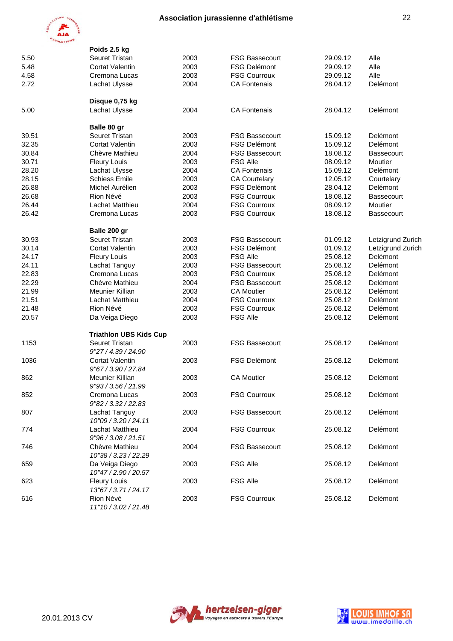

|       | Poids 2.5 kg                                  |      |                       |          |                   |
|-------|-----------------------------------------------|------|-----------------------|----------|-------------------|
| 5.50  | Seuret Tristan                                | 2003 | <b>FSG Bassecourt</b> | 29.09.12 | Alle              |
| 5.48  | <b>Cortat Valentin</b>                        | 2003 | <b>FSG Delémont</b>   | 29.09.12 | Alle              |
| 4.58  | Cremona Lucas                                 | 2003 | <b>FSG Courroux</b>   | 29.09.12 | Alle              |
| 2.72  | Lachat Ulysse                                 | 2004 | <b>CA Fontenais</b>   | 28.04.12 | Delémont          |
|       | Disque 0,75 kg                                |      |                       |          |                   |
| 5.00  | Lachat Ulysse                                 | 2004 | <b>CA Fontenais</b>   | 28.04.12 | Delémont          |
|       | Balle 80 gr                                   |      |                       |          |                   |
| 39.51 | Seuret Tristan                                | 2003 | <b>FSG Bassecourt</b> | 15.09.12 | Delémont          |
| 32.35 | <b>Cortat Valentin</b>                        | 2003 | <b>FSG Delémont</b>   | 15.09.12 | Delémont          |
| 30.84 | Chèvre Mathieu                                | 2004 | <b>FSG Bassecourt</b> | 18.08.12 | <b>Bassecourt</b> |
| 30.71 | <b>Fleury Louis</b>                           | 2003 | <b>FSG Alle</b>       | 08.09.12 | Moutier           |
| 28.20 | Lachat Ulysse                                 | 2004 | <b>CA Fontenais</b>   | 15.09.12 | Delémont          |
| 28.15 | <b>Schiess Emile</b>                          | 2003 | <b>CA Courtelary</b>  | 12.05.12 | Courtelary        |
| 26.88 | Michel Aurélien                               | 2003 | <b>FSG Delémont</b>   | 28.04.12 | Delémont          |
| 26.68 | Rion Névé                                     | 2003 | <b>FSG Courroux</b>   | 18.08.12 | Bassecourt        |
| 26.44 | Lachat Matthieu                               | 2004 | <b>FSG Courroux</b>   | 08.09.12 | Moutier           |
| 26.42 | Cremona Lucas                                 | 2003 | <b>FSG Courroux</b>   | 18.08.12 | <b>Bassecourt</b> |
|       | Balle 200 gr                                  |      |                       |          |                   |
| 30.93 | Seuret Tristan                                | 2003 | <b>FSG Bassecourt</b> | 01.09.12 | Letzigrund Zurich |
| 30.14 | <b>Cortat Valentin</b>                        | 2003 | <b>FSG Delémont</b>   | 01.09.12 | Letzigrund Zurich |
| 24.17 | <b>Fleury Louis</b>                           | 2003 | <b>FSG Alle</b>       | 25.08.12 | Delémont          |
| 24.11 | Lachat Tanguy                                 | 2003 | <b>FSG Bassecourt</b> | 25.08.12 | Delémont          |
| 22.83 | Cremona Lucas                                 | 2003 | <b>FSG Courroux</b>   | 25.08.12 | Delémont          |
| 22.29 | Chèvre Mathieu                                | 2004 | <b>FSG Bassecourt</b> | 25.08.12 | Delémont          |
| 21.99 | Meunier Killian                               | 2003 | <b>CA Moutier</b>     | 25.08.12 | Delémont          |
| 21.51 | Lachat Matthieu                               | 2004 | <b>FSG Courroux</b>   | 25.08.12 | Delémont          |
| 21.48 | Rion Névé                                     | 2003 | <b>FSG Courroux</b>   | 25.08.12 | Delémont          |
| 20.57 | Da Veiga Diego                                | 2003 | <b>FSG Alle</b>       | 25.08.12 | Delémont          |
|       | <b>Triathlon UBS Kids Cup</b>                 |      |                       |          |                   |
| 1153  | <b>Seuret Tristan</b><br>9"27 / 4.39 / 24.90  | 2003 | <b>FSG Bassecourt</b> | 25.08.12 | Delémont          |
| 1036  | <b>Cortat Valentin</b><br>9"67 / 3.90 / 27.84 | 2003 | <b>FSG Delémont</b>   | 25.08.12 | Delémont          |
| 862   | Meunier Killian<br>9"93 / 3.56 / 21.99        | 2003 | <b>CA Moutier</b>     | 25.08.12 | Delémont          |
| 852   | Cremona Lucas<br>9"82 / 3.32 / 22.83          | 2003 | <b>FSG Courroux</b>   | 25.08.12 | Delémont          |
| 807   | Lachat Tanguy<br>10"09 / 3.20 / 24.11         | 2003 | <b>FSG Bassecourt</b> | 25.08.12 | Delémont          |
| 774   | Lachat Matthieu<br>9"96 / 3.08 / 21.51        | 2004 | <b>FSG Courroux</b>   | 25.08.12 | Delémont          |
| 746   | Chèvre Mathieu<br>10"38 / 3.23 / 22.29        | 2004 | <b>FSG Bassecourt</b> | 25.08.12 | Delémont          |
| 659   | Da Veiga Diego<br>10"47 / 2.90 / 20.57        | 2003 | <b>FSG Alle</b>       | 25.08.12 | Delémont          |
| 623   | <b>Fleury Louis</b><br>13"67 / 3.71 / 24.17   | 2003 | <b>FSG Alle</b>       | 25.08.12 | Delémont          |
| 616   | Rion Névé<br>11"10 / 3.02 / 21.48             | 2003 | <b>FSG Courroux</b>   | 25.08.12 | Delémont          |



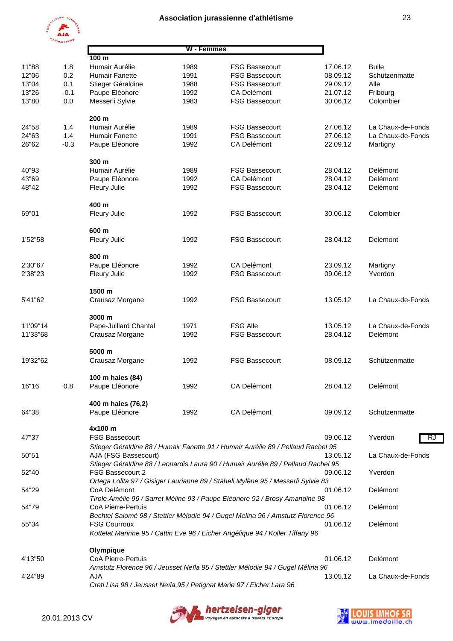

|          | W - Femmes |                                                                       |      |                                                                                   |          |                   |  |
|----------|------------|-----------------------------------------------------------------------|------|-----------------------------------------------------------------------------------|----------|-------------------|--|
|          |            | 100 <sub>m</sub>                                                      |      |                                                                                   |          |                   |  |
| 11"88    | 1.8        | Humair Aurélie                                                        | 1989 | <b>FSG Bassecourt</b>                                                             | 17.06.12 | <b>Bulle</b>      |  |
| 12"06    | 0.2        | Humair Fanette                                                        | 1991 | <b>FSG Bassecourt</b>                                                             | 08.09.12 | Schützenmatte     |  |
| 13"04    | 0.1        | Stieger Géraldine                                                     | 1988 | <b>FSG Bassecourt</b>                                                             | 29.09.12 | Alle              |  |
| 13"26    | $-0.1$     | Paupe Eléonore                                                        | 1992 | <b>CA Delémont</b>                                                                | 21.07.12 | Fribourg          |  |
| 13"80    | 0.0        | Messerli Sylvie                                                       | 1983 | <b>FSG Bassecourt</b>                                                             | 30.06.12 | Colombier         |  |
|          |            |                                                                       |      |                                                                                   |          |                   |  |
|          |            | 200 m                                                                 |      |                                                                                   |          |                   |  |
| 24"58    | 1.4        | Humair Aurélie                                                        | 1989 | <b>FSG Bassecourt</b>                                                             | 27.06.12 | La Chaux-de-Fonds |  |
| 24"63    | 1.4        | Humair Fanette                                                        | 1991 | <b>FSG Bassecourt</b>                                                             | 27.06.12 | La Chaux-de-Fonds |  |
| 26"62    | $-0.3$     | Paupe Eléonore                                                        | 1992 | <b>CA Delémont</b>                                                                | 22.09.12 | Martigny          |  |
|          |            | 300 m                                                                 |      |                                                                                   |          |                   |  |
| 40"93    |            | Humair Aurélie                                                        | 1989 | <b>FSG Bassecourt</b>                                                             | 28.04.12 | Delémont          |  |
|          |            |                                                                       |      | <b>CA Delémont</b>                                                                |          |                   |  |
| 43"69    |            | Paupe Eléonore                                                        | 1992 |                                                                                   | 28.04.12 | Delémont          |  |
| 48"42    |            | <b>Fleury Julie</b>                                                   | 1992 | <b>FSG Bassecourt</b>                                                             | 28.04.12 | Delémont          |  |
|          |            | 400 m                                                                 |      |                                                                                   |          |                   |  |
| 69"01    |            | <b>Fleury Julie</b>                                                   | 1992 | <b>FSG Bassecourt</b>                                                             | 30.06.12 | Colombier         |  |
|          |            |                                                                       |      |                                                                                   |          |                   |  |
|          |            | 600 m                                                                 |      |                                                                                   |          |                   |  |
| 1'52"58  |            | <b>Fleury Julie</b>                                                   | 1992 | <b>FSG Bassecourt</b>                                                             | 28.04.12 | Delémont          |  |
|          |            | 800 m                                                                 |      |                                                                                   |          |                   |  |
| 2'30"67  |            | Paupe Eléonore                                                        | 1992 | <b>CA Delémont</b>                                                                | 23.09.12 | Martigny          |  |
| 2'38"23  |            | Fleury Julie                                                          | 1992 | <b>FSG Bassecourt</b>                                                             | 09.06.12 | Yverdon           |  |
|          |            | 1500 m                                                                |      |                                                                                   |          |                   |  |
|          |            |                                                                       |      | <b>FSG Bassecourt</b>                                                             |          |                   |  |
| 5'41"62  |            | Crausaz Morgane                                                       | 1992 |                                                                                   | 13.05.12 | La Chaux-de-Fonds |  |
|          |            | 3000 m                                                                |      |                                                                                   |          |                   |  |
| 11'09"14 |            | Pape-Juillard Chantal                                                 | 1971 | <b>FSG Alle</b>                                                                   | 13.05.12 | La Chaux-de-Fonds |  |
| 11'33"68 |            | Crausaz Morgane                                                       | 1992 | <b>FSG Bassecourt</b>                                                             | 28.04.12 | Delémont          |  |
|          |            | 5000 m                                                                |      |                                                                                   |          |                   |  |
| 19'32"62 |            | Crausaz Morgane                                                       | 1992 | <b>FSG Bassecourt</b>                                                             | 08.09.12 | Schützenmatte     |  |
|          |            |                                                                       |      |                                                                                   |          |                   |  |
|          |            | 100 m haies (84)                                                      |      |                                                                                   |          |                   |  |
| 16"16    | 0.8        | Paupe Eléonore                                                        | 1992 | CA Delémont                                                                       | 28.04.12 | Delémont          |  |
|          |            |                                                                       |      |                                                                                   |          |                   |  |
|          |            | 400 m haies (76,2)                                                    |      |                                                                                   |          |                   |  |
| 64"38    |            | Paupe Eléonore                                                        | 1992 | <b>CA Delémont</b>                                                                | 09.09.12 | Schützenmatte     |  |
|          |            | 4x100 m                                                               |      |                                                                                   |          |                   |  |
| 47"37    |            | <b>FSG Bassecourt</b>                                                 |      |                                                                                   | 09.06.12 | Yverdon<br>R.     |  |
|          |            |                                                                       |      | Stieger Géraldine 88 / Humair Fanette 91 / Humair Aurélie 89 / Pellaud Rachel 95  |          |                   |  |
| 50"51    |            | AJA (FSG Bassecourt)                                                  |      |                                                                                   | 13.05.12 | La Chaux-de-Fonds |  |
|          |            |                                                                       |      | Stieger Géraldine 88 / Leonardis Laura 90 / Humair Aurélie 89 / Pellaud Rachel 95 |          |                   |  |
| 52"40    |            | FSG Bassecourt 2                                                      |      | Ortega Lolita 97 / Gisiger Laurianne 89 / Stäheli Mylène 95 / Messerli Sylvie 83  | 09.06.12 | Yverdon           |  |
| 54"29    |            | CoA Delémont                                                          |      |                                                                                   | 01.06.12 | Delémont          |  |
|          |            |                                                                       |      | Tirole Amélie 96 / Sarret Méline 93 / Paupe Eléonore 92 / Brosy Amandine 98       |          |                   |  |
| 54"79    |            | CoA Pierre-Pertuis                                                    |      |                                                                                   | 01.06.12 | Delémont          |  |
|          |            |                                                                       |      | Bechtel Salomé 98 / Stettler Mélodie 94 / Gugel Mélina 96 / Amstutz Florence 96   |          |                   |  |
| 55"34    |            | <b>FSG Courroux</b>                                                   |      | Kottelat Marinne 95 / Cattin Eve 96 / Eicher Angélique 94 / Koller Tiffany 96     | 01.06.12 | Delémont          |  |
|          |            |                                                                       |      |                                                                                   |          |                   |  |
|          |            | Olympique                                                             |      |                                                                                   |          |                   |  |
| 4'13"50  |            | CoA Pierre-Pertuis                                                    |      |                                                                                   | 01.06.12 | Delémont          |  |
|          |            |                                                                       |      | Amstutz Florence 96 / Jeusset Neïla 95 / Stettler Mélodie 94 / Gugel Mélina 96    |          |                   |  |
| 4'24"89  |            | AJA                                                                   |      |                                                                                   | 13.05.12 | La Chaux-de-Fonds |  |
|          |            | Creti Lisa 98 / Jeusset Neïla 95 / Petignat Marie 97 / Eicher Lara 96 |      |                                                                                   |          |                   |  |
|          |            |                                                                       |      |                                                                                   |          |                   |  |



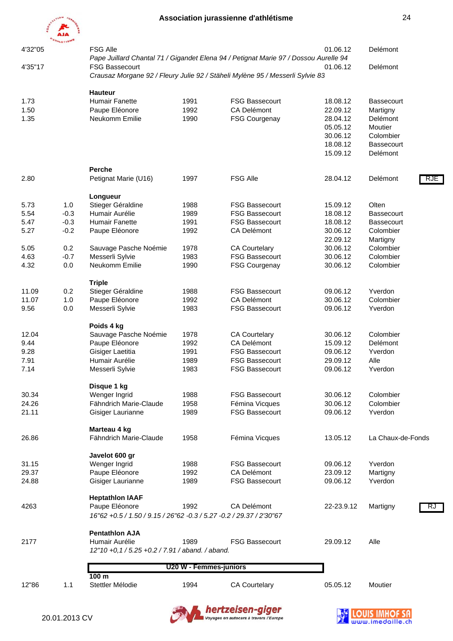

| 4'32"05 | <b>HLETIS</b> <sup>IC</sup> | <b>FSG Alle</b>                                                        |                        |                                                                                      | 01.06.12   | Delémont          |
|---------|-----------------------------|------------------------------------------------------------------------|------------------------|--------------------------------------------------------------------------------------|------------|-------------------|
| 4'35"17 |                             | <b>FSG Bassecourt</b>                                                  |                        | Pape Juillard Chantal 71 / Gigandet Elena 94 / Petignat Marie 97 / Dossou Aurelle 94 | 01.06.12   | Delémont          |
|         |                             |                                                                        |                        | Crausaz Morgane 92 / Fleury Julie 92 / Stäheli Mylène 95 / Messerli Sylvie 83        |            |                   |
|         |                             | <b>Hauteur</b>                                                         |                        |                                                                                      |            |                   |
| 1.73    |                             | <b>Humair Fanette</b>                                                  | 1991                   | <b>FSG Bassecourt</b>                                                                | 18.08.12   | <b>Bassecourt</b> |
| 1.50    |                             | Paupe Eléonore                                                         | 1992                   | CA Delémont                                                                          | 22.09.12   | Martigny          |
| 1.35    |                             | Neukomm Emilie                                                         | 1990                   | <b>FSG Courgenay</b>                                                                 | 28.04.12   | Delémont          |
|         |                             |                                                                        |                        |                                                                                      | 05.05.12   | Moutier           |
|         |                             |                                                                        |                        |                                                                                      | 30.06.12   | Colombier         |
|         |                             |                                                                        |                        |                                                                                      | 18.08.12   | <b>Bassecourt</b> |
|         |                             |                                                                        |                        |                                                                                      | 15.09.12   | Delémont          |
|         |                             | <b>Perche</b>                                                          |                        |                                                                                      |            |                   |
| 2.80    |                             | Petignat Marie (U16)                                                   | 1997                   | <b>FSG Alle</b>                                                                      | 28.04.12   | Delémont<br>RJE   |
|         |                             | Longueur                                                               |                        |                                                                                      |            |                   |
| 5.73    | 1.0                         | Stieger Géraldine                                                      | 1988                   | <b>FSG Bassecourt</b>                                                                | 15.09.12   | Olten             |
| 5.54    | $-0.3$                      | Humair Aurélie                                                         | 1989                   | <b>FSG Bassecourt</b>                                                                | 18.08.12   | <b>Bassecourt</b> |
| 5.47    | $-0.3$                      | <b>Humair Fanette</b>                                                  | 1991                   | <b>FSG Bassecourt</b>                                                                | 18.08.12   | <b>Bassecourt</b> |
| 5.27    | $-0.2$                      | Paupe Eléonore                                                         | 1992                   | CA Delémont                                                                          | 30.06.12   | Colombier         |
|         |                             |                                                                        |                        |                                                                                      | 22.09.12   | Martigny          |
| 5.05    | 0.2                         | Sauvage Pasche Noémie                                                  | 1978                   | <b>CA Courtelary</b>                                                                 | 30.06.12   | Colombier         |
| 4.63    | $-0.7$                      | Messerli Sylvie                                                        | 1983                   | <b>FSG Bassecourt</b>                                                                | 30.06.12   | Colombier         |
| 4.32    | 0.0                         | Neukomm Emilie                                                         | 1990                   | FSG Courgenay                                                                        | 30.06.12   | Colombier         |
|         |                             | <b>Triple</b>                                                          |                        |                                                                                      |            |                   |
| 11.09   | 0.2                         | Stieger Géraldine                                                      | 1988                   | <b>FSG Bassecourt</b>                                                                | 09.06.12   | Yverdon           |
| 11.07   | 1.0                         | Paupe Eléonore                                                         | 1992                   | CA Delémont                                                                          | 30.06.12   | Colombier         |
| 9.56    | 0.0                         | Messerli Sylvie                                                        | 1983                   | <b>FSG Bassecourt</b>                                                                | 09.06.12   | Yverdon           |
|         |                             | Poids 4 kg                                                             |                        |                                                                                      |            |                   |
| 12.04   |                             | Sauvage Pasche Noémie                                                  | 1978                   | <b>CA Courtelary</b>                                                                 | 30.06.12   | Colombier         |
| 9.44    |                             | Paupe Eléonore                                                         | 1992                   | <b>CA Delémont</b>                                                                   | 15.09.12   | Delémont          |
| 9.28    |                             | Gisiger Laetitia                                                       | 1991                   | <b>FSG Bassecourt</b>                                                                | 09.06.12   | Yverdon           |
| 7.91    |                             | Humair Aurélie                                                         | 1989                   | <b>FSG Bassecourt</b>                                                                | 29.09.12   | Alle              |
| 7.14    |                             | Messerli Sylvie                                                        | 1983                   | <b>FSG Bassecourt</b>                                                                | 09.06.12   | Yverdon           |
|         |                             | Disque 1 kg                                                            |                        |                                                                                      |            |                   |
| 30.34   |                             | Wenger Ingrid                                                          | 1988                   | <b>FSG Bassecourt</b>                                                                | 30.06.12   | Colombier         |
| 24.26   |                             | Fähndrich Marie-Claude                                                 | 1958                   | Fémina Vicques                                                                       | 30.06.12   | Colombier         |
| 21.11   |                             | Gisiger Laurianne                                                      | 1989                   | <b>FSG Bassecourt</b>                                                                | 09.06.12   | Yverdon           |
|         |                             | Marteau 4 kg                                                           |                        |                                                                                      |            |                   |
| 26.86   |                             | Fähndrich Marie-Claude                                                 | 1958                   | Fémina Vicques                                                                       | 13.05.12   | La Chaux-de-Fonds |
|         |                             | Javelot 600 gr                                                         |                        |                                                                                      |            |                   |
| 31.15   |                             | Wenger Ingrid                                                          | 1988                   | <b>FSG Bassecourt</b>                                                                | 09.06.12   | Yverdon           |
| 29.37   |                             | Paupe Eléonore                                                         | 1992                   | CA Delémont                                                                          | 23.09.12   | Martigny          |
| 24.88   |                             | Gisiger Laurianne                                                      | 1989                   | <b>FSG Bassecourt</b>                                                                | 09.06.12   | Yverdon           |
|         |                             | <b>Heptathlon IAAF</b>                                                 |                        |                                                                                      |            |                   |
| 4263    |                             | Paupe Eléonore                                                         | 1992                   | CA Delémont                                                                          | 22-23.9.12 | Martigny<br>RJ    |
|         |                             | 16"62 + 0.5 / 1.50 / 9.15 / 26"62 - 0.3 / 5.27 - 0.2 / 29.37 / 2'30"67 |                        |                                                                                      |            |                   |
|         |                             | <b>Pentathlon AJA</b>                                                  |                        |                                                                                      |            |                   |
| 2177    |                             | Humair Aurélie                                                         | 1989                   | <b>FSG Bassecourt</b>                                                                | 29.09.12   | Alle              |
|         |                             | 12"10 +0,1 / 5.25 +0.2 / 7.91 / aband. / aband.                        |                        |                                                                                      |            |                   |
|         |                             |                                                                        | U20 W - Femmes-juniors |                                                                                      |            |                   |
|         |                             | 100 <sub>m</sub>                                                       |                        |                                                                                      |            |                   |
| 12"86   | 1.1                         | Stettler Mélodie                                                       | 1994                   | <b>CA Courtelary</b>                                                                 | 05.05.12   | Moutier           |

**hertzeisen-giger**<br>DVoyages en autocars à travers l'Europe

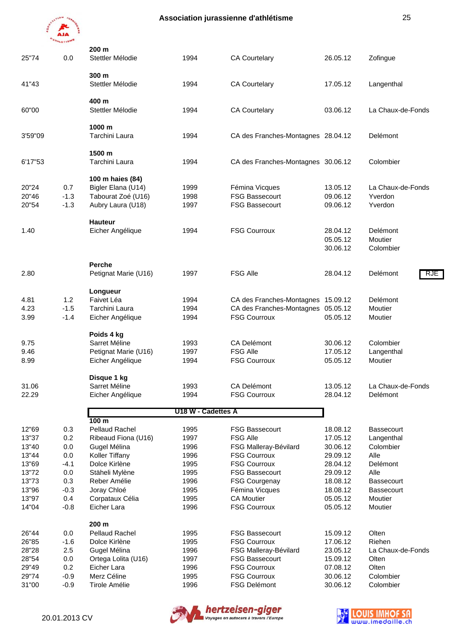

| 25"74          | 0.0        | 200 m<br>Stettler Mélodie             | 1994               | <b>CA Courtelary</b>                     | 26.05.12             | Zofingue                 |
|----------------|------------|---------------------------------------|--------------------|------------------------------------------|----------------------|--------------------------|
| 41"43          |            | 300 m<br>Stettler Mélodie             | 1994               | <b>CA Courtelary</b>                     | 17.05.12             | Langenthal               |
| 60"00          |            | 400 m<br>Stettler Mélodie             | 1994               | <b>CA Courtelary</b>                     | 03.06.12             | La Chaux-de-Fonds        |
| 3'59"09        |            | 1000 m<br>Tarchini Laura              | 1994               | CA des Franches-Montagnes 28.04.12       |                      | Delémont                 |
| 6'17"53        |            | 1500 m<br>Tarchini Laura              | 1994               | CA des Franches-Montagnes 30.06.12       |                      | Colombier                |
|                |            | 100 m haies (84)                      |                    |                                          |                      |                          |
| 20"24          | 0.7        | Bigler Elana (U14)                    | 1999               | Fémina Vicques                           | 13.05.12             | La Chaux-de-Fonds        |
| 20"46          | $-1.3$     | Tabourat Zoé (U16)                    | 1998               | <b>FSG Bassecourt</b>                    | 09.06.12             | Yverdon                  |
| 20"54          | $-1.3$     | Aubry Laura (U18)                     | 1997               | <b>FSG Bassecourt</b>                    | 09.06.12             | Yverdon                  |
|                |            | <b>Hauteur</b>                        |                    |                                          |                      |                          |
| 1.40           |            | Eicher Angélique                      | 1994               | <b>FSG Courroux</b>                      | 28.04.12             | Delémont                 |
|                |            |                                       |                    |                                          | 05.05.12             | Moutier                  |
|                |            |                                       |                    |                                          | 30.06.12             | Colombier                |
|                |            | Perche                                |                    |                                          |                      |                          |
| 2.80           |            | Petignat Marie (U16)                  | 1997               | <b>FSG Alle</b>                          | 28.04.12             | Delémont<br>RJE          |
|                |            | Longueur                              |                    |                                          |                      |                          |
| 4.81           | 1.2        | Faivet Léa                            | 1994               | CA des Franches-Montagnes 15.09.12       |                      | Delémont                 |
| 4.23           | $-1.5$     | Tarchini Laura                        | 1994               | CA des Franches-Montagnes 05.05.12       |                      | Moutier                  |
| 3.99           | $-1.4$     | Eicher Angélique                      | 1994               | <b>FSG Courroux</b>                      | 05.05.12             | Moutier                  |
|                |            | Poids 4 kg                            |                    |                                          |                      |                          |
| 9.75           |            | Sarret Méline                         | 1993               | CA Delémont                              | 30.06.12             | Colombier                |
| 9.46           |            | Petignat Marie (U16)                  | 1997               | <b>FSG Alle</b>                          | 17.05.12             | Langenthal               |
| 8.99           |            | Eicher Angélique                      | 1994               | <b>FSG Courroux</b>                      | 05.05.12             | Moutier                  |
|                |            | Disque 1 kg                           |                    |                                          |                      |                          |
| 31.06          |            | Sarret Méline                         | 1993               | <b>CA Delémont</b>                       | 13.05.12             | La Chaux-de-Fonds        |
| 22.29          |            | Eicher Angélique                      | 1994               | <b>FSG Courroux</b>                      | 28.04.12             | Delémont                 |
|                |            |                                       | U18 W - Cadettes A |                                          |                      |                          |
|                |            | 100 <sub>m</sub>                      |                    |                                          |                      |                          |
| 12"69<br>13"37 | 0.3<br>0.2 | Pellaud Rachel<br>Ribeaud Fiona (U16) | 1995<br>1997       | <b>FSG Bassecourt</b><br><b>FSG Alle</b> | 18.08.12<br>17.05.12 | Bassecourt<br>Langenthal |
| 13"40          | 0.0        | Gugel Mélina                          | 1996               | FSG Malleray-Bévilard                    | 30.06.12             | Colombier                |
| 13"44          | 0.0        | Koller Tiffany                        | 1996               | <b>FSG Courroux</b>                      | 29.09.12             | Alle                     |
| 13"69          | $-4.1$     | Dolce Kirlène                         | 1995               | <b>FSG Courroux</b>                      | 28.04.12             | Delémont                 |
| 13"72          | 0.0        | Stäheli Mylène                        | 1995               | <b>FSG Bassecourt</b>                    | 29.09.12             | Alle                     |
| 13"73          | 0.3        | Reber Amélie                          | 1996               | <b>FSG Courgenay</b>                     | 18.08.12             | <b>Bassecourt</b>        |
| 13"96          | $-0.3$     | Joray Chloé                           | 1995               | Fémina Vicques                           | 18.08.12             | <b>Bassecourt</b>        |
| 13"97          | 0.4        | Corpataux Célia                       | 1995               | <b>CA Moutier</b>                        | 05.05.12             | Moutier                  |
| 14"04          | $-0.8$     | Eicher Lara                           | 1996               | <b>FSG Courroux</b>                      | 05.05.12             | Moutier                  |
|                |            | 200 m                                 |                    |                                          |                      |                          |
| 26"44          | 0.0        | Pellaud Rachel                        | 1995               | <b>FSG Bassecourt</b>                    | 15.09.12             | Olten                    |
| 26"85          | $-1.6$     | Dolce Kirlène                         | 1995               | <b>FSG Courroux</b>                      | 17.06.12             | Riehen                   |
| 28"28          | 2.5        | Gugel Mélina                          | 1996               | FSG Malleray-Bévilard                    | 23.05.12             | La Chaux-de-Fonds        |
| 28"54          | 0.0        | Ortega Lolita (U16)                   | 1997               | <b>FSG Bassecourt</b>                    | 15.09.12             | Olten                    |
| 29"49          | 0.2        | Eicher Lara                           | 1996               | <b>FSG Courroux</b>                      | 07.08.12             | Olten                    |
| 29"74          | $-0.9$     | Merz Céline                           | 1995               | <b>FSG Courroux</b>                      | 30.06.12             | Colombier                |
| 31"00          | $-0.9$     | <b>Tirole Amélie</b>                  | 1996               | <b>FSG Delémont</b>                      | 30.06.12             | Colombier                |
|                |            |                                       |                    |                                          |                      |                          |



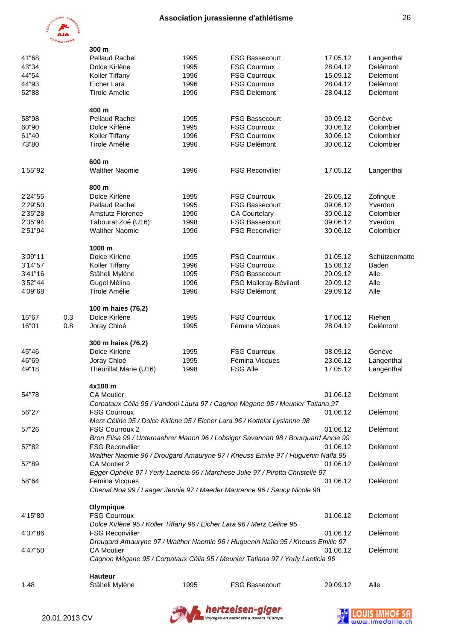

|         |     | 300 m                  |      |                                                                                   |          |               |
|---------|-----|------------------------|------|-----------------------------------------------------------------------------------|----------|---------------|
| 41"68   |     | <b>Pellaud Rachel</b>  | 1995 | <b>FSG Bassecourt</b>                                                             | 17.05.12 | Langenthal    |
| 43"34   |     | Dolce Kirlène          | 1995 | <b>FSG Courroux</b>                                                               | 28.04.12 | Delémont      |
| 44"54   |     | Koller Tiffany         | 1996 | <b>FSG Courroux</b>                                                               | 15.09.12 | Delémont      |
| 44"93   |     | Eicher Lara            | 1996 | <b>FSG Courroux</b>                                                               | 28.04.12 | Delémont      |
| 52"88   |     | Tirole Amélie          | 1996 | <b>FSG Delémont</b>                                                               | 28.04.12 | Delémont      |
|         |     |                        |      |                                                                                   |          |               |
|         |     | 400 m                  |      |                                                                                   |          |               |
| 58"98   |     | <b>Pellaud Rachel</b>  | 1995 | <b>FSG Bassecourt</b>                                                             | 09.09.12 | Genève        |
| 60"90   |     | Dolce Kirlène          | 1995 | <b>FSG Courroux</b>                                                               | 30.06.12 | Colombier     |
| 61"40   |     | Koller Tiffany         | 1996 | <b>FSG Courroux</b>                                                               | 30.06.12 | Colombier     |
| 73"80   |     | Tirole Amélie          | 1996 | FSG Delémont                                                                      | 30.06.12 | Colombier     |
|         |     | 600 m                  |      |                                                                                   |          |               |
| 1'55"92 |     | <b>Walther Naomie</b>  | 1996 | <b>FSG Reconvilier</b>                                                            | 17.05.12 | Langenthal    |
|         |     | 800 m                  |      |                                                                                   |          |               |
| 2'24"55 |     | Dolce Kirlène          | 1995 | <b>FSG Courroux</b>                                                               | 26.05.12 | Zofingue      |
| 2'29"50 |     | <b>Pellaud Rachel</b>  | 1995 | <b>FSG Bassecourt</b>                                                             | 09.06.12 | Yverdon       |
| 2'35"28 |     | Amstutz Florence       | 1996 | <b>CA Courtelary</b>                                                              | 30.06.12 | Colombier     |
|         |     |                        |      | <b>FSG Bassecourt</b>                                                             |          | Yverdon       |
| 2'35"94 |     | Tabourat Zoé (U16)     | 1998 |                                                                                   | 09.06.12 |               |
| 2'51"94 |     | <b>Walther Naomie</b>  | 1996 | <b>FSG Reconvilier</b>                                                            | 30.06.12 | Colombier     |
|         |     | 1000 m                 |      |                                                                                   |          |               |
| 3'09"11 |     | Dolce Kirlène          | 1995 | <b>FSG Courroux</b>                                                               | 01.05.12 | Schützenmatte |
| 3'14"57 |     | Koller Tiffany         | 1996 | <b>FSG Courroux</b>                                                               | 15.08.12 | Baden         |
| 3'41"16 |     | Stäheli Mylène         | 1995 | <b>FSG Bassecourt</b>                                                             | 29.09.12 | Alle          |
| 3'52"44 |     | Gugel Mélina           | 1996 | FSG Malleray-Bévilard                                                             | 29.09.12 | Alle          |
| 4'09"68 |     | Tirole Amélie          | 1996 | <b>FSG Delémont</b>                                                               | 29.09.12 | Alle          |
|         |     | 100 m haies (76,2)     |      |                                                                                   |          |               |
| 15"67   | 0.3 | Dolce Kirlène          | 1995 | <b>FSG Courroux</b>                                                               | 17.06.12 | Riehen        |
| 16"01   | 0.8 | Joray Chloé            | 1995 | Fémina Vicques                                                                    | 28.04.12 | Delémont      |
|         |     |                        |      |                                                                                   |          |               |
|         |     | 300 m haies (76,2)     |      |                                                                                   |          |               |
| 45"46   |     | Dolce Kirlène          | 1995 | <b>FSG Courroux</b>                                                               | 08.09.12 | Genève        |
| 46"69   |     | Joray Chloé            | 1995 | Fémina Vicques                                                                    | 23.06.12 | Langenthal    |
| 49"18   |     | Theurillat Marie (U16) | 1998 | <b>FSG Alle</b>                                                                   | 17.05.12 | Langenthal    |
|         |     | 4x100 m                |      |                                                                                   |          |               |
| 54"78   |     | <b>CA Moutier</b>      |      |                                                                                   | 01.06.12 | Delémont      |
|         |     |                        |      | Corpataux Célia 95 / Vandoni Laura 97 / Cagnon Mégane 95 / Meunier Tatiana 97     |          |               |
| 56"27   |     | <b>FSG Courroux</b>    |      |                                                                                   | 01.06.12 | Delémont      |
|         |     |                        |      | Merz Céline 95 / Dolce Kirlène 95 / Eicher Lara 96 / Kottelat Lysianne 98         |          |               |
| 57"26   |     | <b>FSG Courroux 2</b>  |      |                                                                                   | 01.06.12 | Delémont      |
|         |     |                        |      | Bron Elisa 99 / Unternaehrer Manon 96 / Lobsiger Savannah 98 / Bourquard Annie 99 |          |               |
| 57"82   |     | <b>FSG Reconvilier</b> |      |                                                                                   | 01.06.12 | Delémont      |
|         |     |                        |      | Walther Naomie 96 / Drougard Amauryne 97 / Kneuss Emilie 97 / Huguenin Naïla 95   |          |               |
| 57"89   |     | CA Moutier 2           |      | Egger Ophélie 97 / Yerly Laeticia 96 / Marchese Julie 97 / Pirotta Christelle 97  | 01.06.12 | Delémont      |
| 58"64   |     | Femina Vicques         |      |                                                                                   | 01.06.12 | Delémont      |
|         |     |                        |      | Chenal Noa 99 / Laager Jennie 97 / Maeder Mauranne 96 / Saucy Nicole 98           |          |               |
|         |     | Olympique              |      |                                                                                   |          |               |
| 4'15"80 |     | <b>FSG Courroux</b>    |      |                                                                                   | 01.06.12 | Delémont      |
|         |     |                        |      | Dolce Kirlène 95 / Koller Tiffany 96 / Eicher Lara 96 / Merz Céline 95            |          |               |
| 4'37"86 |     | <b>FSG Reconvilier</b> |      |                                                                                   | 01.06.12 | Delémont      |
|         |     |                        |      |                                                                                   |          |               |
|         |     |                        |      | Drougard Amauryne 97 / Walther Naomie 96 / Huguenin Naïla 95 / Kneuss Emilie 97   |          |               |
| 4'47"50 |     | <b>CA Moutier</b>      |      |                                                                                   | 01.06.12 | Delémont      |
|         |     |                        |      | Cagnon Mégane 95 / Corpataux Célia 95 / Meunier Tatiana 97 / Yerly Laeticia 96    |          |               |
|         |     | <b>Hauteur</b>         |      |                                                                                   |          |               |
| 1.48    |     | Stäheli Mylène         | 1995 | <b>FSG Bassecourt</b>                                                             | 29.09.12 | Alle          |



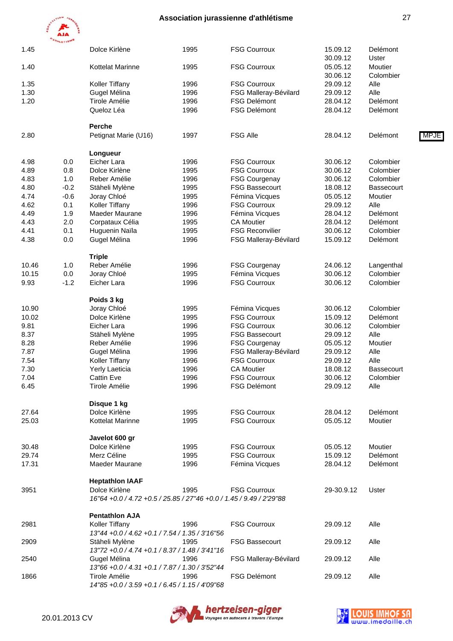

|       | <b>ATHLETISMS</b> |                                                                        |      |                        |            |                   |      |
|-------|-------------------|------------------------------------------------------------------------|------|------------------------|------------|-------------------|------|
| 1.45  |                   | Dolce Kirlène                                                          | 1995 | <b>FSG Courroux</b>    | 15.09.12   | Delémont          |      |
|       |                   |                                                                        |      |                        | 30.09.12   | Uster             |      |
| 1.40  |                   | <b>Kottelat Marinne</b>                                                | 1995 | <b>FSG Courroux</b>    | 05.05.12   | Moutier           |      |
|       |                   |                                                                        |      |                        | 30.06.12   | Colombier         |      |
| 1.35  |                   | Koller Tiffany                                                         | 1996 | <b>FSG Courroux</b>    | 29.09.12   | Alle              |      |
| 1.30  |                   | Gugel Mélina                                                           | 1996 | FSG Malleray-Bévilard  | 29.09.12   | Alle              |      |
| 1.20  |                   | Tirole Amélie                                                          | 1996 | <b>FSG Delémont</b>    | 28.04.12   | Delémont          |      |
|       |                   | Queloz Léa                                                             | 1996 | <b>FSG Delémont</b>    | 28.04.12   | Delémont          |      |
|       |                   | Perche                                                                 |      |                        |            |                   |      |
| 2.80  |                   | Petignat Marie (U16)                                                   | 1997 | <b>FSG Alle</b>        | 28.04.12   | Delémont          | MPJE |
|       |                   |                                                                        |      |                        |            |                   |      |
|       |                   | Longueur                                                               |      |                        |            |                   |      |
| 4.98  | 0.0               | Eicher Lara                                                            | 1996 | <b>FSG Courroux</b>    | 30.06.12   | Colombier         |      |
| 4.89  | 0.8               | Dolce Kirlène                                                          | 1995 | <b>FSG Courroux</b>    | 30.06.12   | Colombier         |      |
| 4.83  | 1.0               | Reber Amélie                                                           | 1996 | <b>FSG Courgenay</b>   | 30.06.12   | Colombier         |      |
| 4.80  | $-0.2$            | Stäheli Mylène                                                         | 1995 | <b>FSG Bassecourt</b>  | 18.08.12   | <b>Bassecourt</b> |      |
| 4.74  | $-0.6$            | Joray Chloé                                                            | 1995 | Fémina Vicques         | 05.05.12   | Moutier           |      |
| 4.62  | 0.1               | Koller Tiffany                                                         | 1996 | <b>FSG Courroux</b>    | 29.09.12   | Alle              |      |
| 4.49  | 1.9               | Maeder Maurane                                                         | 1996 | Fémina Vicques         | 28.04.12   | Delémont          |      |
| 4.43  | 2.0               | Corpataux Célia                                                        | 1995 | <b>CA Moutier</b>      | 28.04.12   | Delémont          |      |
| 4.41  | 0.1               | Huguenin Naïla                                                         | 1995 | <b>FSG Reconvilier</b> | 30.06.12   | Colombier         |      |
| 4.38  | 0.0               | Gugel Mélina                                                           | 1996 | FSG Malleray-Bévilard  | 15.09.12   | Delémont          |      |
|       |                   |                                                                        |      |                        |            |                   |      |
|       |                   | <b>Triple</b>                                                          |      |                        |            |                   |      |
| 10.46 | 1.0               | Reber Amélie                                                           | 1996 | <b>FSG Courgenay</b>   | 24.06.12   | Langenthal        |      |
| 10.15 | 0.0               | Joray Chloé                                                            | 1995 | Fémina Vicques         | 30.06.12   | Colombier         |      |
| 9.93  | $-1.2$            | Eicher Lara                                                            | 1996 | <b>FSG Courroux</b>    | 30.06.12   | Colombier         |      |
|       |                   | Poids 3 kg                                                             |      |                        |            |                   |      |
| 10.90 |                   | Joray Chloé                                                            | 1995 | Fémina Vicques         | 30.06.12   | Colombier         |      |
| 10.02 |                   | Dolce Kirlène                                                          | 1995 | <b>FSG Courroux</b>    | 15.09.12   | Delémont          |      |
| 9.81  |                   | Eicher Lara                                                            | 1996 | <b>FSG Courroux</b>    | 30.06.12   | Colombier         |      |
| 8.37  |                   | Stäheli Mylène                                                         | 1995 | <b>FSG Bassecourt</b>  | 29.09.12   | Alle              |      |
| 8.28  |                   | Reber Amélie                                                           | 1996 | <b>FSG Courgenay</b>   | 05.05.12   | Moutier           |      |
| 7.87  |                   | Gugel Mélina                                                           | 1996 | FSG Malleray-Bévilard  | 29.09.12   | Alle              |      |
| 7.54  |                   | Koller Tiffany                                                         | 1996 | <b>FSG Courroux</b>    | 29.09.12   | Alle              |      |
|       |                   |                                                                        |      |                        |            |                   |      |
| 7.30  |                   | Yerly Laeticia                                                         | 1996 | <b>CA Moutier</b>      | 18.08.12   | Bassecourt        |      |
| 7.04  |                   | <b>Cattin Eve</b>                                                      | 1996 | <b>FSG Courroux</b>    | 30.06.12   | Colombier         |      |
| 6.45  |                   | Tirole Amélie                                                          | 1996 | FSG Delémont           | 29.09.12   | Alle              |      |
|       |                   | Disque 1 kg                                                            |      |                        |            |                   |      |
| 27.64 |                   | Dolce Kirlène                                                          | 1995 | <b>FSG Courroux</b>    | 28.04.12   | Delémont          |      |
| 25.03 |                   | <b>Kottelat Marinne</b>                                                | 1995 | <b>FSG Courroux</b>    | 05.05.12   | Moutier           |      |
|       |                   | Javelot 600 gr                                                         |      |                        |            |                   |      |
|       |                   | Dolce Kirlène                                                          | 1995 | <b>FSG Courroux</b>    |            | Moutier           |      |
| 30.48 |                   |                                                                        |      |                        | 05.05.12   |                   |      |
| 29.74 |                   | Merz Céline                                                            | 1995 | <b>FSG Courroux</b>    | 15.09.12   | Delémont          |      |
| 17.31 |                   | Maeder Maurane                                                         | 1996 | Fémina Vicques         | 28.04.12   | Delémont          |      |
|       |                   | <b>Heptathlon IAAF</b>                                                 |      |                        |            |                   |      |
| 3951  |                   | Dolce Kirlène                                                          | 1995 | <b>FSG Courroux</b>    | 29-30.9.12 | Uster             |      |
|       |                   | 16"64 + 0.0 / 4.72 + 0.5 / 25.85 / 27"46 + 0.0 / 1.45 / 9.49 / 2'29"88 |      |                        |            |                   |      |
|       |                   | <b>Pentathlon AJA</b>                                                  |      |                        |            |                   |      |
| 2981  |                   | Koller Tiffany                                                         | 1996 | <b>FSG Courroux</b>    | 29.09.12   | Alle              |      |
|       |                   | 13"44 +0.0 / 4.62 +0.1 / 7.54 / 1.35 / 3'16"56                         |      |                        |            |                   |      |
| 2909  |                   | Stäheli Mylène                                                         | 1995 | <b>FSG Bassecourt</b>  | 29.09.12   | Alle              |      |
|       |                   | 13"72 +0.0 / 4.74 +0.1 / 8.37 / 1.48 / 3'41"16                         |      |                        |            |                   |      |
| 2540  |                   | Gugel Mélina                                                           | 1996 | FSG Malleray-Bévilard  | 29.09.12   | Alle              |      |
|       |                   | 13"66 +0.0 / 4.31 +0.1 / 7.87 / 1.30 / 3'52"44                         |      |                        |            |                   |      |
| 1866  |                   | Tirole Amélie                                                          | 1996 | <b>FSG Delémont</b>    | 29.09.12   | Alle              |      |
|       |                   | 14"85 +0.0 / 3.59 +0.1 / 6.45 / 1.15 / 4'09"68                         |      |                        |            |                   |      |
|       |                   |                                                                        |      |                        |            |                   |      |





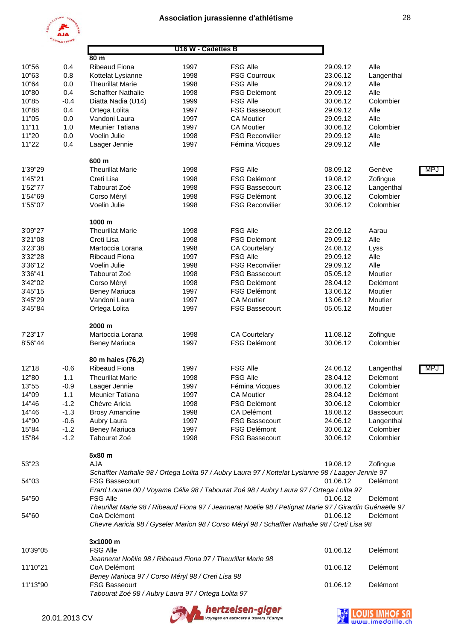



#### **80 m** 10"56 0.4 Ribeaud Fiona 1997 FSG Alle 29.09.12 Alle 10"63 0.8 Kottelat Lysianne 1998 FSG Courroux 23.06.12 Langenthal 10"64 0.0 Theurillat Marie 1998 FSG Alle 29.09.12 Alle 10"80 0.4 Schaffter Nathalie 1998 FSG Delémont 29.09.12 Alle 10"85 -0.4 Diatta Nadia (U14) 1999 FSG Alle 30.06.12 Colombier 10"88 0.4 Ortega Lolita 1997 FSG Bassecourt 29.09.12 Alle 11"05 0.0 Vandoni Laura 1997 CA Moutier 29.09.12 Alle 11"11 1.0 Meunier Tatiana 1997 CA Moutier 30.06.12 Colombier 11"20 0.0 Voelin Julie 1998 FSG Reconvilier 29.09.12 Alle 11"22 0.4 Laager Jennie 1997 Fémina Vicques 29.09.12 Alle  **600 m** 1'39"29 Theurillat Marie 1998 FSG Alle 68.09.12 Genève MPJ 1'45"21 Creti Lisa 1998 FSG Delémont 19.08.12 Zofingue 1'52"77 Tabourat Zoé 1998 FSG Bassecourt 23.06.12 Langenthal 1'54"69 Corso Méryl 1998 FSG Delémont 30.06.12 Colombier 1'55"07 Voelin Julie 1998 FSG Reconvilier 30.06.12 Colombier  **1000 m** 3'09"27 Theurillat Marie 1998 FSG Alle 22.09.12 Aarau 3'21"08 Creti Lisa 1998 FSG Delémont 29.09.12 Alle 3'23"38 Martoccia Lorana 1998 CA Courtelary 24.08.12 Lyss 3'32"28 Ribeaud Fiona 1997 FSG Alle 29.09.12 Alle 3'36"12 Voelin Julie 1998 FSG Reconvilier 29.09.12 Alle 3'36"41 Tabourat Zoé 1998 FSG Bassecourt 05.05.12 Moutier 3'42"02 Corso Méryl 1998 FSG Delémont 28.04.12 Delémont 3'45"15 Beney Mariuca 1997 FSG Delémont 13.06.12 Moutier 3'45"29 Vandoni Laura 1997 CA Moutier 13.06.12 Moutier 3'45"84 Ortega Lolita 1997 FSG Bassecourt 05.05.12 Moutier  **2000 m** 7'23"17 Martoccia Lorana 1998 CA Courtelary 11.08.12 Zofingue 8'56"44 Beney Mariuca 1997 FSG Delémont 30.06.12 Colombier  **80 m haies (76,2)** 12"18 -0.6 Ribeaud Fiona 1997 FSG Alle 24.06.12 Langenthal MPJ 12"80 1.1 Theurillat Marie 1998 FSG Alle 28.04.12 Delémont 13"55 -0.9 Laager Jennie 1997 Fémina Vicques 30.06.12 Colombier 14"09 1.1 Meunier Tatiana 1997 CA Moutier 28.04.12 Delémont 14"46 -1.2 Chèvre Aricia 1998 FSG Delémont 30.06.12 Colombier 14"46 -1.3 Brosy Amandine 1998 CA Delémont 18.08.12 Bassecourt 14"90 -0.6 Aubry Laura 1997 FSG Bassecourt 24.06.12 Langenthal 15"84 -1.2 Beney Mariuca 1997 FSG Delémont 30.06.12 Colombier 15"84 -1.2 Tabourat Zoé 1998 FSG Bassecourt 30.06.12 Colombier  **5x80 m** 53"23 AJA 19.08.12 Zofingue *Schaffter Nathalie 98 / Ortega Lolita 97 / Aubry Laura 97 / Kottelat Lysianne 98 / Laager Jennie 97* **U16 W - Cadettes B**

20.01.2013 CV

 **3x1000 m**



54"03 FSG Bassecourt 01.06.12 Delémont

54"50 FSG Alle 01.06.12 Delémont

54"60 CoA Delémont 01.06.12 Delémont

10'39"05 FSG Alle 01.06.12 Delémont

11'10"21 CoA Delémont 01.06.12 Delémont

11'13"90 FSG Basseourt 01.06.12 Delémont

*Jeannerat Noëlie 98 / Ribeaud Fiona 97 / Theurillat Marie 98*

*Beney Mariuca 97 / Corso Méryl 98 / Creti Lisa 98*

*Tabourat Zoé 98 / Aubry Laura 97 / Ortega Lolita 97*

*Erard Louane 00 / Voyame Célia 98 / Tabourat Zoé 98 / Aubry Laura 97 / Ortega Lolita 97*

*Chevre Aaricia 98 / Gyseler Marion 98 / Corso Méryl 98 / Schaffter Nathalie 98 / Creti Lisa 98*

*Theurillat Marie 98 / Ribeaud Fiona 97 / Jeannerat Noëlie 98 / Petignat Marie 97 / Girardin Guénaëlle 97*

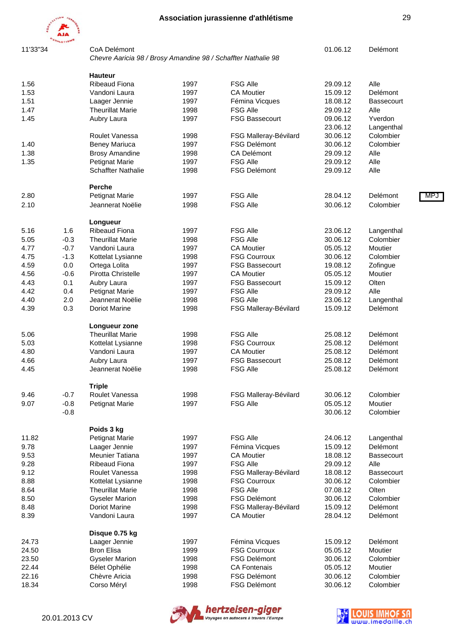

11'33"34 CoA Delémont 01.06.12 Delémont

*Chevre Aaricia 98 / Brosy Amandine 98 / Schaffter Nathalie 98*

|       |        | <b>Hauteur</b>            |      |                                        |          |                   |     |
|-------|--------|---------------------------|------|----------------------------------------|----------|-------------------|-----|
| 1.56  |        | <b>Ribeaud Fiona</b>      | 1997 | <b>FSG Alle</b>                        | 29.09.12 | Alle              |     |
| 1.53  |        | Vandoni Laura             | 1997 | <b>CA Moutier</b>                      | 15.09.12 | Delémont          |     |
| 1.51  |        | Laager Jennie             | 1997 | Fémina Vicques                         | 18.08.12 | <b>Bassecourt</b> |     |
| 1.47  |        | <b>Theurillat Marie</b>   | 1998 | <b>FSG Alle</b>                        | 29.09.12 | Alle              |     |
| 1.45  |        | Aubry Laura               | 1997 | <b>FSG Bassecourt</b>                  | 09.06.12 | Yverdon           |     |
|       |        |                           |      |                                        | 23.06.12 | Langenthal        |     |
|       |        |                           |      |                                        |          |                   |     |
|       |        | Roulet Vanessa            | 1998 | FSG Malleray-Bévilard                  | 30.06.12 | Colombier         |     |
| 1.40  |        | Beney Mariuca             | 1997 | <b>FSG Delémont</b>                    | 30.06.12 | Colombier         |     |
| 1.38  |        | <b>Brosy Amandine</b>     | 1998 | <b>CA Delémont</b>                     | 29.09.12 | Alle              |     |
| 1.35  |        | <b>Petignat Marie</b>     | 1997 | <b>FSG Alle</b>                        | 29.09.12 | Alle              |     |
|       |        | <b>Schaffter Nathalie</b> | 1998 | <b>FSG Delémont</b>                    | 29.09.12 | Alle              |     |
|       |        | <b>Perche</b>             |      |                                        |          |                   |     |
| 2.80  |        | <b>Petignat Marie</b>     | 1997 | <b>FSG Alle</b>                        | 28.04.12 | Delémont          | MP. |
| 2.10  |        | Jeannerat Noëlie          | 1998 | <b>FSG Alle</b>                        | 30.06.12 | Colombier         |     |
|       |        | Longueur                  |      |                                        |          |                   |     |
| 5.16  | 1.6    | <b>Ribeaud Fiona</b>      | 1997 | <b>FSG Alle</b>                        | 23.06.12 | Langenthal        |     |
| 5.05  | $-0.3$ | <b>Theurillat Marie</b>   | 1998 | <b>FSG Alle</b>                        | 30.06.12 | Colombier         |     |
| 4.77  | $-0.7$ | Vandoni Laura             | 1997 | <b>CA Moutier</b>                      | 05.05.12 | Moutier           |     |
| 4.75  | $-1.3$ | Kottelat Lysianne         | 1998 | <b>FSG Courroux</b>                    | 30.06.12 | Colombier         |     |
| 4.59  | 0.0    | Ortega Lolita             | 1997 | <b>FSG Bassecourt</b>                  | 19.08.12 | Zofingue          |     |
| 4.56  | $-0.6$ | Pirotta Christelle        | 1997 | <b>CA Moutier</b>                      | 05.05.12 | Moutier           |     |
|       |        |                           |      |                                        |          |                   |     |
| 4.43  | 0.1    | Aubry Laura               | 1997 | <b>FSG Bassecourt</b>                  | 15.09.12 | Olten             |     |
| 4.42  | 0.4    | <b>Petignat Marie</b>     | 1997 | <b>FSG Alle</b>                        | 29.09.12 | Alle              |     |
| 4.40  | 2.0    | Jeannerat Noëlie          | 1998 | <b>FSG Alle</b>                        | 23.06.12 | Langenthal        |     |
| 4.39  | 0.3    | <b>Doriot Marine</b>      | 1998 | FSG Malleray-Bévilard                  | 15.09.12 | Delémont          |     |
|       |        | Longueur zone             |      |                                        |          |                   |     |
| 5.06  |        | <b>Theurillat Marie</b>   | 1998 | <b>FSG Alle</b>                        | 25.08.12 | Delémont          |     |
| 5.03  |        | Kottelat Lysianne         | 1998 | <b>FSG Courroux</b>                    | 25.08.12 | Delémont          |     |
| 4.80  |        | Vandoni Laura             | 1997 | <b>CA Moutier</b>                      | 25.08.12 | Delémont          |     |
| 4.66  |        | Aubry Laura               | 1997 | <b>FSG Bassecourt</b>                  | 25.08.12 | Delémont          |     |
| 4.45  |        | Jeannerat Noëlie          | 1998 | <b>FSG Alle</b>                        | 25.08.12 | Delémont          |     |
|       |        | <b>Triple</b>             |      |                                        |          |                   |     |
| 9.46  | $-0.7$ | Roulet Vanessa            | 1998 | FSG Malleray-Bévilard                  | 30.06.12 | Colombier         |     |
| 9.07  | $-0.8$ | <b>Petignat Marie</b>     | 1997 | <b>FSG Alle</b>                        | 05.05.12 | Moutier           |     |
|       | $-0.8$ |                           |      |                                        | 30.06.12 | Colombier         |     |
|       |        | Poids 3 kg                |      |                                        |          |                   |     |
| 11.82 |        | <b>Petignat Marie</b>     | 1997 | <b>FSG Alle</b>                        | 24.06.12 | Langenthal        |     |
| 9.78  |        | Laager Jennie             | 1997 | Fémina Vicques                         | 15.09.12 | Delémont          |     |
| 9.53  |        | Meunier Tatiana           | 1997 | <b>CA Moutier</b>                      | 18.08.12 | <b>Bassecourt</b> |     |
| 9.28  |        | <b>Ribeaud Fiona</b>      | 1997 | <b>FSG Alle</b>                        | 29.09.12 | Alle              |     |
| 9.12  |        | Roulet Vanessa            | 1998 | FSG Malleray-Bévilard                  | 18.08.12 | <b>Bassecourt</b> |     |
|       |        |                           |      |                                        | 30.06.12 |                   |     |
| 8.88  |        | Kottelat Lysianne         | 1998 | <b>FSG Courroux</b><br><b>FSG Alle</b> |          | Colombier         |     |
| 8.64  |        | <b>Theurillat Marie</b>   | 1998 |                                        | 07.08.12 | Olten             |     |
| 8.50  |        | <b>Gyseler Marion</b>     | 1998 | <b>FSG Delémont</b>                    | 30.06.12 | Colombier         |     |
| 8.48  |        | <b>Doriot Marine</b>      | 1998 | FSG Malleray-Bévilard                  | 15.09.12 | Delémont          |     |
| 8.39  |        | Vandoni Laura             | 1997 | <b>CA Moutier</b>                      | 28.04.12 | Delémont          |     |
|       |        | Disque 0.75 kg            |      |                                        |          |                   |     |
| 24.73 |        | Laager Jennie             | 1997 | Fémina Vicques                         | 15.09.12 | Delémont          |     |
| 24.50 |        | <b>Bron Elisa</b>         | 1999 | <b>FSG Courroux</b>                    | 05.05.12 | Moutier           |     |
| 23.50 |        | <b>Gyseler Marion</b>     | 1998 | <b>FSG Delémont</b>                    | 30.06.12 | Colombier         |     |
| 22.44 |        | Bélet Ophélie             | 1998 | <b>CA Fontenais</b>                    | 05.05.12 | Moutier           |     |
| 22.16 |        | Chèvre Aricia             | 1998 | <b>FSG Delémont</b>                    | 30.06.12 | Colombier         |     |
| 18.34 |        | Corso Méryl               | 1998 | FSG Delémont                           | 30.06.12 | Colombier         |     |



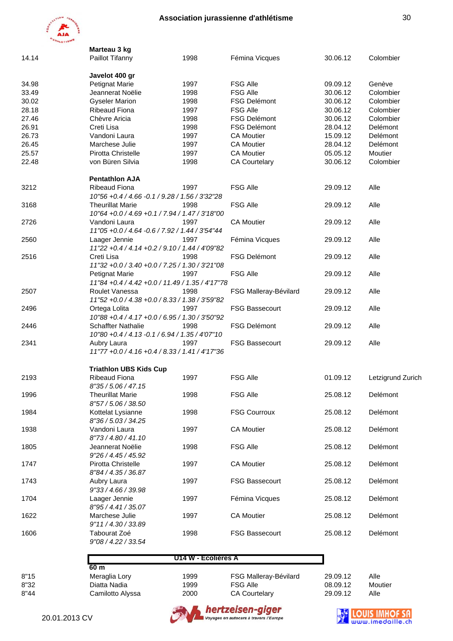

|       | Marteau 3 kg                                                    |                     |                       |          |                   |
|-------|-----------------------------------------------------------------|---------------------|-----------------------|----------|-------------------|
| 14.14 | Paillot Tifanny                                                 | 1998                | Fémina Vicques        | 30.06.12 | Colombier         |
|       | Javelot 400 gr                                                  |                     |                       |          |                   |
| 34.98 | <b>Petignat Marie</b>                                           | 1997                | <b>FSG Alle</b>       | 09.09.12 | Genève            |
| 33.49 | Jeannerat Noëlie                                                | 1998                | <b>FSG Alle</b>       | 30.06.12 | Colombier         |
| 30.02 | <b>Gyseler Marion</b>                                           | 1998                | <b>FSG Delémont</b>   | 30.06.12 | Colombier         |
| 28.18 | <b>Ribeaud Fiona</b>                                            | 1997                | <b>FSG Alle</b>       | 30.06.12 | Colombier         |
| 27.46 | Chèvre Aricia                                                   | 1998                | FSG Delémont          | 30.06.12 | Colombier         |
| 26.91 | Creti Lisa                                                      | 1998                | <b>FSG Delémont</b>   | 28.04.12 | Delémont          |
| 26.73 | Vandoni Laura                                                   | 1997                | <b>CA Moutier</b>     | 15.09.12 | Delémont          |
| 26.45 | Marchese Julie                                                  | 1997                | <b>CA Moutier</b>     | 28.04.12 | Delémont          |
| 25.57 | Pirotta Christelle                                              | 1997                | <b>CA Moutier</b>     | 05.05.12 | Moutier           |
| 22.48 | von Büren Silvia                                                | 1998                | <b>CA Courtelary</b>  | 30.06.12 | Colombier         |
|       |                                                                 |                     |                       |          |                   |
|       | <b>Pentathlon AJA</b>                                           | 1997                |                       |          |                   |
| 3212  | <b>Ribeaud Fiona</b>                                            |                     | <b>FSG Alle</b>       | 29.09.12 | Alle              |
|       | 10"56 +0.4 / 4.66 -0.1 / 9.28 / 1.56 / 3'32"28                  |                     |                       |          |                   |
| 3168  | <b>Theurillat Marie</b>                                         | 1998                | <b>FSG Alle</b>       | 29.09.12 | Alle              |
|       | 10"64 +0.0 / 4.69 +0.1 / 7.94 / 1.47 / 3'18"00                  |                     |                       |          |                   |
| 2726  | Vandoni Laura                                                   | 1997                | <b>CA Moutier</b>     | 29.09.12 | Alle              |
|       | 11"05 +0.0 / 4.64 -0.6 / 7.92 / 1.44 / 3'54"44                  |                     |                       |          |                   |
| 2560  | Laager Jennie<br>11"22 +0.4 / 4.14 +0.2 / 9.10 / 1.44 / 4'09"82 | 1997                | Fémina Vicques        | 29.09.12 | Alle              |
| 2516  | Creti Lisa                                                      | 1998                | <b>FSG Delémont</b>   | 29.09.12 | Alle              |
|       | 11"32 +0.0 / 3.40 +0.0 / 7.25 / 1.30 / 3'21"08                  |                     |                       |          |                   |
|       | <b>Petignat Marie</b>                                           | 1997                | <b>FSG Alle</b>       | 29.09.12 | Alle              |
|       | 11"84 + 0.4 / 4.42 + 0.0 / 11.49 / 1.35 / 4'17"78               |                     |                       |          |                   |
|       |                                                                 |                     |                       |          |                   |
| 2507  | Roulet Vanessa                                                  | 1998                | FSG Malleray-Bévilard | 29.09.12 | Alle              |
|       | 11"52 +0.0 / 4.38 +0.0 / 8.33 / 1.38 / 3'59"82                  |                     |                       |          |                   |
| 2496  | Ortega Lolita                                                   | 1997                | <b>FSG Bassecourt</b> | 29.09.12 | Alle              |
|       | 10"88 +0.4 / 4.17 +0.0 / 6.95 / 1.30 / 3'50"92                  |                     |                       |          |                   |
| 2446  | <b>Schaffter Nathalie</b>                                       | 1998                | <b>FSG Delémont</b>   | 29.09.12 | Alle              |
|       | 10"80 +0.4 / 4.13 -0.1 / 6.94 / 1.35 / 4'07"10                  |                     |                       |          |                   |
| 2341  | Aubry Laura                                                     | 1997                | <b>FSG Bassecourt</b> | 29.09.12 | Alle              |
|       | 11"77 + 0.0 / 4.16 + 0.4 / 8.33 / 1.41 / 4'17"36                |                     |                       |          |                   |
|       | <b>Triathlon UBS Kids Cup</b>                                   |                     |                       |          |                   |
| 2193  | <b>Ribeaud Fiona</b>                                            | 1997                | <b>FSG Alle</b>       | 01.09.12 | Letzigrund Zurich |
|       | 8"35 / 5.06 / 47.15                                             |                     |                       |          |                   |
| 1996  | <b>Theurillat Marie</b>                                         | 1998                | <b>FSG Alle</b>       | 25.08.12 | Delémont          |
|       | 8"57 / 5.06 / 38.50                                             |                     |                       |          |                   |
| 1984  | Kottelat Lysianne                                               | 1998                | <b>FSG Courroux</b>   | 25.08.12 | Delémont          |
|       | 8"36 / 5.03 / 34.25                                             |                     |                       |          |                   |
| 1938  | Vandoni Laura                                                   | 1997                | <b>CA Moutier</b>     | 25.08.12 | Delémont          |
|       | 8"73 / 4.80 / 41.10                                             |                     |                       |          |                   |
| 1805  | Jeannerat Noëlie                                                | 1998                | <b>FSG Alle</b>       |          | Delémont          |
|       |                                                                 |                     |                       | 25.08.12 |                   |
|       | 9''26 / 4.45 / 45.92                                            |                     |                       |          |                   |
| 1747  | Pirotta Christelle                                              | 1997                | <b>CA Moutier</b>     | 25.08.12 | Delémont          |
|       | 8"84 / 4.35 / 36.87                                             |                     |                       |          |                   |
| 1743  | Aubry Laura                                                     | 1997                | FSG Bassecourt        | 25.08.12 | Delémont          |
|       | 9"33 / 4.66 / 39.98                                             |                     |                       |          |                   |
| 1704  | Laager Jennie                                                   | 1997                | Fémina Vicques        | 25.08.12 | Delémont          |
|       | 8"95 / 4.41 / 35.07                                             |                     |                       |          |                   |
| 1622  | Marchese Julie                                                  | 1997                | <b>CA Moutier</b>     | 25.08.12 | Delémont          |
|       | 9"11 / 4.30 / 33.89                                             |                     |                       |          |                   |
| 1606  | Tabourat Zoé                                                    | 1998                | <b>FSG Bassecourt</b> | 25.08.12 | Delémont          |
|       | 9"08 / 4.22 / 33.54                                             |                     |                       |          |                   |
|       |                                                                 | U14 W - Ecolières A |                       |          |                   |
|       | 60 <sub>m</sub>                                                 |                     |                       |          |                   |
| 8"15  | Meraglia Lory                                                   | 1999                | FSG Malleray-Bévilard | 29.09.12 | Alle              |
| 8"32  | Diatta Nadia                                                    | 1999                | <b>FSG Alle</b>       | 08.09.12 | Moutier           |
| 8"44  | Camilotto Alyssa                                                | 2000                | <b>CA Courtelary</b>  | 29.09.12 | Alle              |



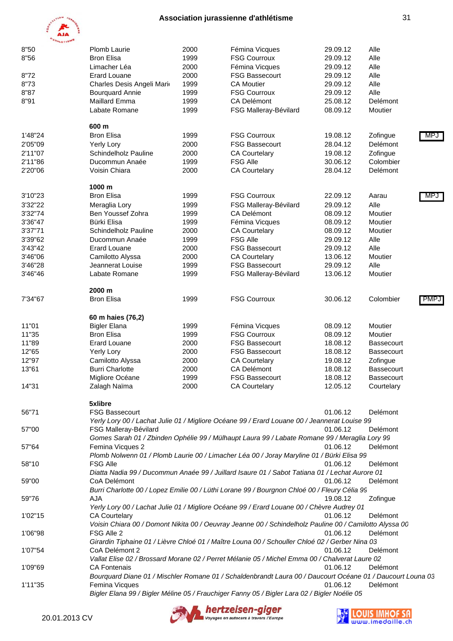

| mjm<br><b>OWNERISMS</b> |                           |      |                                                                                                         |          |            |      |
|-------------------------|---------------------------|------|---------------------------------------------------------------------------------------------------------|----------|------------|------|
| 8"50                    | Plomb Laurie              | 2000 | Fémina Vicques                                                                                          | 29.09.12 | Alle       |      |
| 8"56                    | <b>Bron Elisa</b>         | 1999 | <b>FSG Courroux</b>                                                                                     | 29.09.12 | Alle       |      |
|                         | Limacher Léa              | 2000 | Fémina Vicques                                                                                          | 29.09.12 | Alle       |      |
| 8"72                    | <b>Erard Louane</b>       | 2000 | <b>FSG Bassecourt</b>                                                                                   | 29.09.12 | Alle       |      |
| 8"73                    | Charles Desis Angeli Mari | 1999 | <b>CA Moutier</b>                                                                                       | 29.09.12 | Alle       |      |
| 8"87                    | <b>Bourquard Annie</b>    | 1999 | <b>FSG Courroux</b>                                                                                     | 29.09.12 | Alle       |      |
| 8"91                    | Maillard Emma             | 1999 | CA Delémont                                                                                             | 25.08.12 | Delémont   |      |
|                         | Labate Romane             | 1999 | FSG Malleray-Bévilard                                                                                   | 08.09.12 | Moutier    |      |
|                         | 600 m                     |      |                                                                                                         |          |            |      |
| 1'48"24                 | <b>Bron Elisa</b>         | 1999 | <b>FSG Courroux</b>                                                                                     | 19.08.12 | Zofingue   | MPJ  |
| 2'05"09                 | Yerly Lory                | 2000 | <b>FSG Bassecourt</b>                                                                                   | 28.04.12 | Delémont   |      |
| 2'11"07                 | Schindelholz Pauline      | 2000 | <b>CA Courtelary</b>                                                                                    | 19.08.12 | Zofingue   |      |
| 2'11"86                 | Ducommun Anaée            | 1999 | <b>FSG Alle</b>                                                                                         | 30.06.12 | Colombier  |      |
| 2'20"06                 | Voisin Chiara             | 2000 | <b>CA Courtelary</b>                                                                                    | 28.04.12 | Delémont   |      |
|                         | 1000 m                    |      |                                                                                                         |          |            |      |
| 3'10"23                 | <b>Bron Elisa</b>         | 1999 | <b>FSG Courroux</b>                                                                                     | 22.09.12 | Aarau      | MPJ  |
| 3'32"22                 | Meraglia Lory             | 1999 | FSG Malleray-Bévilard                                                                                   | 29.09.12 | Alle       |      |
| 3'32"74                 | Ben Youssef Zohra         | 1999 | <b>CA Delémont</b>                                                                                      | 08.09.12 | Moutier    |      |
| 3'36"47                 | Bürki Elisa               | 1999 | Fémina Vicques                                                                                          | 08.09.12 | Moutier    |      |
| 3'37"71                 | Schindelholz Pauline      | 2000 | <b>CA Courtelary</b>                                                                                    | 08.09.12 | Moutier    |      |
| 3'39"62                 | Ducommun Anaée            | 1999 | <b>FSG Alle</b>                                                                                         | 29.09.12 | Alle       |      |
| 3'43"42                 | <b>Erard Louane</b>       | 2000 | <b>FSG Bassecourt</b>                                                                                   | 29.09.12 | Alle       |      |
| 3'46"06                 | Camilotto Alyssa          | 2000 | <b>CA Courtelary</b>                                                                                    | 13.06.12 | Moutier    |      |
| 3'46"28                 | Jeannerat Louise          | 1999 | <b>FSG Bassecourt</b>                                                                                   | 29.09.12 | Alle       |      |
| 3'46"46                 | Labate Romane             | 1999 | FSG Malleray-Bévilard                                                                                   | 13.06.12 | Moutier    |      |
|                         | 2000 m                    |      |                                                                                                         |          |            |      |
| 7'34"67                 | <b>Bron Elisa</b>         | 1999 | <b>FSG Courroux</b>                                                                                     | 30.06.12 | Colombier  | PMP. |
|                         | 60 m haies (76,2)         |      |                                                                                                         |          |            |      |
| 11"01                   | <b>Bigler Elana</b>       | 1999 | Fémina Vicques                                                                                          | 08.09.12 | Moutier    |      |
| 11"35                   | <b>Bron Elisa</b>         | 1999 | <b>FSG Courroux</b>                                                                                     | 08.09.12 | Moutier    |      |
| 11"89                   | <b>Erard Louane</b>       | 2000 | <b>FSG Bassecourt</b>                                                                                   | 18.08.12 | Bassecourt |      |
| 12"65                   | Yerly Lory                | 2000 | <b>FSG Bassecourt</b>                                                                                   | 18.08.12 | Bassecourt |      |
| 12"97                   | Camilotto Alyssa          | 2000 | <b>CA Courtelary</b>                                                                                    | 19.08.12 | Zofingue   |      |
| 13"61                   | <b>Burri Charlotte</b>    | 2000 | <b>CA Delémont</b>                                                                                      | 18.08.12 | Bassecourt |      |
|                         | Migliore Océane           | 1999 | FSG Bassecourt                                                                                          | 18.08.12 | Bassecourt |      |
| 14"31                   | Zalagh Naïma              | 2000 | <b>CA Courtelary</b>                                                                                    | 12.05.12 | Courtelary |      |
|                         | 5xlibre                   |      |                                                                                                         |          |            |      |
| 56"71                   | <b>FSG Bassecourt</b>     |      | Yerly Lory 00 / Lachat Julie 01 / Migliore Océane 99 / Erard Louane 00 / Jeannerat Louise 99            | 01.06.12 | Delémont   |      |
| 57"00                   | FSG Malleray-Bévilard     |      |                                                                                                         | 01.06.12 | Delémont   |      |
|                         |                           |      | Gomes Sarah 01 / Zbinden Ophélie 99 / Mülhaupt Laura 99 / Labate Romane 99 / Meraglia Lory 99           |          |            |      |
| 57"64                   | Femina Vicques 2          |      | Plomb Nolwenn 01 / Plomb Laurie 00 / Limacher Léa 00 / Joray Maryline 01 / Bürki Elisa 99               | 01.06.12 | Delémont   |      |
| 58"10                   | <b>FSG Alle</b>           |      |                                                                                                         | 01.06.12 | Delémont   |      |
|                         |                           |      | Diatta Nadia 99 / Ducommun Anaée 99 / Juillard Isaure 01 / Sabot Tatiana 01 / Lechat Aurore 01          |          |            |      |
| 59"00                   | CoA Delémont              |      |                                                                                                         | 01.06.12 | Delémont   |      |
|                         |                           |      | Burri Charlotte 00 / Lopez Emilie 00 / Lüthi Lorane 99 / Bourgnon Chloé 00 / Fleury Célia 99            |          |            |      |
| 59"76                   | AJA                       |      |                                                                                                         | 19.08.12 | Zofingue   |      |
|                         |                           |      | Yerly Lory 00 / Lachat Julie 01 / Migliore Océane 99 / Erard Louane 00 / Chèvre Audrey 01               |          |            |      |
| 1'02"15                 | <b>CA Courtelary</b>      |      |                                                                                                         | 01.06.12 | Delémont   |      |
|                         |                           |      | Voisin Chiara 00 / Domont Nikita 00 / Oeuvray Jeanne 00 / Schindelholz Pauline 00 / Camilotto Alyssa 00 |          |            |      |
| 1'06"98                 | FSG Alle 2                |      |                                                                                                         | 01.06.12 | Delémont   |      |
|                         |                           |      | Girardin Tiphaine 01 / Lièvre Chloé 01 / Maître Louna 00 / Schouller Chloé 02 / Gerber Nina 03          |          |            |      |
| 1'07"54                 | CoA Delémont 2            |      |                                                                                                         | 01.06.12 | Delémont   |      |



1'09"69 CA Fontenais 01.06.12 Delémont

*Vallat Elise 02 / Brossard Morane 02 / Perret Mélanie 05 / Michel Emma 00 / Chalverat Laure 02*

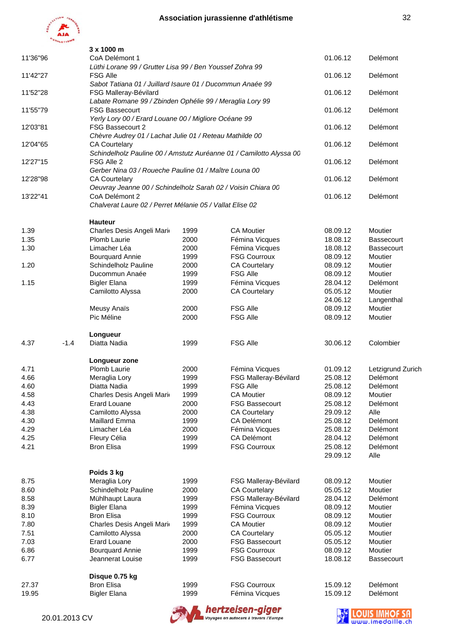

|          |               | 3 x 1000 m                                                                         |                                                                             |                                                                     |          |                   |  |  |
|----------|---------------|------------------------------------------------------------------------------------|-----------------------------------------------------------------------------|---------------------------------------------------------------------|----------|-------------------|--|--|
| 11'36"96 |               | CoA Delémont 1<br>Lüthi Lorane 99 / Grutter Lisa 99 / Ben Youssef Zohra 99         |                                                                             |                                                                     | 01.06.12 | Delémont          |  |  |
| 11'42"27 |               | <b>FSG Alle</b>                                                                    |                                                                             |                                                                     | 01.06.12 | Delémont          |  |  |
| 11'52"28 |               | Sabot Tatiana 01 / Juillard Isaure 01 / Ducommun Anaée 99<br>FSG Malleray-Bévilard |                                                                             |                                                                     | 01.06.12 | Delémont          |  |  |
| 11'55"79 |               | Labate Romane 99 / Zbinden Ophélie 99 / Meraglia Lory 99<br><b>FSG Bassecourt</b>  |                                                                             | 01.06.12                                                            | Delémont |                   |  |  |
|          |               | Yerly Lory 00 / Erard Louane 00 / Migliore Océane 99                               |                                                                             | 01.06.12                                                            | Delémont |                   |  |  |
| 12'03"81 |               |                                                                                    | FSG Bassecourt 2<br>Chèvre Audrey 01 / Lachat Julie 01 / Reteau Mathilde 00 |                                                                     |          |                   |  |  |
| 12'04"65 |               | <b>CA Courtelary</b>                                                               |                                                                             | Schindelholz Pauline 00 / Amstutz Auréanne 01 / Camilotto Alyssa 00 | 01.06.12 | Delémont          |  |  |
| 12'27"15 |               | FSG Alle 2<br>Gerber Nina 03 / Roueche Pauline 01 / Maître Louna 00                |                                                                             |                                                                     | 01.06.12 | Delémont          |  |  |
| 12'28"98 |               | <b>CA Courtelary</b>                                                               |                                                                             |                                                                     | 01.06.12 | Delémont          |  |  |
| 13'22"41 |               | Oeuvray Jeanne 00 / Schindelholz Sarah 02 / Voisin Chiara 00<br>CoA Delémont 2     |                                                                             |                                                                     | 01.06.12 | Delémont          |  |  |
|          |               | Chalverat Laure 02 / Perret Mélanie 05 / Vallat Elise 02                           |                                                                             |                                                                     |          |                   |  |  |
|          |               | <b>Hauteur</b>                                                                     |                                                                             |                                                                     |          |                   |  |  |
| 1.39     |               | Charles Desis Angeli Mari                                                          | 1999                                                                        | <b>CA Moutier</b>                                                   | 08.09.12 | Moutier           |  |  |
| 1.35     |               | <b>Plomb Laurie</b>                                                                | 2000                                                                        | Fémina Vicques                                                      | 18.08.12 | <b>Bassecourt</b> |  |  |
| 1.30     |               | Limacher Léa                                                                       | 2000                                                                        | Fémina Vicques                                                      | 18.08.12 | <b>Bassecourt</b> |  |  |
|          |               | <b>Bourquard Annie</b>                                                             | 1999                                                                        | <b>FSG Courroux</b>                                                 | 08.09.12 | Moutier           |  |  |
| 1.20     |               | Schindelholz Pauline                                                               | 2000                                                                        | <b>CA Courtelary</b>                                                | 08.09.12 | Moutier           |  |  |
|          |               | Ducommun Anaée                                                                     | 1999                                                                        | <b>FSG Alle</b>                                                     | 08.09.12 | Moutier           |  |  |
| 1.15     |               | <b>Bigler Elana</b>                                                                | 1999                                                                        | Fémina Vicques                                                      | 28.04.12 | Delémont          |  |  |
|          |               | Camilotto Alyssa                                                                   | 2000                                                                        | <b>CA Courtelary</b>                                                | 05.05.12 | Moutier           |  |  |
|          |               |                                                                                    |                                                                             |                                                                     | 24.06.12 | Langenthal        |  |  |
|          |               | Meusy Anaïs                                                                        | 2000                                                                        | <b>FSG Alle</b>                                                     | 08.09.12 | Moutier           |  |  |
|          |               | Pic Méline                                                                         | 2000                                                                        | <b>FSG Alle</b>                                                     | 08.09.12 | Moutier           |  |  |
|          |               | Longueur                                                                           |                                                                             |                                                                     |          |                   |  |  |
| 4.37     | $-1.4$        | Diatta Nadia                                                                       | 1999                                                                        | <b>FSG Alle</b>                                                     | 30.06.12 | Colombier         |  |  |
|          |               | Longueur zone                                                                      |                                                                             |                                                                     |          |                   |  |  |
| 4.71     |               | Plomb Laurie                                                                       | 2000                                                                        | Fémina Vicques                                                      | 01.09.12 | Letzigrund Zurich |  |  |
| 4.66     |               | Meraglia Lory                                                                      | 1999                                                                        | FSG Malleray-Bévilard                                               | 25.08.12 | Delémont          |  |  |
| 4.60     |               | Diatta Nadia                                                                       | 1999                                                                        | <b>FSG Alle</b>                                                     | 25.08.12 | Delémont          |  |  |
| 4.58     |               | Charles Desis Angeli Mari                                                          | 1999                                                                        | <b>CA Moutier</b>                                                   | 08.09.12 | Moutier           |  |  |
| 4.43     |               | <b>Erard Louane</b>                                                                | 2000                                                                        | <b>FSG Bassecourt</b>                                               | 25.08.12 | Delémont          |  |  |
| 4.38     |               | Camilotto Alyssa                                                                   | 2000                                                                        | <b>CA Courtelary</b>                                                | 29.09.12 | Alle              |  |  |
| 4.30     |               | Maillard Emma                                                                      | 1999                                                                        | <b>CA Delémont</b>                                                  | 25.08.12 | Delémont          |  |  |
| 4.29     |               | Limacher Léa                                                                       | 2000                                                                        | Fémina Vicques                                                      | 25.08.12 | Delémont          |  |  |
| 4.25     |               | Fleury Célia                                                                       | 1999                                                                        | CA Delémont                                                         | 28.04.12 | Delémont          |  |  |
| 4.21     |               | <b>Bron Elisa</b>                                                                  | 1999                                                                        | <b>FSG Courroux</b>                                                 | 25.08.12 | Delémont          |  |  |
|          |               |                                                                                    |                                                                             |                                                                     | 29.09.12 | Alle              |  |  |
|          |               | Poids 3 kg                                                                         |                                                                             |                                                                     |          |                   |  |  |
| 8.75     |               | Meraglia Lory                                                                      | 1999                                                                        | FSG Malleray-Bévilard                                               | 08.09.12 | Moutier           |  |  |
| 8.60     |               | Schindelholz Pauline                                                               | 2000                                                                        | <b>CA Courtelary</b>                                                | 05.05.12 | Moutier           |  |  |
| 8.58     |               | Mühlhaupt Laura                                                                    | 1999                                                                        | FSG Malleray-Bévilard                                               | 28.04.12 | Delémont          |  |  |
| 8.39     |               | <b>Bigler Elana</b>                                                                | 1999                                                                        | Fémina Vicques                                                      | 08.09.12 | Moutier           |  |  |
| 8.10     |               | <b>Bron Elisa</b>                                                                  | 1999                                                                        | <b>FSG Courroux</b>                                                 | 08.09.12 | Moutier           |  |  |
| 7.80     |               | Charles Desis Angeli Mari                                                          | 1999                                                                        | <b>CA Moutier</b>                                                   | 08.09.12 | Moutier           |  |  |
| 7.51     |               | Camilotto Alyssa                                                                   | 2000                                                                        | <b>CA Courtelary</b>                                                | 05.05.12 | Moutier           |  |  |
| 7.03     |               | <b>Erard Louane</b>                                                                | 2000                                                                        | <b>FSG Bassecourt</b>                                               | 05.05.12 | Moutier           |  |  |
| 6.86     |               | <b>Bourquard Annie</b>                                                             | 1999                                                                        | <b>FSG Courroux</b>                                                 | 08.09.12 | Moutier           |  |  |
| 6.77     |               | Jeannerat Louise                                                                   | 1999                                                                        | <b>FSG Bassecourt</b>                                               | 18.08.12 | <b>Bassecourt</b> |  |  |
|          |               |                                                                                    |                                                                             |                                                                     |          |                   |  |  |
|          |               | Disque 0.75 kg                                                                     |                                                                             |                                                                     |          |                   |  |  |
| 27.37    |               | <b>Bron Elisa</b>                                                                  | 1999                                                                        | <b>FSG Courroux</b>                                                 | 15.09.12 | Delémont          |  |  |
| 19.95    |               | <b>Bigler Elana</b>                                                                | 1999                                                                        | Fémina Vicques                                                      | 15.09.12 | Delémont          |  |  |
|          | 20.01.2013 CV |                                                                                    |                                                                             | hertzeisen-giger<br>Voyages en autocars à travers l'Europe          |          |                   |  |  |

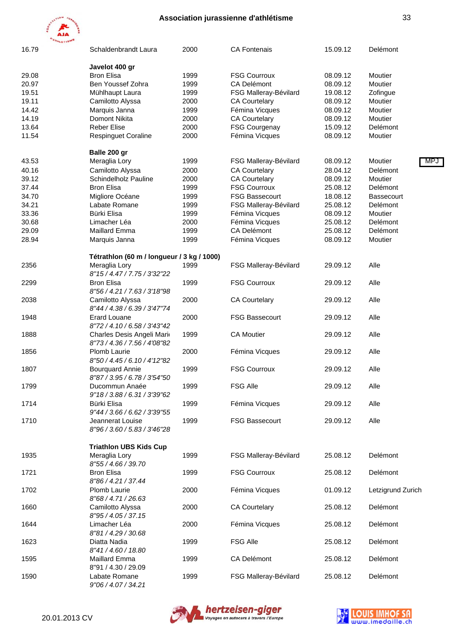

| 16.79 | Schaldenbrandt Laura                                                         | 2000 | <b>CA Fontenais</b>   | 15.09.12 | Delémont          |
|-------|------------------------------------------------------------------------------|------|-----------------------|----------|-------------------|
|       | Javelot 400 gr                                                               |      |                       |          |                   |
| 29.08 | <b>Bron Elisa</b>                                                            | 1999 | <b>FSG Courroux</b>   | 08.09.12 | Moutier           |
| 20.97 | Ben Youssef Zohra                                                            | 1999 | <b>CA Delémont</b>    | 08.09.12 | Moutier           |
| 19.51 | Mühlhaupt Laura                                                              | 1999 | FSG Malleray-Bévilard | 19.08.12 | Zofingue          |
| 19.11 | Camilotto Alyssa                                                             | 2000 | <b>CA Courtelary</b>  | 08.09.12 | Moutier           |
| 14.42 | Marquis Janna                                                                | 1999 | Fémina Vicques        | 08.09.12 | Moutier           |
| 14.19 | Domont Nikita                                                                | 2000 | <b>CA Courtelary</b>  | 08.09.12 | Moutier           |
| 13.64 | <b>Reber Elise</b>                                                           | 2000 | <b>FSG Courgenay</b>  | 15.09.12 | Delémont          |
| 11.54 | <b>Respinguet Coraline</b>                                                   | 2000 | Fémina Vicques        | 08.09.12 | Moutier           |
|       | Balle 200 gr                                                                 |      |                       |          |                   |
| 43.53 | Meraglia Lory                                                                | 1999 | FSG Malleray-Bévilard | 08.09.12 | MP.<br>Moutier    |
| 40.16 | Camilotto Alyssa                                                             | 2000 | <b>CA Courtelary</b>  | 28.04.12 | Delémont          |
| 39.12 | Schindelholz Pauline                                                         | 2000 | <b>CA Courtelary</b>  | 08.09.12 | Moutier           |
| 37.44 | <b>Bron Elisa</b>                                                            | 1999 | <b>FSG Courroux</b>   | 25.08.12 | Delémont          |
| 34.70 | Migliore Océane                                                              | 1999 | <b>FSG Bassecourt</b> | 18.08.12 | Bassecourt        |
| 34.21 |                                                                              | 1999 | FSG Malleray-Bévilard | 25.08.12 | Delémont          |
|       | Labate Romane                                                                |      |                       |          |                   |
| 33.36 | Bürki Elisa                                                                  | 1999 | Fémina Vicques        | 08.09.12 | Moutier           |
| 30.68 | Limacher Léa                                                                 | 2000 | Fémina Vicques        | 25.08.12 | Delémont          |
| 29.09 | Maillard Emma                                                                | 1999 | CA Delémont           | 25.08.12 | Delémont          |
| 28.94 | Marquis Janna                                                                | 1999 | Fémina Vicques        | 08.09.12 | Moutier           |
|       | Tétrathlon (60 m / longueur / 3 kg / 1000)                                   |      |                       |          |                   |
| 2356  | Meraglia Lory<br>8"15 / 4.47 / 7.75 / 3'32"22                                | 1999 | FSG Malleray-Bévilard | 29.09.12 | Alle              |
| 2299  | <b>Bron Elisa</b><br>8"56 / 4.21 / 7.63 / 3'18"98                            | 1999 | <b>FSG Courroux</b>   | 29.09.12 | Alle              |
| 2038  | Camilotto Alyssa<br>8"44 / 4.38 / 6.39 / 3'47"74                             | 2000 | <b>CA Courtelary</b>  | 29.09.12 | Alle              |
| 1948  | <b>Erard Louane</b><br>8"72 / 4.10 / 6.58 / 3'43"42                          | 2000 | <b>FSG Bassecourt</b> | 29.09.12 | Alle              |
| 1888  | Charles Desis Angeli Mari                                                    | 1999 | <b>CA Moutier</b>     | 29.09.12 | Alle              |
| 1856  | 8"73 / 4.36 / 7.56 / 4'08"82<br>Plomb Laurie<br>8"50 / 4.45 / 6.10 / 4'12"82 | 2000 | Fémina Vicques        | 29.09.12 | Alle              |
| 1807  | <b>Bourquard Annie</b><br>8"87 / 3.95 / 6.78 / 3'54"50                       | 1999 | <b>FSG Courroux</b>   | 29.09.12 | Alle              |
| 1799  | Ducommun Anaée                                                               | 1999 | <b>FSG Alle</b>       | 29.09.12 | Alle              |
| 1714  | 9"18 / 3.88 / 6.31 / 3'39"62<br>Bürki Elisa<br>9"44 / 3.66 / 6.62 / 3'39"55  | 1999 | Fémina Vicques        | 29.09.12 | Alle              |
| 1710  | Jeannerat Louise<br>8"96 / 3.60 / 5.83 / 3'46"28                             | 1999 | <b>FSG Bassecourt</b> | 29.09.12 | Alle              |
|       |                                                                              |      |                       |          |                   |
| 1935  | <b>Triathlon UBS Kids Cup</b><br>Meraglia Lory                               | 1999 | FSG Malleray-Bévilard | 25.08.12 | Delémont          |
|       | 8"55 / 4.66 / 39.70                                                          |      |                       |          |                   |
| 1721  | <b>Bron Elisa</b><br>8"86 / 4.21 / 37.44                                     | 1999 | <b>FSG Courroux</b>   | 25.08.12 | Delémont          |
| 1702  | Plomb Laurie                                                                 | 2000 | Fémina Vicques        | 01.09.12 | Letzigrund Zurich |
| 1660  | 8"68 / 4.71 / 26.63<br>Camilotto Alyssa                                      | 2000 | <b>CA Courtelary</b>  | 25.08.12 | Delémont          |
| 1644  | 8"95 / 4.05 / 37.15<br>Limacher Léa                                          | 2000 | Fémina Vicques        | 25.08.12 | Delémont          |
|       | 8"81 / 4.29 / 30.68                                                          |      |                       |          |                   |
| 1623  | Diatta Nadia<br>8"41 / 4.60 / 18.80                                          | 1999 | <b>FSG Alle</b>       | 25.08.12 | Delémont          |
| 1595  | Maillard Emma<br>8"91 / 4.30 / 29.09                                         | 1999 | CA Delémont           | 25.08.12 | Delémont          |
| 1590  | Labate Romane<br>9"06 / 4.07 / 34.21                                         | 1999 | FSG Malleray-Bévilard | 25.08.12 | Delémont          |



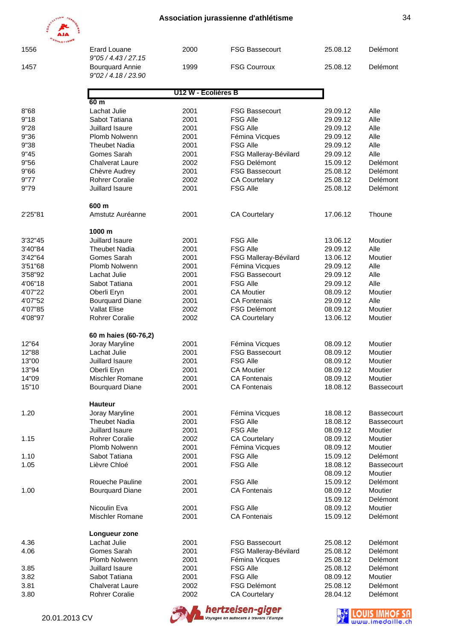| <b>POLATION</b><br>10 <sub>4</sub> |                                        |                     | Association jurassienne d'athlétisme |                      |              |
|------------------------------------|----------------------------------------|---------------------|--------------------------------------|----------------------|--------------|
|                                    |                                        |                     |                                      |                      |              |
|                                    |                                        |                     |                                      |                      |              |
| 1556                               | <b>Erard Louane</b><br>9"05/4.43/27.15 | 2000                | <b>FSG Bassecourt</b>                | 25.08.12             | Delémont     |
| 1457                               | <b>Bourquard Annie</b>                 | 1999                | <b>FSG Courroux</b>                  | 25.08.12             | Delémont     |
|                                    | 9"02 / 4.18 / 23.90                    |                     |                                      |                      |              |
|                                    |                                        | U12 W - Ecolières B |                                      |                      |              |
|                                    | 60 m                                   |                     |                                      |                      |              |
| 8"68                               | Lachat Julie                           | 2001                | <b>FSG Bassecourt</b>                | 29.09.12             | Alle         |
| 9"18<br>9"28                       | Sabot Tatiana<br>Juillard Isaure       | 2001<br>2001        | <b>FSG Alle</b><br><b>FSG Alle</b>   | 29.09.12             | Alle<br>Alle |
| 9"36                               | Plomb Nolwenn                          | 2001                |                                      | 29.09.12<br>29.09.12 | Alle         |
| 9"38                               | <b>Theubet Nadia</b>                   | 2001                | Fémina Vicques<br><b>FSG Alle</b>    | 29.09.12             | Alle         |
| 9"45                               | Gomes Sarah                            | 2001                | FSG Malleray-Bévilard                | 29.09.12             | Alle         |
| 9"56                               | <b>Chalverat Laure</b>                 | 2002                | <b>FSG Delémont</b>                  | 15.09.12             | Delémont     |
| 9"66                               | Chèvre Audrey                          | 2001                | <b>FSG Bassecourt</b>                | 25.08.12             | Delémont     |
| 9"77                               | <b>Rohrer Coralie</b>                  | 2002                | <b>CA Courtelary</b>                 | 25.08.12             | Delémont     |
| 9"79                               | Juillard Isaure                        | 2001                | <b>FSG Alle</b>                      | 25.08.12             | Delémont     |
|                                    | 600 m                                  |                     |                                      |                      |              |
| 2'25"81                            | Amstutz Auréanne                       | 2001                | <b>CA Courtelary</b>                 | 17.06.12             | Thoune       |
|                                    | 1000 m                                 |                     |                                      |                      |              |
| 3'32"45                            | Juillard Isaure                        | 2001                | <b>FSG Alle</b>                      | 13.06.12             | Moutier      |
| 3'40"84                            | <b>Theubet Nadia</b>                   | 2001                | <b>FSG Alle</b>                      | 29.09.12             | Alle         |
| 3'42"64                            | Gomes Sarah                            | 2001                | FSG Malleray-Bévilard                | 13.06.12             | Moutier      |
| 3'51"68                            | Plomb Nolwenn                          | 2001                | Fémina Vicques                       | 29.09.12             | Alle         |
| 3'58"92                            | Lachat Julie                           | 2001                | <b>FSG Bassecourt</b>                | 29.09.12             | Alle         |
| 4'06"18                            | Sabot Tatiana                          | 2001                | <b>FSG Alle</b>                      | 29.09.12             | Alle         |
| 4'07"22                            | Oberli Eryn                            | 2001                | <b>CA Moutier</b>                    | 08.09.12             | Moutier      |
| 4'07"52                            | <b>Bourquard Diane</b>                 | 2001                | <b>CA Fontenais</b>                  | 29.09.12             | Alle         |
| 4'07"85                            | <b>Vallat Elise</b>                    | 2002                | <b>FSG Delémont</b>                  | 08.09.12             | Moutier      |
| 4'08"97                            | <b>Rohrer Coralie</b>                  | 2002                | <b>CA Courtelary</b>                 | 13.06.12             | Moutier      |
|                                    | 60 m haies (60-76,2)                   |                     |                                      |                      |              |
| 12"64                              | Joray Maryline                         | 2001                | Fémina Vicques                       | 08.09.12             | Moutier      |
| 12"88                              | Lachat Julie                           | 2001                | <b>FSG Bassecourt</b>                | 08.09.12             | Moutier      |
| 13"00                              | Juillard Isaure                        | 2001                | <b>FSG Alle</b>                      | 08.09.12             | Moutier      |
| 13"94                              | Oberli Eryn                            | 2001                | <b>CA Moutier</b>                    | 08.09.12             | Moutier      |
| 14"09                              | Mischler Romane                        | 2001                | <b>CA Fontenais</b>                  | 08.09.12             | Moutier      |
| 15"10                              | <b>Bourquard Diane</b>                 | 2001                | <b>CA Fontenais</b>                  | 18.08.12             | Bassecourt   |
| 1.20                               | <b>Hauteur</b><br>Joray Maryline       | 2001                | Fémina Vicques                       | 18.08.12             | Bassecourt   |
|                                    | <b>Theubet Nadia</b>                   | 2001                | <b>FSG Alle</b>                      | 18.08.12             | Bassecourt   |
|                                    | Juillard Isaure                        | 2001                | <b>FSG Alle</b>                      | 08.09.12             | Moutier      |
| 1.15                               | <b>Rohrer Coralie</b>                  | 2002                | <b>CA Courtelary</b>                 | 08.09.12             | Moutier      |
|                                    | Plomb Nolwenn                          | 2001                | Fémina Vicques                       | 08.09.12             | Moutier      |
| 1.10                               | Sabot Tatiana                          | 2001                | <b>FSG Alle</b>                      | 15.09.12             | Delémont     |
| 1.05                               | Lièvre Chloé                           | 2001                | <b>FSG Alle</b>                      | 18.08.12             | Bassecourt   |
|                                    |                                        |                     |                                      | 08.09.12             | Moutier      |
|                                    | Roueche Pauline                        | 2001                | <b>FSG Alle</b>                      | 15.09.12             | Delémont     |
| 1.00                               | <b>Bourquard Diane</b>                 | 2001                | <b>CA Fontenais</b>                  | 08.09.12             | Moutier      |
|                                    |                                        |                     |                                      | 15.09.12             | Delémont     |
|                                    | Nicoulin Eva                           | 2001                | <b>FSG Alle</b>                      | 08.09.12             | Moutier      |
|                                    | Mischler Romane                        | 2001                | <b>CA Fontenais</b>                  | 15.09.12             | Delémont     |
|                                    | Longueur zone                          |                     |                                      |                      |              |
| 4.36                               | Lachat Julie                           | 2001                | <b>FSG Bassecourt</b>                | 25.08.12             | Delémont     |
| 4.06                               | Gomes Sarah                            | 2001                | FSG Malleray-Bévilard                | 25.08.12             | Delémont     |
|                                    | Plomb Nolwenn                          | 2001                | Fémina Vicques                       | 25.08.12             | Delémont     |
| 3.85                               | Juillard Isaure                        | 2001                | <b>FSG Alle</b>                      | 25.08.12             | Delémont     |
| 3.82                               | Sabot Tatiana                          | 2001                | <b>FSG Alle</b>                      | 08.09.12             | Moutier      |
| 3.81                               | <b>Chalverat Laure</b>                 | 2002                | <b>FSG Delémont</b>                  | 25.08.12             | Delémont     |
| 3.80                               | Rohrer Coralie                         | 2002                | <b>CA Courtelary</b>                 | 28.04.12             | Delémont     |



**hertzeisen-giger** 

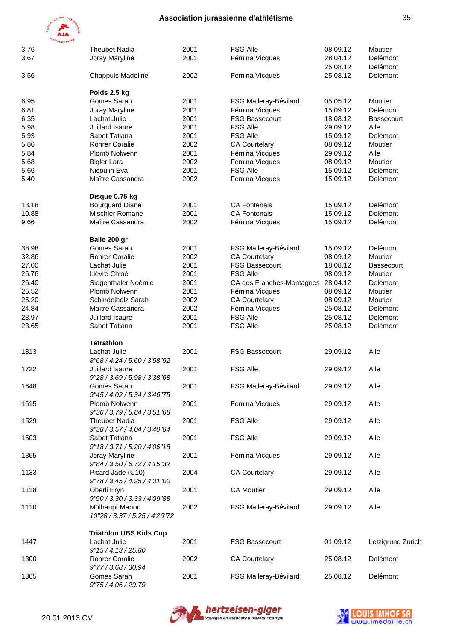

| <b>ATHLETISMS</b> |                                                 |      |                           |          |                   |
|-------------------|-------------------------------------------------|------|---------------------------|----------|-------------------|
| 3.76              | <b>Theubet Nadia</b>                            | 2001 | <b>FSG Alle</b>           | 08.09.12 | Moutier           |
| 3.67              | Joray Maryline                                  | 2001 | Fémina Vicques            | 28.04.12 | Delémont          |
|                   |                                                 |      |                           | 25.08.12 | Delémont          |
| 3.56              | Chappuis Madeline                               | 2002 | Fémina Vicques            | 25.08.12 | Delémont          |
|                   | Poids 2.5 kg                                    |      |                           |          |                   |
| 6.95              | Gomes Sarah                                     | 2001 | FSG Malleray-Bévilard     | 05.05.12 | Moutier           |
| 6.81              | Joray Maryline                                  | 2001 | Fémina Vicques            | 15.09.12 | Delémont          |
| 6.35              | Lachat Julie                                    | 2001 | <b>FSG Bassecourt</b>     | 18.08.12 | <b>Bassecourt</b> |
| 5.98              | Juillard Isaure                                 | 2001 | <b>FSG Alle</b>           | 29.09.12 | Alle              |
| 5.93              | Sabot Tatiana                                   | 2001 | <b>FSG Alle</b>           | 15.09.12 | Delémont          |
| 5.86              | <b>Rohrer Coralie</b>                           | 2002 | <b>CA Courtelary</b>      | 08.09.12 | Moutier           |
| 5.84              | Plomb Nolwenn                                   | 2001 | Fémina Vicques            | 29.09.12 | Alle              |
|                   |                                                 | 2002 |                           |          | Moutier           |
| 5.68              | <b>Bigler Lara</b>                              |      | Fémina Vicques            | 08.09.12 |                   |
| 5.66              | Nicoulin Eva                                    | 2001 | <b>FSG Alle</b>           | 15.09.12 | Delémont          |
| 5.40              | Maître Cassandra                                | 2002 | Fémina Vicques            | 15.09.12 | <b>Delémont</b>   |
|                   | Disque 0.75 kg                                  |      |                           |          |                   |
| 13.18             | <b>Bourguard Diane</b>                          | 2001 | <b>CA Fontenais</b>       | 15.09.12 | Delémont          |
| 10.88             | Mischler Romane                                 | 2001 | <b>CA Fontenais</b>       | 15.09.12 | Delémont          |
| 9.66              | Maître Cassandra                                | 2002 | Fémina Vicques            | 15.09.12 | Delémont          |
|                   | Balle 200 gr                                    |      |                           |          |                   |
| 38.98             | Gomes Sarah                                     | 2001 | FSG Malleray-Bévilard     | 15.09.12 | Delémont          |
| 32.86             | <b>Rohrer Coralie</b>                           | 2002 | <b>CA Courtelary</b>      | 08.09.12 | Moutier           |
|                   |                                                 |      |                           |          |                   |
| 27.00             | Lachat Julie                                    | 2001 | <b>FSG Bassecourt</b>     | 18.08.12 | <b>Bassecourt</b> |
| 26.76             | Lièvre Chloé                                    | 2001 | <b>FSG Alle</b>           | 08.09.12 | Moutier           |
| 26.40             | Siegenthaler Noémie                             | 2001 | CA des Franches-Montagnes | 28.04.12 | Delémont          |
| 25.52             | Plomb Nolwenn                                   | 2001 | Fémina Vicques            | 08.09.12 | Moutier           |
| 25.20             | Schindelholz Sarah                              | 2002 | <b>CA Courtelary</b>      | 08.09.12 | Moutier           |
| 24.84             | Maître Cassandra                                | 2002 | Fémina Vicques            | 25.08.12 | Delémont          |
| 23.97             | Juillard Isaure                                 | 2001 | <b>FSG Alle</b>           | 25.08.12 | Delémont          |
| 23.65             | Sabot Tatiana                                   | 2001 | <b>FSG Alle</b>           | 25.08.12 | Delémont          |
|                   | <b>Tétrathlon</b>                               |      |                           |          |                   |
| 1813              | Lachat Julie                                    | 2001 | <b>FSG Bassecourt</b>     | 29.09.12 | Alle              |
|                   | 8"68 / 4.24 / 5.60 / 3'58"92                    |      |                           |          |                   |
| 1722              | Juillard Isaure                                 | 2001 | <b>FSG Alle</b>           | 29.09.12 | Alle              |
|                   | 9"28 / 3.69 / 5.98 / 3'38"68                    |      |                           |          |                   |
| 1648              | Gomes Sarah                                     | 2001 | FSG Malleray-Bévilard     | 29.09.12 | Alle              |
|                   | 9"45 / 4.02 / 5.34 / 3'46"75                    |      |                           |          |                   |
| 1615              | Plomb Nolwenn                                   | 2001 | Fémina Vicques            | 29.09.12 | Alle              |
|                   | 9"36 / 3.79 / 5.84 / 3'51"68                    |      |                           |          |                   |
| 1529              | <b>Theubet Nadia</b>                            | 2001 | <b>FSG Alle</b>           | 29.09.12 | Alle              |
|                   | 9"38 / 3.57 / 4.04 / 3'40"84                    |      |                           |          |                   |
| 1503              | Sabot Tatiana                                   | 2001 | <b>FSG Alle</b>           | 29.09.12 | Alle              |
|                   | 9"18 / 3.71 / 5.20 / 4'06"18                    |      |                           |          |                   |
| 1365              | Joray Maryline                                  | 2001 | Fémina Vicques            | 29.09.12 | Alle              |
|                   | 9"84 / 3.50 / 6.72 / 4'15"32                    |      |                           |          |                   |
| 1133              | Picard Jade (U10)                               | 2004 | <b>CA Courtelary</b>      | 29.09.12 | Alle              |
|                   | 9"78 / 3.45 / 4.25 / 4'31"00                    |      |                           |          |                   |
|                   |                                                 |      |                           |          |                   |
| 1118              | Oberli Eryn                                     | 2001 | <b>CA Moutier</b>         | 29.09.12 | Alle              |
|                   | 9"90 / 3.30 / 3.33 / 4'09"88                    |      |                           |          |                   |
| 1110              | Mülhaupt Manon<br>10"28 / 3.37 / 5.25 / 4'26"72 | 2002 | FSG Malleray-Bévilard     | 29.09.12 | Alle              |
|                   |                                                 |      |                           |          |                   |
|                   | <b>Triathlon UBS Kids Cup</b>                   |      |                           |          |                   |
| 1447              | Lachat Julie                                    | 2001 | <b>FSG Bassecourt</b>     | 01.09.12 | Letzigrund Zurich |
|                   | 9"15/4.13/25.80                                 |      |                           |          |                   |
| 1300              | <b>Rohrer Coralie</b>                           | 2002 | <b>CA Courtelary</b>      | 25.08.12 | Delémont          |
|                   | 9"77 / 3.68 / 30.94                             |      |                           |          |                   |
| 1365              | Gomes Sarah                                     | 2001 | FSG Malleray-Bévilard     | 25.08.12 | Delémont          |
|                   | 9"75 / 4.06 / 29.79                             |      |                           |          |                   |



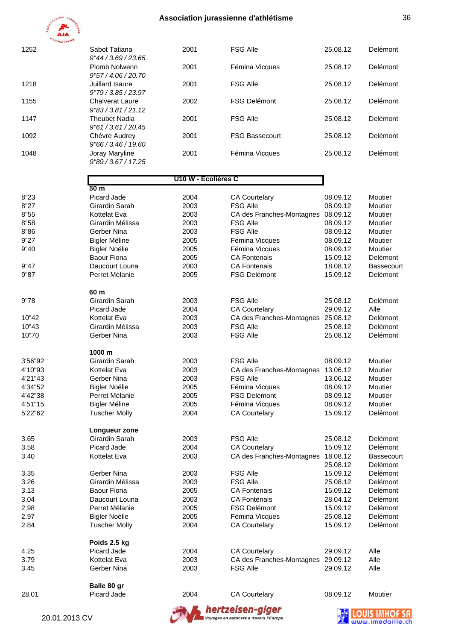

| 1252 | Sabot Tatiana                    | 2001 | <b>FSG Alle</b>       | 25.08.12 | <b>Delémont</b> |
|------|----------------------------------|------|-----------------------|----------|-----------------|
|      | 9''44 / 3.69 / 23.65             |      |                       |          |                 |
|      | Plomb Nolwenn<br>9"57/4.06/20.70 | 2001 | Fémina Vicques        | 25.08.12 | Delémont        |
|      |                                  |      |                       |          |                 |
| 1218 | Juillard Isaure                  | 2001 | <b>FSG Alle</b>       | 25.08.12 | Delémont        |
|      | 9"79/3.85/23.97                  |      |                       |          |                 |
| 1155 | <b>Chalverat Laure</b>           | 2002 | <b>FSG Delémont</b>   | 25.08.12 | Delémont        |
|      | 9"83/3.81/21.12                  |      |                       |          |                 |
| 1147 | <b>Theubet Nadia</b>             | 2001 | <b>FSG Alle</b>       | 25.08.12 | <b>Delémont</b> |
|      | 9"61/3.61/20.45                  |      |                       |          |                 |
|      |                                  |      |                       |          |                 |
| 1092 | Chèvre Audrey                    | 2001 | <b>FSG Bassecourt</b> | 25.08.12 | Delémont        |
|      | 9"66 / 3.46 / 19.60              |      |                       |          |                 |
| 1048 | Joray Maryline                   | 2001 | Fémina Vicques        | 25.08.12 | Delémont        |
|      | 9"89/3.67/17.25                  |      |                       |          |                 |
|      |                                  |      |                       |          |                 |

#### **U10 W - Ecolières C**

| 20.01.2013 CV |                                 |              | hertzeisen-giger<br>Voyages en autocars à travers l'Europe |                      |                   |
|---------------|---------------------------------|--------------|------------------------------------------------------------|----------------------|-------------------|
| 28.01         | Balle 80 gr<br>Picard Jade      | 2004         | <b>CA Courtelary</b>                                       | 08.09.12             | Moutier           |
|               |                                 |              |                                                            |                      |                   |
| 3.45          | Gerber Nina                     | 2003         | <b>FSG Alle</b>                                            | 29.09.12             | Alle              |
| 3.79          | Kottelat Eva                    | 2003         | CA des Franches-Montagnes 29.09.12                         |                      | Alle              |
| 4.25          | Poids 2.5 kg<br>Picard Jade     | 2004         | <b>CA Courtelary</b>                                       | 29.09.12             | Alle              |
| 2.84          | <b>Tuscher Molly</b>            | 2004         | <b>CA Courtelary</b>                                       | 15.09.12             | Delémont          |
| 2.97          | <b>Bigler Noélie</b>            | 2005         | Fémina Vicques                                             | 25.08.12             | Delémont          |
| 2.98          | Perret Mélanie                  | 2005         | <b>FSG Delémont</b>                                        | 15.09.12             | Delémont          |
| 3.04          | Daucourt Louna                  | 2003         | <b>CA Fontenais</b>                                        | 28.04.12             | Delémont          |
| 3.13          | <b>Baour Fiona</b>              | 2005         | <b>CA Fontenais</b>                                        | 15.09.12             | Delémont          |
| 3.26          | Girardin Mélissa                | 2003         | <b>FSG Alle</b>                                            | 25.08.12             | Delémont          |
| 3.35          | Gerber Nina                     | 2003         | <b>FSG Alle</b>                                            | 15.09.12             | Delémont          |
|               |                                 |              |                                                            | 25.08.12             | Delémont          |
| 3.40          | <b>Kottelat Eva</b>             | 2003         | CA des Franches-Montagnes                                  | 18.08.12             | <b>Bassecourt</b> |
| 3.58          | Picard Jade                     | 2004         | <b>CA Courtelary</b>                                       | 15.09.12             | Delémont          |
| 3.65          | Longueur zone<br>Girardin Sarah | 2003         | <b>FSG Alle</b>                                            | 25.08.12             | Delémont          |
| 5'22"62       | <b>Tuscher Molly</b>            | 2004         | <b>CA Courtelary</b>                                       | 15.09.12             | Delémont          |
| 4'51"15       | <b>Bigler Méline</b>            | 2005         | Fémina Vicques                                             | 08.09.12             | Moutier           |
| 4'42"38       | Perret Mélanie                  | 2005         | <b>FSG Delémont</b>                                        | 08.09.12             | Moutier           |
| 4'34"52       | <b>Bigler Noélie</b>            | 2005         | Fémina Vicques                                             | 08.09.12             | Moutier           |
| 4'21"43       | Gerber Nina                     | 2003         | <b>FSG Alle</b>                                            | 13.06.12             | Moutier           |
| 4'10"93       | Kottelat Eva                    | 2003         | CA des Franches-Montagnes                                  | 13.06.12             | Moutier           |
| 3'56"92       | 1000 m<br>Girardin Sarah        | 2003         | <b>FSG Alle</b>                                            | 08.09.12             | Moutier           |
|               |                                 |              |                                                            |                      |                   |
| 10"70         | Gerber Nina                     | 2003         | <b>FSG Alle</b>                                            | 25.08.12             | Delémont          |
| 10"43         | Girardin Mélissa                | 2003         | <b>FSG Alle</b>                                            | 25.08.12             | Delémont          |
| 10"42         | Kottelat Eva                    | 2003         | CA des Franches-Montagnes 25.08.12                         |                      | Delémont          |
| 9"78          | Girardin Sarah<br>Picard Jade   | 2003<br>2004 | <b>FSG Alle</b><br><b>CA Courtelary</b>                    | 25.08.12<br>29.09.12 | Delémont<br>Alle  |
|               | 60 m                            |              |                                                            |                      |                   |
| 9"87          | Perret Mélanie                  | 2005         | <b>FSG Delémont</b>                                        | 15.09.12             | Delémont          |
| 9"47          | Daucourt Louna                  | 2003         | <b>CA Fontenais</b>                                        | 18.08.12             | <b>Bassecourt</b> |
|               | Baour Fiona                     | 2005         | <b>CA Fontenais</b>                                        | 15.09.12             | Delémont          |
| 9"40          | <b>Bigler Noélie</b>            | 2005         | Fémina Vicques                                             | 08.09.12             | Moutier           |
| 9"27          | <b>Bigler Méline</b>            | 2005         | Fémina Vicques                                             | 08.09.12             | Moutier           |
| 8"86          | Gerber Nina                     | 2003         | <b>FSG Alle</b>                                            | 08.09.12             | Moutier           |
| 8"58          | Girardin Mélissa                | 2003         | <b>FSG Alle</b>                                            | 08.09.12             | Moutier           |
| 8"55          | Kottelat Eva                    | 2003         | CA des Franches-Montagnes                                  | 08.09.12             | Moutier           |
| 8"27          | Girardin Sarah                  | 2003         | <b>FSG Alle</b>                                            | 08.09.12             | Moutier           |
| 8"23          | Picard Jade                     | 2004         | <b>CA Courtelary</b>                                       | 08.09.12             | Moutier           |
|               | 50 m                            |              |                                                            |                      |                   |